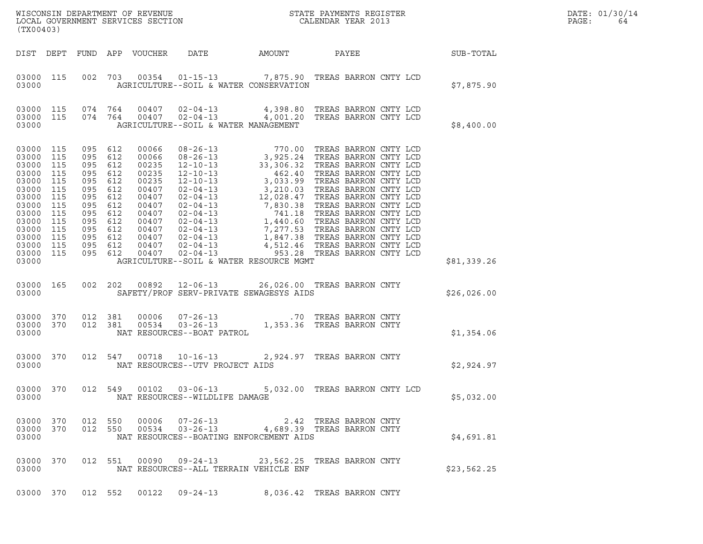| (TX00403)                                                                                                                                   |                                                                                  |                                                                                                                                                |            |                            |                                                                                                                                                                                                                                                          |                   |                             |  |  | DATE: 01/30/14<br>PAGE:<br>64 |  |
|---------------------------------------------------------------------------------------------------------------------------------------------|----------------------------------------------------------------------------------|------------------------------------------------------------------------------------------------------------------------------------------------|------------|----------------------------|----------------------------------------------------------------------------------------------------------------------------------------------------------------------------------------------------------------------------------------------------------|-------------------|-----------------------------|--|--|-------------------------------|--|
|                                                                                                                                             |                                                                                  |                                                                                                                                                |            | DIST DEPT FUND APP VOUCHER |                                                                                                                                                                                                                                                          | DATE AMOUNT PAYEE |                             |  |  | <b>SUB-TOTAL</b>              |  |
| 03000 115<br>03000                                                                                                                          |                                                                                  |                                                                                                                                                |            |                            | 002 703 00354 01-15-13 7,875.90 TREAS BARRON CNTY LCD<br>AGRICULTURE--SOIL & WATER CONSERVATION                                                                                                                                                          |                   |                             |  |  | \$7,875.90                    |  |
| 03000                                                                                                                                       |                                                                                  |                                                                                                                                                |            |                            | $\begin{array}{cccccccc} 03000& 115& 074& 764& 00407& 02-04-13& & 4\,, 398.80 & \text{TREAS BARRON CNTY LCD} \\ 03000& 115& 074& 764& 00407& 02-04-13& & 4\,, 001.20 & \text{TREAS BARRON CNTY LCD} \end{array}$<br>AGRICULTURE--SOIL & WATER MANAGEMENT |                   |                             |  |  | \$8,400.00                    |  |
| 03000 115<br>03000<br>03000<br>03000<br>03000<br>03000<br>03000<br>03000<br>03000<br>03000<br>03000<br>03000<br>03000<br>03000 115<br>03000 | 115<br>115<br>115<br>115<br>115<br>115<br>115<br>115<br>115<br>115<br>115<br>115 | 095 612<br>095 612<br>095 612<br>095 612<br>095<br>095 612<br>095 612<br>095 612<br>095<br>095 612<br>095 612<br>095 612<br>095 612<br>095 612 | 612<br>612 |                            | AGRICULTURE--SOIL & WATER RESOURCE MGMT                                                                                                                                                                                                                  |                   |                             |  |  | \$81,339.26                   |  |
| 03000 165<br>03000                                                                                                                          |                                                                                  |                                                                                                                                                |            |                            | 002  202  00892  12-06-13  26,026.00  TREAS BARRON CNTY<br>SAFETY/PROF SERV-PRIVATE SEWAGESYS AIDS                                                                                                                                                       |                   |                             |  |  | \$26,026.00                   |  |
| 03000 370 012 381<br>03000 370<br>03000                                                                                                     |                                                                                  | 012 381                                                                                                                                        |            |                            |                                                                                                                                                                                                                                                          |                   |                             |  |  | \$1,354.06                    |  |
| 03000 370<br>03000                                                                                                                          |                                                                                  |                                                                                                                                                |            |                            | 012 547 00718 10-16-13<br>NAT RESOURCES--UTV PROJECT AIDS                                                                                                                                                                                                |                   | 2,924.97 TREAS BARRON CNTY  |  |  | \$2,924.97                    |  |
| 03000 370<br>03000                                                                                                                          |                                                                                  |                                                                                                                                                |            |                            | 012 549  00102  03-06-13  5,032.00 TREAS BARRON CNTY LCD<br>NAT RESOURCES--WILDLIFE DAMAGE                                                                                                                                                               |                   |                             |  |  | \$5,032.00                    |  |
| 03000 370<br>03000 370<br>03000                                                                                                             |                                                                                  | 012 550<br>012 550                                                                                                                             |            |                            | 00006  07-26-13  2.42 TREAS BARRON CNTY<br>00534  03-26-13  4,689.39 TREAS BARRON CNTY<br>NAT RESOURCES--BOATING ENFORCEMENT AIDS                                                                                                                        |                   |                             |  |  | \$4,691.81                    |  |
| 03000 370<br>03000                                                                                                                          |                                                                                  |                                                                                                                                                |            |                            | 012 551 00090 09-24-13<br>NAT RESOURCES--ALL TERRAIN VEHICLE ENF                                                                                                                                                                                         |                   | 23,562.25 TREAS BARRON CNTY |  |  | \$23,562.25                   |  |
| 03000 370                                                                                                                                   |                                                                                  | 012 552                                                                                                                                        |            |                            | 00122 09-24-13                                                                                                                                                                                                                                           |                   | 8,036.42 TREAS BARRON CNTY  |  |  |                               |  |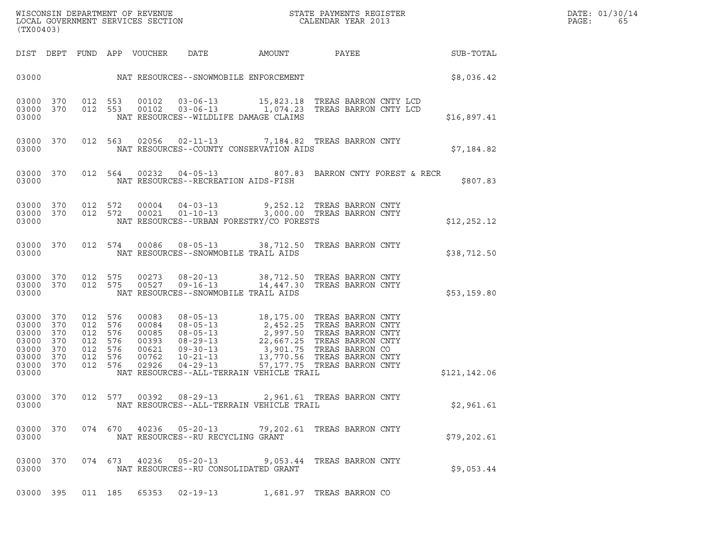|       | DATE: 01/30/14 |
|-------|----------------|
| PAGE: | 65             |

| (TX00403)                                                                |                                        |                                                                   |            |                                                             |                        |                                                                                                                                                                                                                                                                                                                                            |                             | ${\tt WISCONSIM\ DEPARTMENT\ OF\ REVENUE}\qquad \qquad {\tt STATE\ PAYMENTS\ REGISTER\ LOCAL\ GOVERNMENT\ SERVICES\ SECTION\qquad \qquad {\tt CALENDAR\ YEAR\ 2013}}$ |                 |  |  |  |  |
|--------------------------------------------------------------------------|----------------------------------------|-------------------------------------------------------------------|------------|-------------------------------------------------------------|------------------------|--------------------------------------------------------------------------------------------------------------------------------------------------------------------------------------------------------------------------------------------------------------------------------------------------------------------------------------------|-----------------------------|-----------------------------------------------------------------------------------------------------------------------------------------------------------------------|-----------------|--|--|--|--|
|                                                                          |                                        |                                                                   |            | DIST DEPT FUND APP VOUCHER                                  | DATE                   | AMOUNT                                                                                                                                                                                                                                                                                                                                     |                             |                                                                                                                                                                       | PAYEE SUB-TOTAL |  |  |  |  |
|                                                                          |                                        |                                                                   |            |                                                             |                        |                                                                                                                                                                                                                                                                                                                                            |                             |                                                                                                                                                                       | \$8,036.42      |  |  |  |  |
| 03000 370<br>03000 370<br>03000                                          |                                        |                                                                   |            |                                                             |                        | 012 553 00102 03-06-13 15,823.18 TREAS BARRON CNTY LCD<br>012 553 00102 03-06-13 1,074.23 TREAS BARRON CNTY LCD<br>NAT RESOURCES--WILDLIFE DAMAGE CLAIMS                                                                                                                                                                                   |                             |                                                                                                                                                                       | \$16,897.41     |  |  |  |  |
| 03000 370<br>03000                                                       |                                        |                                                                   |            |                                                             |                        | 012 563 02056 02-11-13 7,184.82 TREAS BARRON CNTY<br>NAT RESOURCES--COUNTY CONSERVATION AIDS                                                                                                                                                                                                                                               |                             |                                                                                                                                                                       | \$7,184.82      |  |  |  |  |
| 03000 370<br>03000                                                       |                                        |                                                                   |            |                                                             |                        | 012 564 00232 04-05-13 807.83 BARRON CNTY FOREST & RECR<br>NAT RESOURCES--RECREATION AIDS-FISH                                                                                                                                                                                                                                             |                             |                                                                                                                                                                       | \$807.83        |  |  |  |  |
| 03000                                                                    |                                        |                                                                   |            |                                                             |                        | $\begin{array}{cccccc} 03000 & 370 & 012 & 572 & 00004 & 04-03-13 & & & & 9,252.12 & \text{TREAS BARRON CNTY} \\ 03000 & 370 & 012 & 572 & 00021 & 01-10-13 & & & 3,000.00 & \text{TREAS BARRON CNTY} \end{array}$<br>NAT RESOURCES--URBAN FORESTRY/CO FORESTS                                                                             |                             |                                                                                                                                                                       | \$12, 252.12    |  |  |  |  |
| 03000 370<br>03000                                                       |                                        |                                                                   |            |                                                             |                        | 012 574 00086 08-05-13 38,712.50 TREAS BARRON CNTY<br>NAT RESOURCES--SNOWMOBILE TRAIL AIDS                                                                                                                                                                                                                                                 |                             |                                                                                                                                                                       | \$38,712.50     |  |  |  |  |
| 03000 370<br>03000 370<br>03000                                          |                                        | 012 575<br>012 575                                                |            | 00273                                                       |                        | 08-20-13 38,712.50 TREAS BARRON CNTY<br>00527  09-16-13  14,447.30  TREAS BARRON CNTY<br>NAT RESOURCES--SNOWMOBILE TRAIL AIDS                                                                                                                                                                                                              |                             |                                                                                                                                                                       | \$53,159.80     |  |  |  |  |
| 03000 370<br>03000<br>03000<br>03000<br>03000<br>03000<br>03000<br>03000 | 370<br>370<br>370<br>370<br>370<br>370 | 012 576<br>012<br>012 576<br>012<br>012 576<br>012 576<br>012 576 | 576<br>576 | 00083<br>00084<br>00085<br>00393<br>00621<br>00762<br>02926 |                        | 08-05-13 18,175.00 TREAS BARRON CNTY<br>08-05-13<br>08-05-13<br>08-05-13<br>2, 452.25 TREAS BARRON CNTY<br>08-05-13<br>2, 997.50 TREAS BARRON CNTY<br>09-30-13<br>3, 901.75 TREAS BARRON CNTY<br>09-30-13<br>3, 901.75 TREAS BARRON CNTY<br>04-29-13<br>13, 770.56 TREAS BARRON CNTY<br>04-29-<br>NAT RESOURCES--ALL-TERRAIN VEHICLE TRAIL |                             |                                                                                                                                                                       | \$121,142.06    |  |  |  |  |
| 03000 370<br>03000                                                       |                                        |                                                                   |            |                                                             |                        | 012 577 00392 08-29-13 2,961.61 TREAS BARRON CNTY<br>NAT RESOURCES--ALL-TERRAIN VEHICLE TRAIL                                                                                                                                                                                                                                              |                             |                                                                                                                                                                       | \$2,961.61      |  |  |  |  |
| 03000 370<br>03000                                                       |                                        |                                                                   |            |                                                             | 074 670 40236 05-20-13 | NAT RESOURCES--RU RECYCLING GRANT                                                                                                                                                                                                                                                                                                          | 79,202.61 TREAS BARRON CNTY |                                                                                                                                                                       | \$79,202.61     |  |  |  |  |
| 03000 370<br>03000                                                       |                                        |                                                                   |            |                                                             | 074 673 40236 05-20-13 | NAT RESOURCES--RU CONSOLIDATED GRANT                                                                                                                                                                                                                                                                                                       | 9,053.44 TREAS BARRON CNTY  |                                                                                                                                                                       | \$9,053.44      |  |  |  |  |
| 03000 395                                                                |                                        |                                                                   | 011 185    |                                                             | 65353 02-19-13         |                                                                                                                                                                                                                                                                                                                                            | 1,681.97 TREAS BARRON CO    |                                                                                                                                                                       |                 |  |  |  |  |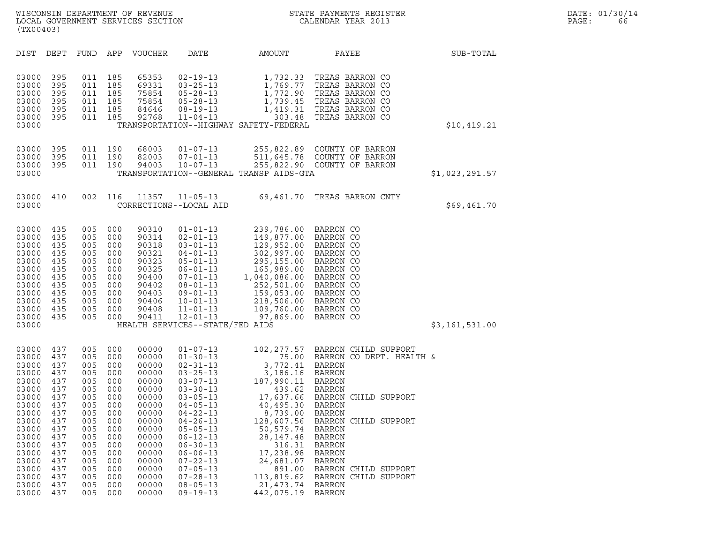| (TX00403)                                                                                                                                                               |                                                                                                                                   |                                                                                                                                   |                                                                                                                                   |                                                                                                                                                                         |                                                                                                                                                                                                                                                                                                                                                    |                                                                                                                                                                                                                      |                                                                                                                                                                                                                                                                                                                                                            |                |
|-------------------------------------------------------------------------------------------------------------------------------------------------------------------------|-----------------------------------------------------------------------------------------------------------------------------------|-----------------------------------------------------------------------------------------------------------------------------------|-----------------------------------------------------------------------------------------------------------------------------------|-------------------------------------------------------------------------------------------------------------------------------------------------------------------------|----------------------------------------------------------------------------------------------------------------------------------------------------------------------------------------------------------------------------------------------------------------------------------------------------------------------------------------------------|----------------------------------------------------------------------------------------------------------------------------------------------------------------------------------------------------------------------|------------------------------------------------------------------------------------------------------------------------------------------------------------------------------------------------------------------------------------------------------------------------------------------------------------------------------------------------------------|----------------|
| DIST                                                                                                                                                                    | DEPT                                                                                                                              | FUND                                                                                                                              | APP                                                                                                                               | <b>VOUCHER</b>                                                                                                                                                          | DATE                                                                                                                                                                                                                                                                                                                                               | AMOUNT                                                                                                                                                                                                               | PAYEE                                                                                                                                                                                                                                                                                                                                                      | SUB-TOTAL      |
| 03000<br>03000<br>03000<br>03000<br>03000<br>03000<br>03000                                                                                                             | 395<br>395<br>395<br>395<br>395<br>395                                                                                            | 011<br>011<br>011<br>011<br>011<br>011                                                                                            | 185<br>185<br>185<br>185<br>185<br>185                                                                                            | 65353<br>69331<br>75854<br>75854<br>84646<br>92768                                                                                                                      | $02 - 19 - 13$<br>$03 - 25 - 13$<br>$05 - 28 - 13$<br>$05 - 28 - 13$<br>$08 - 19 - 13$<br>$11 - 04 - 13$                                                                                                                                                                                                                                           | 1,732.33<br>1,769.77<br>1,772.90<br>1,739.45<br>1,419.31<br>303.48<br>TRANSPORTATION--HIGHWAY SAFETY-FEDERAL                                                                                                         | TREAS BARRON CO<br>TREAS BARRON CO<br>TREAS BARRON CO<br>TREAS BARRON CO<br>TREAS BARRON CO<br>TREAS BARRON CO                                                                                                                                                                                                                                             | \$10,419.21    |
| 03000<br>03000<br>03000<br>03000                                                                                                                                        | 395<br>395<br>395                                                                                                                 | 011<br>011<br>011                                                                                                                 | 190<br>190<br>190                                                                                                                 | 68003<br>82003<br>94003                                                                                                                                                 | $01 - 07 - 13$<br>$07 - 01 - 13$<br>$10 - 07 - 13$                                                                                                                                                                                                                                                                                                 | TRANSPORTATION--GENERAL TRANSP AIDS-GTA                                                                                                                                                                              | 255,822.89 COUNTY OF BARRON<br>511,645.78 COUNTY OF BARRON<br>255,822.90 COUNTY OF BARRON                                                                                                                                                                                                                                                                  | \$1,023,291.57 |
| 03000<br>03000                                                                                                                                                          | 410                                                                                                                               | 002                                                                                                                               | 116                                                                                                                               | 11357                                                                                                                                                                   | $11 - 05 - 13$<br>CORRECTIONS--LOCAL AID                                                                                                                                                                                                                                                                                                           | 69,461.70                                                                                                                                                                                                            | TREAS BARRON CNTY                                                                                                                                                                                                                                                                                                                                          | \$69,461.70    |
| 03000<br>03000<br>03000<br>03000<br>03000<br>03000<br>03000<br>03000<br>03000<br>03000<br>03000<br>03000<br>03000                                                       | 435<br>435<br>435<br>435<br>435<br>435<br>435<br>435<br>435<br>435<br>435<br>435                                                  | 005<br>005<br>005<br>005<br>005<br>005<br>005<br>005<br>005<br>005<br>005<br>005                                                  | 000<br>000<br>000<br>000<br>000<br>000<br>000<br>000<br>000<br>000<br>000<br>000                                                  | 90310<br>90314<br>90318<br>90321<br>90323<br>90325<br>90400<br>90402<br>90403<br>90406<br>90408<br>90411                                                                | $01 - 01 - 13$<br>$02 - 01 - 13$<br>$03 - 01 - 13$<br>$04 - 01 - 13$<br>$05 - 01 - 13$<br>$06 - 01 - 13$<br>$07 - 01 - 13$<br>$08 - 01 - 13$<br>$09 - 01 - 13$<br>$10 - 01 - 13$<br>$11 - 01 - 13$<br>$12 - 01 - 13$<br>HEALTH SERVICES--STATE/FED AIDS                                                                                            | 239,786.00 BARRON CO<br>149,877.00<br>129,952.00 BARRON CO<br>302,997.00<br>295,155.00<br>165,989.00<br>1,040,086.00<br>252,501.00<br>159,053.00 BARRON CO<br>218,506.00<br>109,760.00<br>97,869.00                  | BARRON CO<br>BARRON CO<br>BARRON CO<br>BARRON CO<br>BARRON CO<br>BARRON CO<br>BARRON CO<br>BARRON CO<br>BARRON CO                                                                                                                                                                                                                                          | \$3,161,531.00 |
| 03000<br>03000<br>03000<br>03000<br>03000<br>03000<br>03000<br>03000<br>03000<br>03000<br>03000<br>03000<br>03000<br>03000<br>03000<br>03000<br>03000<br>03000<br>03000 | 437<br>437<br>437<br>437<br>437<br>437<br>437<br>437<br>437<br>437<br>437<br>437<br>437<br>437<br>437<br>437<br>437<br>437<br>437 | 005<br>005<br>005<br>005<br>005<br>005<br>005<br>005<br>005<br>005<br>005<br>005<br>005<br>005<br>005<br>005<br>005<br>005<br>005 | 000<br>000<br>000<br>000<br>000<br>000<br>000<br>000<br>000<br>000<br>000<br>000<br>000<br>000<br>000<br>000<br>000<br>000<br>000 | 00000<br>00000<br>00000<br>00000<br>00000<br>00000<br>00000<br>00000<br>00000<br>00000<br>00000<br>00000<br>00000<br>00000<br>00000<br>00000<br>00000<br>00000<br>00000 | $01 - 07 - 13$<br>$01 - 30 - 13$<br>$02 - 31 - 13$<br>$03 - 25 - 13$<br>$03 - 07 - 13$<br>$03 - 30 - 13$<br>$03 - 05 - 13$<br>$04 - 05 - 13$<br>$04 - 22 - 13$<br>$04 - 26 - 13$<br>$05 - 05 - 13$<br>$06 - 12 - 13$<br>$06 - 30 - 13$<br>$06 - 06 - 13$<br>$07 - 22 - 13$<br>$07 - 05 - 13$<br>$07 - 28 - 13$<br>$08 - 05 - 13$<br>$09 - 19 - 13$ | 102,277.57<br>3,772.41<br>3,186.16<br>187,990.11<br>439.62<br>40,495.30<br>8,739.00<br>128,607.56<br>50,579.74<br>28, 147. 48<br>316.31<br>17,238.98<br>24,681.07<br>891.00<br>113,819.62<br>21,473.74<br>442,075.19 | BARRON CHILD SUPPORT<br>75.00 BARRON CO DEPT. HEALTH &<br>BARRON<br>BARRON<br><b>BARRON</b><br>BARRON<br>17,637.66 BARRON CHILD SUPPORT<br>BARRON<br>BARRON<br>BARRON CHILD SUPPORT<br><b>BARRON</b><br><b>BARRON</b><br><b>BARRON</b><br><b>BARRON</b><br><b>BARRON</b><br>BARRON CHILD SUPPORT<br>BARRON CHILD SUPPORT<br><b>BARRON</b><br><b>BARRON</b> |                |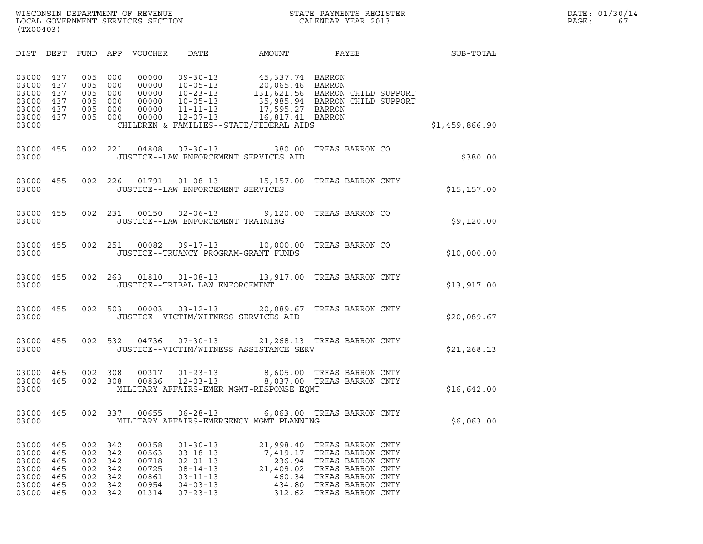| (TX00403)                                                                                                    |                                               |                                                                                                              |                                                                                                                            |                                                                                                                         |                                                                                                                                                 |                |
|--------------------------------------------------------------------------------------------------------------|-----------------------------------------------|--------------------------------------------------------------------------------------------------------------|----------------------------------------------------------------------------------------------------------------------------|-------------------------------------------------------------------------------------------------------------------------|-------------------------------------------------------------------------------------------------------------------------------------------------|----------------|
| DIST<br>DEPT                                                                                                 | FUND                                          | APP<br>VOUCHER                                                                                               | DATE                                                                                                                       | AMOUNT                                                                                                                  | <b>PAYEE</b> FOR THE PAYEE                                                                                                                      | SUB-TOTAL      |
| 03000<br>437<br>03000<br>437<br>03000<br>437<br>03000<br>437<br>03000<br>437<br>03000<br>437<br>03000        | 005<br>005<br>005<br>005<br>005<br>005        | 000<br>00000<br>000<br>00000<br>000<br>00000<br>000<br>00000<br>000<br>00000<br>000<br>00000                 | $09 - 30 - 13$<br>$10 - 05 - 13$<br>$10 - 23 - 13$<br>$10 - 05 - 13$<br>$11 - 11 - 13$<br>$12 - 07 - 13$                   | 45,337.74 BARRON<br>20,065.46 BARRON<br>17,595.27 BARRON<br>16,817.41 BARRON<br>CHILDREN & FAMILIES--STATE/FEDERAL AIDS | 131,621.56 BARRON CHILD SUPPORT<br>35,985.94 BARRON CHILD SUPPORT                                                                               | \$1,459,866.90 |
| 03000<br>455<br>03000                                                                                        | 002                                           | 221<br>04808                                                                                                 | $07 - 30 - 13$                                                                                                             | 380.00<br>JUSTICE--LAW ENFORCEMENT SERVICES AID                                                                         | TREAS BARRON CO                                                                                                                                 | \$380.00       |
| 03000<br>455<br>03000                                                                                        | 002                                           | 226<br>01791                                                                                                 | $01 - 08 - 13$<br>JUSTICE--LAW ENFORCEMENT SERVICES                                                                        | 15,157.00                                                                                                               | TREAS BARRON CNTY                                                                                                                               | \$15, 157.00   |
| 03000<br>455<br>03000                                                                                        | 002                                           | 231<br>00150                                                                                                 | $02 - 06 - 13$<br>JUSTICE--LAW ENFORCEMENT TRAINING                                                                        | 9,120.00                                                                                                                | TREAS BARRON CO                                                                                                                                 | \$9,120.00     |
| 03000<br>455<br>03000                                                                                        | 002                                           | 251<br>00082                                                                                                 | $09 - 17 - 13$<br>JUSTICE--TRUANCY PROGRAM-GRANT FUNDS                                                                     | 10,000.00                                                                                                               | TREAS BARRON CO                                                                                                                                 | \$10,000.00    |
| 03000<br>455<br>03000                                                                                        | 002                                           | 263<br>01810                                                                                                 | $01 - 08 - 13$<br>JUSTICE--TRIBAL LAW ENFORCEMENT                                                                          | 13,917.00                                                                                                               | TREAS BARRON CNTY                                                                                                                               | \$13,917.00    |
| 03000<br>455<br>03000                                                                                        | 002                                           | 503<br>00003                                                                                                 | $03 - 12 - 13$<br>JUSTICE--VICTIM/WITNESS SERVICES AID                                                                     | 20,089.67                                                                                                               | TREAS BARRON CNTY                                                                                                                               | \$20,089.67    |
| 03000<br>455<br>03000                                                                                        | 002                                           | 532<br>04736                                                                                                 | $07 - 30 - 13$                                                                                                             | JUSTICE--VICTIM/WITNESS ASSISTANCE SERV                                                                                 | 21, 268.13 TREAS BARRON CNTY                                                                                                                    | \$21,268.13    |
| 03000<br>465<br>03000<br>465<br>03000                                                                        | 002<br>002                                    | 308<br>00317<br>00836<br>308                                                                                 | $01 - 23 - 13$<br>$12 - 03 - 13$                                                                                           | 8,605.00<br>MILITARY AFFAIRS-EMER MGMT-RESPONSE EQMT                                                                    | TREAS BARRON CNTY<br>8,037.00 TREAS BARRON CNTY                                                                                                 | \$16,642.00    |
| 465<br>03000<br>03000                                                                                        | 002                                           | 337<br>00655                                                                                                 | $06 - 28 - 13$                                                                                                             | MILITARY AFFAIRS-EMERGENCY MGMT PLANNING                                                                                | 6,063.00 TREAS BARRON CNTY                                                                                                                      | \$6,063.00     |
| 465<br>03000<br>03000<br>465<br>03000<br>465<br>03000<br>465<br>03000<br>465<br>03000<br>465<br>03000<br>465 | 002<br>002<br>002<br>002<br>002<br>002<br>002 | 342<br>00358<br>342<br>00563<br>342<br>00718<br>342<br>00725<br>342<br>00861<br>342<br>00954<br>342<br>01314 | $01 - 30 - 13$<br>$03 - 18 - 13$<br>$02 - 01 - 13$<br>$08 - 14 - 13$<br>$03 - 11 - 13$<br>$04 - 03 - 13$<br>$07 - 23 - 13$ | 21,998.40<br>7,419.17<br>236.94<br>21,409.02<br>460.34<br>434.80<br>312.62                                              | TREAS BARRON CNTY<br>TREAS BARRON CNTY<br>TREAS BARRON CNTY<br>TREAS BARRON CNTY<br>TREAS BARRON CNTY<br>TREAS BARRON CNTY<br>TREAS BARRON CNTY |                |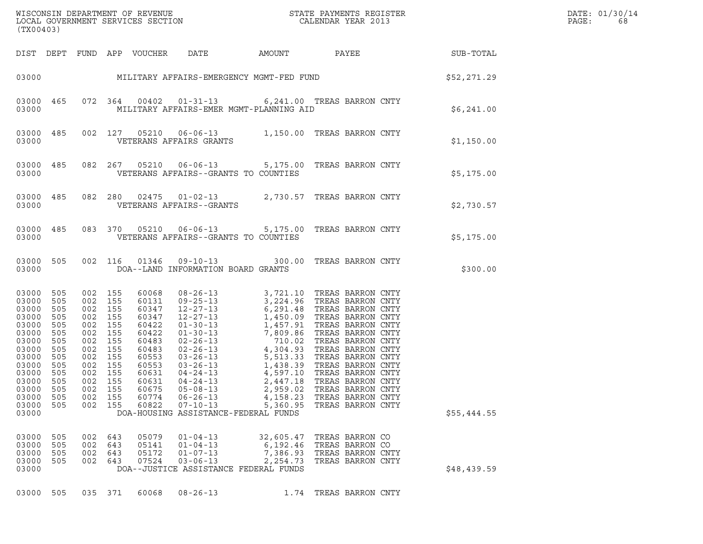| WISCONSIN DEPARTMENT OF REVENUE ${\small \begin{array}{ll} \texttt{MISCONS} \texttt{IN} \texttt{DEPARTMENT} \texttt{S} \texttt{REVIEW} \\ \texttt{LOCAL} \texttt{GOVERNMENT} \texttt{SERVICES} \texttt{SECTION} \end{array}}$<br>(TX00403) |                                                                                    |                                                                                                                                                           |                          |                                  |                                                                                                               |                                               |                                                                              |                        | DATE: 01/30/14<br>PAGE:<br>68 |
|--------------------------------------------------------------------------------------------------------------------------------------------------------------------------------------------------------------------------------------------|------------------------------------------------------------------------------------|-----------------------------------------------------------------------------------------------------------------------------------------------------------|--------------------------|----------------------------------|---------------------------------------------------------------------------------------------------------------|-----------------------------------------------|------------------------------------------------------------------------------|------------------------|-------------------------------|
|                                                                                                                                                                                                                                            |                                                                                    |                                                                                                                                                           |                          | DIST DEPT FUND APP VOUCHER       | DATE                                                                                                          |                                               |                                                                              | AMOUNT PAYEE SUB-TOTAL |                               |
|                                                                                                                                                                                                                                            |                                                                                    |                                                                                                                                                           |                          |                                  | 03000 MILITARY AFFAIRS-EMERGENCY MGMT-FED FUND S52,271.29                                                     |                                               |                                                                              |                        |                               |
| 03000 465<br>03000                                                                                                                                                                                                                         |                                                                                    |                                                                                                                                                           |                          |                                  | 072 364 00402 01-31-13 6,241.00 TREAS BARRON CNTY<br>MILITARY AFFAIRS-EMER MGMT-PLANNING AID                  |                                               |                                                                              | \$6,241.00             |                               |
| 03000 485<br>03000                                                                                                                                                                                                                         |                                                                                    |                                                                                                                                                           |                          |                                  | 002 127 05210 06-06-13 1,150.00 TREAS BARRON CNTY<br>VETERANS AFFAIRS GRANTS                                  |                                               |                                                                              | \$1,150.00             |                               |
| 03000 485<br>03000                                                                                                                                                                                                                         |                                                                                    |                                                                                                                                                           |                          |                                  | 082  267  05210  06-06-13  5,175.00  TREAS BARRON CNTY<br>VETERANS AFFAIRS--GRANTS TO COUNTIES                |                                               |                                                                              | \$5,175.00             |                               |
| 03000 485<br>03000                                                                                                                                                                                                                         |                                                                                    |                                                                                                                                                           |                          |                                  | 082 280 02475 01-02-13 2,730.57 TREAS BARRON CNTY<br>VETERANS AFFAIRS--GRANTS                                 |                                               |                                                                              | \$2,730.57             |                               |
| 03000 485<br>03000                                                                                                                                                                                                                         |                                                                                    |                                                                                                                                                           |                          |                                  | 083 370 05210 06-06-13 5,175.00 TREAS BARRON CNTY<br>VETERANS AFFAIRS--GRANTS TO COUNTIES                     |                                               |                                                                              | \$5,175.00             |                               |
| 03000 505<br>03000                                                                                                                                                                                                                         |                                                                                    |                                                                                                                                                           |                          |                                  | 002 116 01346 09-10-13 300.00 TREAS BARRON CNTY<br>DOA--LAND INFORMATION BOARD GRANTS                         |                                               |                                                                              | \$300.00               |                               |
| 03000 505<br>03000 505<br>03000<br>03000<br>03000<br>03000<br>03000<br>03000<br>03000<br>03000<br>03000<br>03000 505<br>03000<br>03000<br>03000<br>03000                                                                                   | 505<br>505<br>505<br>505<br>505<br>505<br>505<br>505<br>505<br>505<br>- 505<br>505 | 002 155<br>002 155<br>002 155<br>002 155<br>002 155<br>002 155<br>002 155<br>002 155<br>002 155<br>002 155<br>002 155<br>002 155<br>002<br>002<br>002 155 | 155<br>155               | 60675<br>60774<br>60822          | $05 - 08 - 13$<br>$06 - 26 - 13$<br>$07 - 10 - 13$<br>DOA-HOUSING ASSISTANCE-FEDERAL FUNDS                    | 2,959.02<br>4,158.23<br>5,360.95              | TREAS BARRON CNTY<br>TREAS BARRON CNTY<br>TREAS BARRON CNTY                  | \$55,444.55            |                               |
| 03000<br>03000<br>03000<br>03000<br>03000                                                                                                                                                                                                  | 505<br>505<br>505<br>505                                                           | 002<br>002<br>002<br>002                                                                                                                                  | 643<br>643<br>643<br>643 | 05079<br>05141<br>05172<br>07524 | $01 - 04 - 13$<br>$01 - 04 - 13$<br>$01 - 07 - 13$<br>$03 - 06 - 13$<br>DOA--JUSTICE ASSISTANCE FEDERAL FUNDS | 32,605.47<br>6,192.46<br>7,386.93<br>2,254.73 | TREAS BARRON CO<br>TREAS BARRON CO<br>TREAS BARRON CNTY<br>TREAS BARRON CNTY | \$48,439.59            |                               |
| 03000 505                                                                                                                                                                                                                                  |                                                                                    | 035 371                                                                                                                                                   |                          | 60068                            | $08 - 26 - 13$                                                                                                | 1.74                                          | TREAS BARRON CNTY                                                            |                        |                               |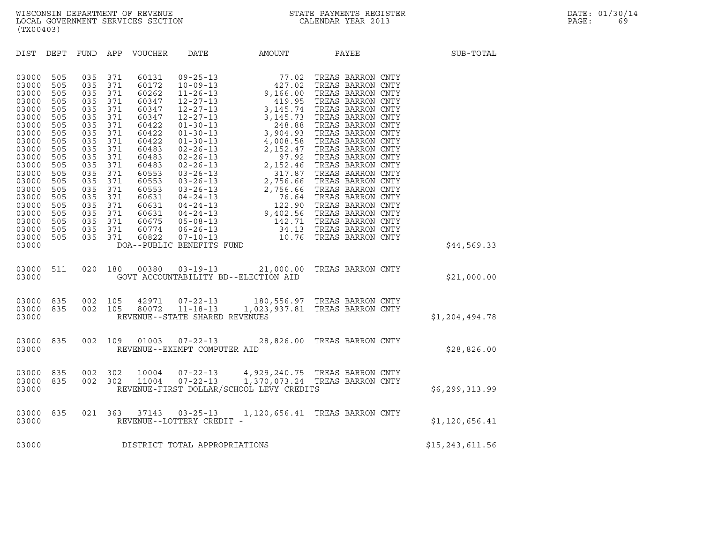| (TX00403)                                                                                                                                                                                                                                                                                                                                                                                                                                                                                                |                                                                                                                                                                                                                                                                                                                                                                           |                                                                                       |                                |                   |
|----------------------------------------------------------------------------------------------------------------------------------------------------------------------------------------------------------------------------------------------------------------------------------------------------------------------------------------------------------------------------------------------------------------------------------------------------------------------------------------------------------|---------------------------------------------------------------------------------------------------------------------------------------------------------------------------------------------------------------------------------------------------------------------------------------------------------------------------------------------------------------------------|---------------------------------------------------------------------------------------|--------------------------------|-------------------|
| DIST<br>DEPT                                                                                                                                                                                                                                                                                                                                                                                                                                                                                             | FUND APP VOUCHER DATE                                                                                                                                                                                                                                                                                                                                                     |                                                                                       | AMOUNT PAYEE                   | SUB-TOTAL         |
| 03000<br>505<br>035<br>03000<br>505<br>035<br>035<br>03000<br>505<br>035<br>03000<br>505<br>035<br>03000<br>505<br>035<br>03000<br>505<br>03000<br>505<br>035<br>505<br>035<br>03000<br>035<br>03000<br>505<br>035<br>03000<br>505<br>035<br>03000<br>505<br>03000<br>505<br>035<br>505<br>035<br>03000<br>035<br>03000<br>505<br>035<br>03000<br>505<br>035<br>03000<br>505<br>03000<br>505<br>035<br>03000<br>505<br>035<br>035<br>03000<br>505<br>035<br>03000<br>505<br>505<br>035<br>03000<br>03000 | 371<br>60131<br>371<br>60172<br>371<br>60262<br>371<br>60347<br>371<br>60347<br>371<br>60347<br>371<br>60422<br>371<br>60422<br>371<br>60422<br>371<br>60483<br>371<br>60483<br>371<br>60483<br>371<br>60553<br>371<br>60553<br>371<br>60553<br>371<br>60631<br>371<br>60631<br>60631<br>371<br>371<br>60675<br>371<br>60774<br>371<br>60822<br>DOA--PUBLIC BENEFITS FUND |                                                                                       |                                | \$44,569.33       |
| 511<br>020<br>03000<br>03000                                                                                                                                                                                                                                                                                                                                                                                                                                                                             | 180                                                                                                                                                                                                                                                                                                                                                                       | 00380  03-19-13  21,000.00  TREAS BARRON CNTY<br>GOVT ACCOUNTABILITY BD--ELECTION AID |                                | \$21,000.00       |
| 002<br>03000<br>835<br>835<br>002<br>03000<br>03000                                                                                                                                                                                                                                                                                                                                                                                                                                                      | 105<br>42971<br>80072<br>105<br>REVENUE--STATE SHARED REVENUES                                                                                                                                                                                                                                                                                                            | 07-22-13 180,556.97 TREAS BARRON CNTY<br>11-18-13 1,023,937.81 TREAS BARRON CNTY      |                                | \$1,204,494.78    |
| 835<br>002<br>03000<br>03000                                                                                                                                                                                                                                                                                                                                                                                                                                                                             | 109<br>01003<br>REVENUE--EXEMPT COMPUTER AID                                                                                                                                                                                                                                                                                                                              | 07-22-13 28,826.00 TREAS BARRON CNTY                                                  |                                | \$28,826.00       |
| 002<br>835<br>03000<br>835<br>002<br>03000<br>03000                                                                                                                                                                                                                                                                                                                                                                                                                                                      | 302<br>10004<br>302<br>11004<br>$07 - 22 - 13$                                                                                                                                                                                                                                                                                                                            | 07-22-13 4, 929, 240.75 TREAS BARRON CNTY<br>REVENUE-FIRST DOLLAR/SCHOOL LEVY CREDITS | 1,370,073.24 TREAS BARRON CNTY | \$6,299,313.99    |
| 835<br>021<br>03000<br>03000                                                                                                                                                                                                                                                                                                                                                                                                                                                                             | 363<br>37143<br>REVENUE--LOTTERY CREDIT -                                                                                                                                                                                                                                                                                                                                 | 03-25-13 1,120,656.41 TREAS BARRON CNTY                                               |                                | \$1,120,656.41    |
| 03000                                                                                                                                                                                                                                                                                                                                                                                                                                                                                                    | DISTRICT TOTAL APPROPRIATIONS                                                                                                                                                                                                                                                                                                                                             |                                                                                       |                                | \$15, 243, 611.56 |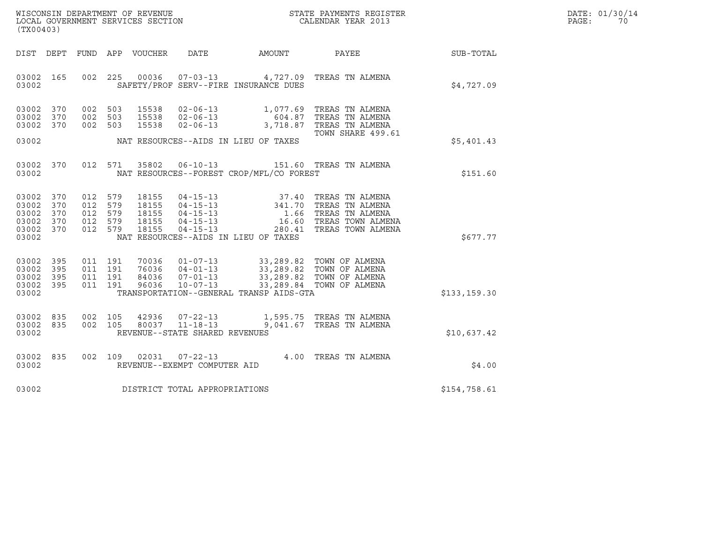| WISCONSIN DEPARTMENT OF REVENUE   | STATE PAYMENTS REGISTER | DATE: 01/30/14 |
|-----------------------------------|-------------------------|----------------|
| LOCAL GOVERNMENT SERVICES SECTION | CALENDAR YEAR 2013      | PAGE:          |

| (TX00403)                                                  |                   |                                                     |                    |                                           | WISCONSIN DEPARTMENT OF REVENUE<br>LOCAL GOVERNMENT SERVICES SECTION |                                          | STATE PAYMENTS REGISTER<br>CALENDAR YEAR 2013                                                                                                                                                                                    |                 | DATE: 01/30/14<br>PAGE: 70 |
|------------------------------------------------------------|-------------------|-----------------------------------------------------|--------------------|-------------------------------------------|----------------------------------------------------------------------|------------------------------------------|----------------------------------------------------------------------------------------------------------------------------------------------------------------------------------------------------------------------------------|-----------------|----------------------------|
| DIST DEPT                                                  |                   |                                                     |                    | FUND APP VOUCHER                          | DATE                                                                 | AMOUNT                                   |                                                                                                                                                                                                                                  | PAYEE SUB-TOTAL |                            |
| 03002 165<br>03002                                         |                   | 002 225                                             |                    |                                           |                                                                      | SAFETY/PROF SERV--FIRE INSURANCE DUES    | 00036  07-03-13  4,727.09  TREAS TN ALMENA                                                                                                                                                                                       | \$4,727.09      |                            |
| 03002 370<br>03002 370<br>03002 370<br>03002               |                   | 002 503<br>002 503<br>002 503                       |                    | 15538                                     | $02 - 06 - 13$                                                       | NAT RESOURCES--AIDS IN LIEU OF TAXES     | 3,718.87 TREAS TN ALMENA<br>TOWN SHARE 499.61                                                                                                                                                                                    | \$5,401.43      |                            |
|                                                            |                   |                                                     |                    |                                           |                                                                      |                                          |                                                                                                                                                                                                                                  |                 |                            |
| 03002 370<br>03002                                         |                   |                                                     | 012 571            | 35802                                     |                                                                      | NAT RESOURCES--FOREST CROP/MFL/CO FOREST | 06-10-13 151.60 TREAS TN ALMENA                                                                                                                                                                                                  | \$151.60        |                            |
| 03002<br>03002<br>03002<br>03002 370<br>03002 370<br>03002 | 370<br>370<br>370 | 012 579<br>012 579<br>012 579<br>012 579<br>012 579 |                    | 18155<br>18155<br>18155<br>18155<br>18155 |                                                                      | NAT RESOURCES--AIDS IN LIEU OF TAXES     | 04-15-13 37.40 TREAS TN ALMENA<br>04-15-13 341.70 TREAS TN ALMENA<br>04-15-13 1.66 TREAS TN ALMENA<br>04-15-13 16.60 TREAS TOWN ALMEN<br>04-15-13 280.41 TREAS TOWN ALMEN<br>16.60 TREAS TOWN ALMENA<br>280.41 TREAS TOWN ALMENA | \$677.77        |                            |
| 03002<br>03002<br>03002 395<br>03002 395<br>03002          | 395<br>395        | 011 191<br>011 191<br>011 191                       | 011 191            |                                           |                                                                      | TRANSPORTATION--GENERAL TRANSP AIDS-GTA  | 70036 01-07-13 33,289.82 TOWN OF ALMENA<br>76036 04-01-13 33,289.82 TOWN OF ALMENA<br>84036 07-01-13 33,289.82 TOWN OF ALMENA<br>96036 10-07-13 33,289.84 TOWN OF ALMENA                                                         | \$133, 159.30   |                            |
| 03002 835<br>03002 835<br>03002                            |                   |                                                     | 002 105<br>002 105 | 42936<br>80037                            | $07 - 22 - 13$<br>$11 - 18 - 13$<br>REVENUE--STATE SHARED REVENUES   |                                          | 1,595.75 TREAS TN ALMENA<br>9,041.67 TREAS TN ALMENA                                                                                                                                                                             | \$10,637.42     |                            |
| 03002 835<br>03002                                         |                   |                                                     | 002 109            |                                           | REVENUE--EXEMPT COMPUTER AID                                         |                                          | 02031  07-22-13  4.00  TREAS TN ALMENA                                                                                                                                                                                           | \$4.00          |                            |
| 03002                                                      |                   |                                                     |                    |                                           | DISTRICT TOTAL APPROPRIATIONS                                        |                                          |                                                                                                                                                                                                                                  | \$154,758.61    |                            |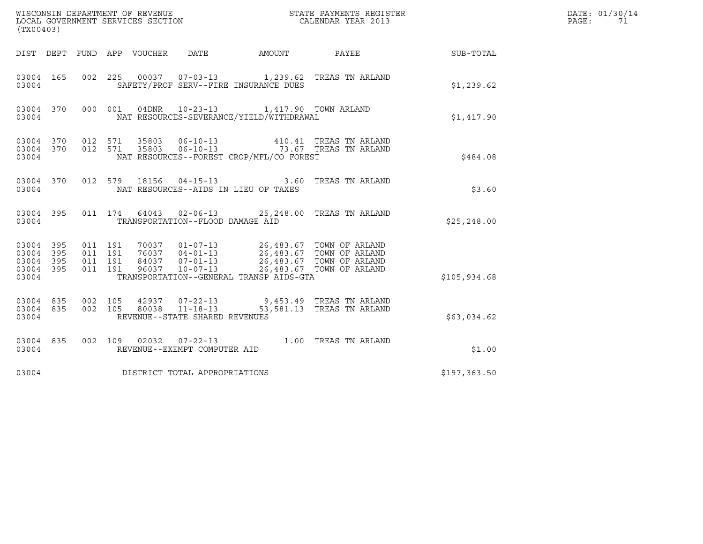| (TX00403)                                 |                          |                    | WISCONSIN DEPARTMENT OF REVENUE<br>LOCAL GOVERNMENT SERVICES SECTION |                                                  |                                                                                                                                                                                   | STATE PAYMENTS REGISTER<br>CALENDAR YEAR 2013                        |              | DATE: 01/30/14<br>PAGE:<br>71 |
|-------------------------------------------|--------------------------|--------------------|----------------------------------------------------------------------|--------------------------------------------------|-----------------------------------------------------------------------------------------------------------------------------------------------------------------------------------|----------------------------------------------------------------------|--------------|-------------------------------|
| DIST DEPT                                 |                          |                    | FUND APP VOUCHER                                                     | DATE                                             | AMOUNT PAYEE                                                                                                                                                                      |                                                                      | SUB-TOTAL    |                               |
| 03004 165<br>03004                        |                          |                    |                                                                      |                                                  | SAFETY/PROF SERV--FIRE INSURANCE DUES                                                                                                                                             | 002 225 00037 07-03-13 1,239.62 TREAS TN ARLAND                      | \$1,239.62   |                               |
| 03004 370<br>03004                        |                          |                    | 04DNR<br>000 001                                                     |                                                  | 10-23-13 1,417.90 TOWN ARLAND<br>NAT RESOURCES-SEVERANCE/YIELD/WITHDRAWAL                                                                                                         |                                                                      | \$1,417.90   |                               |
| 03004 370<br>03004 370<br>03004           |                          | 012 571            | 012 571<br>35803<br>35803                                            |                                                  | NAT RESOURCES--FOREST CROP/MFL/CO FOREST                                                                                                                                          | 06-10-13 410.41 TREAS TN ARLAND<br>06-10-13 73.67 TREAS TN ARLAND    | \$484.08     |                               |
| 03004 370<br>03004                        |                          |                    | 012 579                                                              |                                                  | NAT RESOURCES--AIDS IN LIEU OF TAXES                                                                                                                                              | 18156  04-15-13  3.60 TREAS TN ARLAND                                | \$3.60       |                               |
| 03004 395<br>03004                        |                          |                    |                                                                      | TRANSPORTATION--FLOOD DAMAGE AID                 |                                                                                                                                                                                   | 011 174 64043 02-06-13 25,248.00 TREAS TN ARLAND                     | \$25, 248.00 |                               |
| 03004<br>03004<br>03004<br>03004<br>03004 | 395<br>395<br>395<br>395 | 011 191<br>011 191 | 011 191<br>011 191<br>96037                                          | $10 - 07 - 13$                                   | 70037  01-07-13  26,483.67  TOWN OF ARLAND<br>76037  04-01-13  26,483.67  TOWN OF ARLAND<br>84037  07-01-13  26,483.67  TOWN OF ARLAND<br>TRANSPORTATION--GENERAL TRANSP AIDS-GTA | 26,483.67 TOWN OF ARLAND                                             | \$105,934.68 |                               |
| 03004 835<br>03004 835<br>03004           |                          | 002 105            | 002 105<br>80038                                                     | $11 - 18 - 13$<br>REVENUE--STATE SHARED REVENUES |                                                                                                                                                                                   | 42937 07-22-13 9,453.49 TREAS TN ARLAND<br>53,581.13 TREAS TN ARLAND | \$63,034.62  |                               |
| 03004 835<br>03004                        |                          |                    |                                                                      | REVENUE--EXEMPT COMPUTER AID                     |                                                                                                                                                                                   | 002 109 02032 07-22-13 1.00 TREAS TN ARLAND                          | \$1.00       |                               |
| 03004                                     |                          |                    | DISTRICT TOTAL APPROPRIATIONS                                        |                                                  |                                                                                                                                                                                   |                                                                      | \$197,363.50 |                               |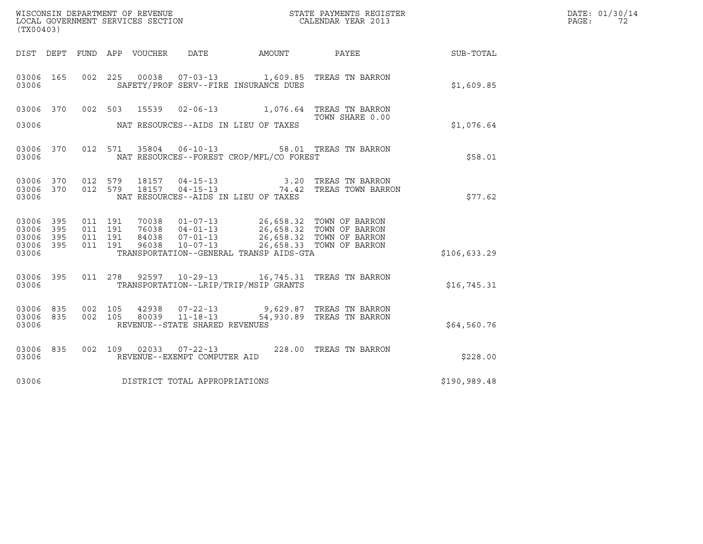|       | DATE: 01/30/14 |
|-------|----------------|
| PAGE: | 72             |

| (TX00403)                                                       |  |                                          |                        |                                |                                                                                                                                                                                                                                 |                                                                   |                 | DATE: 01/30/14<br>$\mathtt{PAGE}$ :<br>72 |
|-----------------------------------------------------------------|--|------------------------------------------|------------------------|--------------------------------|---------------------------------------------------------------------------------------------------------------------------------------------------------------------------------------------------------------------------------|-------------------------------------------------------------------|-----------------|-------------------------------------------|
|                                                                 |  |                                          |                        |                                | DIST DEPT FUND APP VOUCHER DATE AMOUNT                                                                                                                                                                                          |                                                                   | PAYEE SUB-TOTAL |                                           |
| 03006 165<br>03006                                              |  |                                          |                        |                                | SAFETY/PROF SERV--FIRE INSURANCE DUES                                                                                                                                                                                           | 002 225 00038 07-03-13 1,609.85 TREAS TN BARRON                   | \$1,609.85      |                                           |
| 03006 370<br>03006                                              |  | 002 503                                  | 15539                  |                                | NAT RESOURCES--AIDS IN LIEU OF TAXES                                                                                                                                                                                            | 02-06-13 1,076.64 TREAS TN BARRON<br>TOWN SHARE 0.00              | \$1,076.64      |                                           |
| 03006 370<br>03006                                              |  |                                          |                        |                                | NAT RESOURCES--FOREST CROP/MFL/CO FOREST                                                                                                                                                                                        | 012 571 35804 06-10-13 58.01 TREAS TN BARRON                      | \$58.01         |                                           |
| 03006 370<br>03006 370<br>03006                                 |  | 012 579                                  | 18157<br>012 579 18157 |                                | NAT RESOURCES--AIDS IN LIEU OF TAXES                                                                                                                                                                                            | 04-15-13 3.20 TREAS TN BARRON<br>04-15-13 74.42 TREAS TOWN BARRON | \$77.62         |                                           |
| 03006 395<br>03006<br>395<br>03006<br>395<br>03006 395<br>03006 |  | 011 191<br>011 191<br>011 191<br>011 191 |                        |                                | 70038  01-07-13  26,658.32  TOWN OF BARRON<br>76038  04-01-13  26,658.32  TOWN OF BARRON<br>84038  07-01-13  26,658.32  TOWN OF BARRON<br>96038  10-07-13  26,658.33  TOWN OF BARRON<br>TRANSPORTATION--GENERAL TRANSP AIDS-GTA |                                                                   | \$106,633.29    |                                           |
| 03006 395<br>03006                                              |  |                                          |                        |                                | TRANSPORTATION--LRIP/TRIP/MSIP GRANTS                                                                                                                                                                                           | 011  278  92597  10-29-13   16,745.31  TREAS TN BARRON            | \$16,745.31     |                                           |
| 03006 835<br>03006 835<br>03006                                 |  | 002 105<br>002 105                       |                        | REVENUE--STATE SHARED REVENUES |                                                                                                                                                                                                                                 |                                                                   | \$64,560.76     |                                           |
| 03006 835<br>03006                                              |  | 002 109                                  |                        | REVENUE--EXEMPT COMPUTER AID   |                                                                                                                                                                                                                                 | 02033  07-22-13  228.00  TREAS TN BARRON                          | \$228.00        |                                           |
| 03006                                                           |  |                                          |                        | DISTRICT TOTAL APPROPRIATIONS  |                                                                                                                                                                                                                                 |                                                                   | \$190,989.48    |                                           |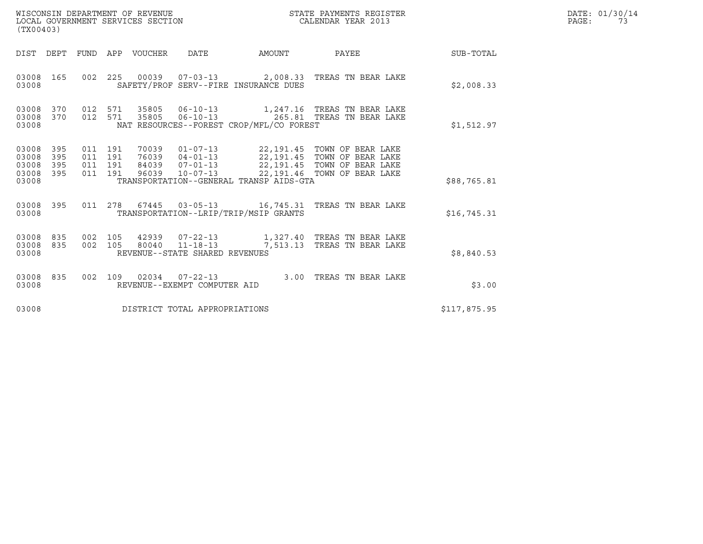| WISCONSIN DEPARTMENT OF REVENUE<br>LOCAL GOVERNMENT SERVICES SECTION<br>$\sqrt{2}$ | STATE PAYMENTS REGISTER<br>CALENDAR YEAR 2013 | DATE: 01/30/14<br>PAGE: |
|------------------------------------------------------------------------------------|-----------------------------------------------|-------------------------|

| (TX00403)                                 |                          |                                          |                    | WISCONSIN DEPARTMENT OF REVENUE<br>LOCAL GOVERNMENT SERVICES SECTION |                                                      |                                          | STATE PAYMENTS REGISTER<br>CALENDAR YEAR 2013                                         |              | DATE: 01/30/14<br>$\mathtt{PAGE}$ :<br>73 |
|-------------------------------------------|--------------------------|------------------------------------------|--------------------|----------------------------------------------------------------------|------------------------------------------------------|------------------------------------------|---------------------------------------------------------------------------------------|--------------|-------------------------------------------|
|                                           |                          |                                          |                    | DIST DEPT FUND APP VOUCHER DATE                                      |                                                      | <b>EXAMPLE TO AMOUNT</b>                 | PAYEE                                                                                 | SUB-TOTAL    |                                           |
| 03008 165<br>03008                        |                          |                                          |                    |                                                                      |                                                      | SAFETY/PROF SERV--FIRE INSURANCE DUES    | 002 225 00039 07-03-13 2,008.33 TREAS TN BEAR LAKE                                    | \$2,008.33   |                                           |
| 03008<br>03008 370<br>03008               | 370                      |                                          | 012 571<br>012 571 |                                                                      |                                                      | NAT RESOURCES--FOREST CROP/MFL/CO FOREST | 35805  06-10-13  265.81  TREAS TN BEAR LAKE                                           | \$1,512.97   |                                           |
| 03008<br>03008<br>03008<br>03008<br>03008 | 395<br>395<br>395<br>395 | 011 191<br>011 191<br>011 191<br>011 191 |                    | 70039<br>84039<br>96039                                              |                                                      | TRANSPORTATION--GENERAL TRANSP AIDS-GTA  | 01-07-13 22,191.45 TOWN OF BEAR LAKE<br>76039  04-01-13  22,191.45  TOWN OF BEAR LAKE | \$88,765.81  |                                           |
| 03008 395<br>03008                        |                          |                                          |                    |                                                                      |                                                      | TRANSPORTATION--LRIP/TRIP/MSIP GRANTS    | 011  278  67445  03-05-13   16,745.31  TREAS TN BEAR LAKE                             | \$16,745.31  |                                           |
| 03008 835<br>03008<br>03008               | 835                      | 002<br>002                               | 105                |                                                                      | 105 80040 11-18-13<br>REVENUE--STATE SHARED REVENUES |                                          | 7,513.13 TREAS TN BEAR LAKE                                                           | \$8,840.53   |                                           |
| 03008<br>03008                            | 835                      |                                          |                    |                                                                      | REVENUE--EXEMPT COMPUTER AID                         |                                          | 002 109 02034 07-22-13 3.00 TREAS TN BEAR LAKE                                        | \$3.00       |                                           |
| 03008                                     |                          |                                          |                    |                                                                      | DISTRICT TOTAL APPROPRIATIONS                        |                                          |                                                                                       | \$117,875.95 |                                           |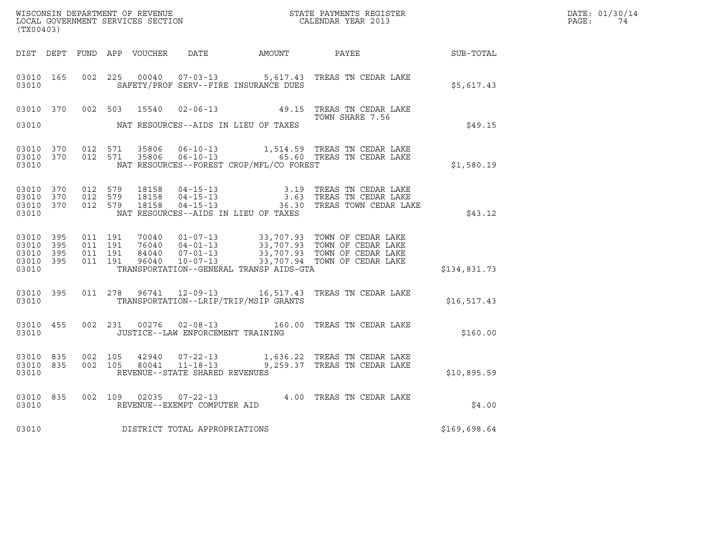|       | DATE: 01/30/14 |
|-------|----------------|
| PAGE: | 74             |

| (TX00403)                                                 |  |  |  |  |                                     |                                            |                                                                                                                                                                                                                                                          | $R = \frac{1}{2}$ | DATE: 01/30/14<br>PAGE: 74 |
|-----------------------------------------------------------|--|--|--|--|-------------------------------------|--------------------------------------------|----------------------------------------------------------------------------------------------------------------------------------------------------------------------------------------------------------------------------------------------------------|-------------------|----------------------------|
|                                                           |  |  |  |  |                                     |                                            | DIST DEPT FUND APP VOUCHER DATE AMOUNT PAYEE PAYES                                                                                                                                                                                                       |                   |                            |
| 03010                                                     |  |  |  |  |                                     | SAFETY/PROF SERV--FIRE INSURANCE DUES      | 03010 165 002 225 00040 07-03-13 5,617.43 TREAS TN CEDAR LAKE                                                                                                                                                                                            | \$5,617.43        |                            |
|                                                           |  |  |  |  |                                     |                                            | 03010 370 002 503 15540 02-06-13 49.15 TREAS TN CEDAR LAKE<br>TOWN SHARE 7.56                                                                                                                                                                            |                   |                            |
|                                                           |  |  |  |  |                                     | 03010 NAT RESOURCES--AIDS IN LIEU OF TAXES |                                                                                                                                                                                                                                                          | \$49.15           |                            |
| 03010 370<br>03010 370<br>03010                           |  |  |  |  |                                     | NAT RESOURCES--FOREST CROP/MFL/CO FOREST   | 012 571 35806 06-10-13 1,514.59 TREAS TN CEDAR LAKE<br>012 571 35806 06-10-13 65.60 TREAS TN CEDAR LAKE                                                                                                                                                  | \$1,580.19        |                            |
| 03010 370<br>03010 370<br>03010 370<br>03010              |  |  |  |  |                                     | NAT RESOURCES--AIDS IN LIEU OF TAXES       | 012 579 18158 04-15-13 3.19 TREAS TN CEDAR LAKE<br>012 579 18158 04-15-13 3.63 TREAS TN CEDAR LAKE<br>012 579 18158 04-15-13 36.30 TREAS TOWN CEDAR LAKE                                                                                                 | \$43.12           |                            |
| 03010 395<br>03010 395<br>03010 395<br>03010 395<br>03010 |  |  |  |  |                                     | TRANSPORTATION--GENERAL TRANSP AIDS-GTA    |                                                                                                                                                                                                                                                          | \$134,831.73      |                            |
| 03010                                                     |  |  |  |  |                                     | TRANSPORTATION--LRIP/TRIP/MSIP GRANTS      | 03010 395 011 278 96741 12-09-13 16,517.43 TREAS TN CEDAR LAKE                                                                                                                                                                                           | \$16,517.43       |                            |
| 03010                                                     |  |  |  |  |                                     | JUSTICE--LAW ENFORCEMENT TRAINING          | 03010 455 002 231 00276 02-08-13 160.00 TREAS TN CEDAR LAKE                                                                                                                                                                                              | \$160.00          |                            |
| 03010                                                     |  |  |  |  | REVENUE--STATE SHARED REVENUES      |                                            | $\begin{array}{cccccc} 03010 & 835 & 002 & 105 & 42940 & 07\texttt{-}22\texttt{-}13 & & 1,636.22 & \texttt{TREAS TN CEDAR LAKE} \\ 03010 & 835 & 002 & 105 & 80041 & 11\texttt{-}18\texttt{-}13 & & 9,259.37 & \texttt{TREAS TN CEDAR LAKE} \end{array}$ | \$10,895.59       |                            |
|                                                           |  |  |  |  |                                     |                                            | 03010 835 002 109 02035 07-22-13 4.00 TREAS TN CEDAR LAKE 03010 REVENUE--EXEMPT COMPUTER AID                                                                                                                                                             | \$4.00            |                            |
|                                                           |  |  |  |  | 03010 DISTRICT TOTAL APPROPRIATIONS |                                            |                                                                                                                                                                                                                                                          | \$169,698.64      |                            |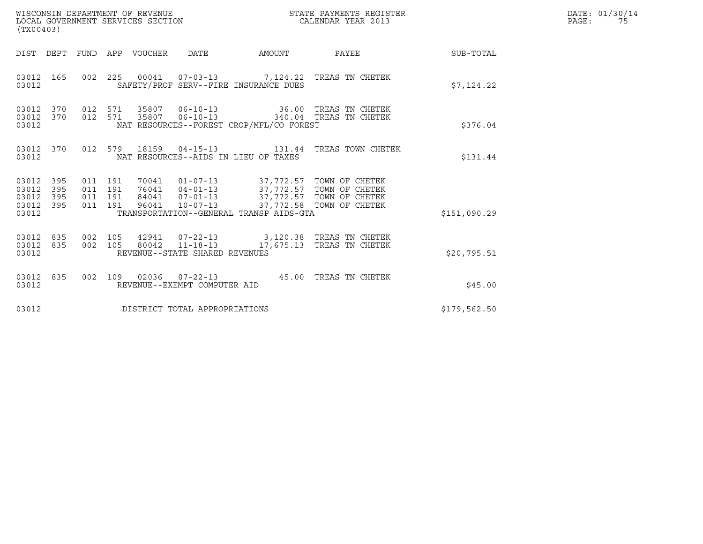| ${\tt WISCONSIM DEPARTMENT OF REVENUE} {\tt NISCONMIN S REGIS:} {\tt LOCALENDAR YEAR 2013}$<br>LOCAL GOVERNMENT SERVICES SECTION<br>(TX00403) |            |                                          |  |                                 |                                |                                          | STATE PAYMENTS REGISTER                                                                            |              | DATE: 01/30/14<br>$\mathtt{PAGE}$ :<br>75 |
|-----------------------------------------------------------------------------------------------------------------------------------------------|------------|------------------------------------------|--|---------------------------------|--------------------------------|------------------------------------------|----------------------------------------------------------------------------------------------------|--------------|-------------------------------------------|
|                                                                                                                                               |            |                                          |  | DIST DEPT FUND APP VOUCHER DATE |                                |                                          | AMOUNT PAYEE SUB-TOTAL                                                                             |              |                                           |
| 03012 165<br>03012                                                                                                                            |            |                                          |  |                                 |                                | SAFETY/PROF SERV--FIRE INSURANCE DUES    | 002 225 00041 07-03-13 7,124.22 TREAS TN CHETEK                                                    | \$7,124.22   |                                           |
| 03012 370<br>03012                                                                                                                            |            | 012 571                                  |  |                                 |                                | NAT RESOURCES--FOREST CROP/MFL/CO FOREST | 03012 370 012 571 35807 06-10-13 36.00 TREAS TN CHETEK<br>35807  06-10-13  340.04  TREAS TN CHETEK | \$376.04     |                                           |
| 03012 370<br>03012                                                                                                                            |            |                                          |  |                                 |                                | NAT RESOURCES--AIDS IN LIEU OF TAXES     | 012 579 18159 04-15-13 131.44 TREAS TOWN CHETEK                                                    | \$131.44     |                                           |
| 03012 395<br>03012<br>03012<br>03012 395<br>03012                                                                                             | 395<br>395 | 011 191<br>011 191<br>011 191<br>011 191 |  |                                 |                                | TRANSPORTATION--GENERAL TRANSP AIDS-GTA  |                                                                                                    | \$151,090.29 |                                           |
| 03012 835<br>03012 835<br>03012                                                                                                               |            | 002 105                                  |  |                                 | REVENUE--STATE SHARED REVENUES |                                          | 42941 07-22-13 3,120.38 TREAS TN CHETEK<br>002 105 80042 11-18-13 17,675.13 TREAS TN CHETEK        | \$20,795.51  |                                           |
| 03012 835<br>03012                                                                                                                            |            | 002 109                                  |  |                                 | REVENUE--EXEMPT COMPUTER AID   |                                          | 02036  07-22-13  45.00  TREAS TN CHETEK                                                            | \$45.00      |                                           |
| 03012                                                                                                                                         |            |                                          |  |                                 | DISTRICT TOTAL APPROPRIATIONS  |                                          |                                                                                                    | \$179,562.50 |                                           |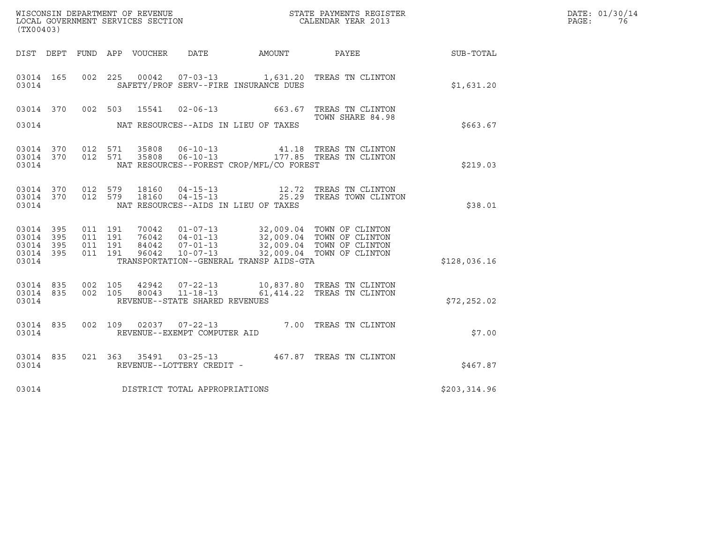| (TX00403)               |            |            |            | WISCONSIN DEPARTMENT OF REVENUE<br>LOCAL GOVERNMENT SERVICES SECTION |                                  |                                                        | STATE PAYMENTS REGISTER<br>CALENDAR YEAR 2013 |            | DATE: 01/30/14<br>PAGE:<br>76 |
|-------------------------|------------|------------|------------|----------------------------------------------------------------------|----------------------------------|--------------------------------------------------------|-----------------------------------------------|------------|-------------------------------|
| DIST                    | DEPT       | FUND       | APP        | VOUCHER                                                              | DATE                             | AMOUNT                                                 | PAYEE                                         | SUB-TOTAL  |                               |
| 03014 165<br>03014      |            | 002        | 225        | 00042                                                                |                                  | SAFETY/PROF SERV--FIRE INSURANCE DUES                  | 07-03-13 1,631.20 TREAS TN CLINTON            | \$1,631.20 |                               |
| 03014 370<br>03014      |            | 002        | 503        |                                                                      | 15541 02-06-13                   | 663.67<br>NAT RESOURCES--AIDS IN LIEU OF TAXES         | TREAS TN CLINTON<br>TOWN SHARE 84.98          | \$663.67   |                               |
| 03014<br>03014<br>03014 | 370<br>370 | 012<br>012 | 571<br>571 | 35808<br>35808                                                       | $06 - 10 - 13$<br>$06 - 10 - 13$ | 41.18<br>NAT RESOURCES--FOREST CROP/MFL/CO FOREST      | TREAS TN CLINTON<br>177.85 TREAS TN CLINTON   | \$219.03   |                               |
| 03014<br>03014<br>03014 | 370<br>370 | 012<br>012 | 579<br>579 | 18160<br>18160                                                       | 04-15-13<br>$04 - 15 - 13$       | 12.72<br>25.29<br>NAT RESOURCES--AIDS IN LIEU OF TAXES | TREAS TN CLINTON<br>TREAS TOWN CLINTON        | \$38.01    |                               |

| 03014                                                                 |                          | \$38.01                  |                                  |                                                                      |                                                                                                                                                             |  |              |
|-----------------------------------------------------------------------|--------------------------|--------------------------|----------------------------------|----------------------------------------------------------------------|-------------------------------------------------------------------------------------------------------------------------------------------------------------|--|--------------|
| 395<br>03014<br>395<br>03014<br>395<br>03014<br>395<br>03014<br>03014 | 011<br>011<br>011<br>011 | 191<br>191<br>191<br>191 | 70042<br>76042<br>84042<br>96042 | $01 - 07 - 13$<br>$04 - 01 - 13$<br>$07 - 01 - 13$<br>$10 - 07 - 13$ | 32,009.04 TOWN OF CLINTON<br>32,009.04 TOWN OF CLINTON<br>32,009.04 TOWN OF CLINTON<br>32,009.04 TOWN OF CLINTON<br>TRANSPORTATION--GENERAL TRANSP AIDS-GTA |  | \$128,036.16 |
|                                                                       |                          |                          |                                  |                                                                      |                                                                                                                                                             |  |              |

| 03014                                                                         | TRANSPORTATION--GENERAL TRANSP AIDS-GTA |  |                                |  |                                                          |             |  |  |
|-------------------------------------------------------------------------------|-----------------------------------------|--|--------------------------------|--|----------------------------------------------------------|-------------|--|--|
| 03014 835 002 105 42942 07-22-13<br>03014 835 002 105 80043 11-18-13<br>03014 |                                         |  | REVENUE--STATE SHARED REVENUES |  | 10,837.80 TREAS TN CLINTON<br>61,414.22 TREAS TN CLINTON | \$72,252.02 |  |  |

| 03014              |         | REVENUE--STATE SHARED REVENUES                           |        |                  | \$72,252.02 |
|--------------------|---------|----------------------------------------------------------|--------|------------------|-------------|
| 03014 835<br>03014 | 002     | 02037<br>109<br>07-22-13<br>REVENUE--EXEMPT COMPUTER AID | 7.00   | TREAS TN CLINTON | \$7.00      |
| 03014 835<br>03014 | 021 363 | 35491<br>$03 - 25 - 13$<br>REVENUE--LOTTERY CREDIT -     | 467.87 | TREAS TN CLINTON | \$467.87    |

| 03014 | REVENUE--LOTTERY CREDIT -     | S467.87      |
|-------|-------------------------------|--------------|
| 03014 | DISTRICT TOTAL APPROPRIATIONS | \$203,314.96 |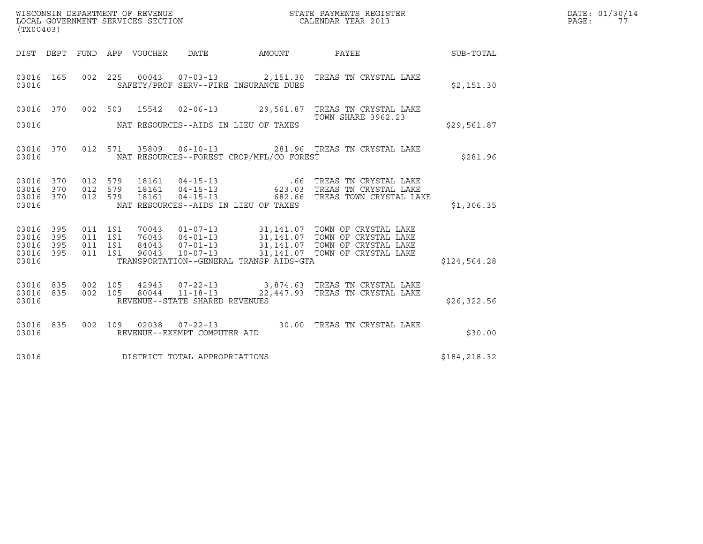| %WISCONSIN DEPARTMENT OF REVENUE $$\tt STATE~PAYMENTS~REGISTER$ LOCAL GOVERNMENT SERVICES SECTION $$\tt CALENDAR~YEAR~2013$$<br>(TX00403) |     |                                         |         |  |                                |                                          |                                                                                                                                                           |              | DATE: 01/30/14<br>PAGE: 77 |
|-------------------------------------------------------------------------------------------------------------------------------------------|-----|-----------------------------------------|---------|--|--------------------------------|------------------------------------------|-----------------------------------------------------------------------------------------------------------------------------------------------------------|--------------|----------------------------|
|                                                                                                                                           |     |                                         |         |  |                                |                                          | DIST DEPT FUND APP VOUCHER DATE AMOUNT PAYEE SUB-TOTAL                                                                                                    |              |                            |
| 03016 165<br>03016                                                                                                                        |     |                                         |         |  |                                | SAFETY/PROF SERV--FIRE INSURANCE DUES    | 002 225 00043 07-03-13 2,151.30 TREAS TN CRYSTAL LAKE                                                                                                     | \$2,151.30   |                            |
|                                                                                                                                           |     |                                         |         |  |                                |                                          | 03016 370 002 503 15542 02-06-13 29,561.87 TREAS TN CRYSTAL LAKE                                                                                          |              |                            |
| 03016                                                                                                                                     |     |                                         |         |  |                                | NAT RESOURCES--AIDS IN LIEU OF TAXES     | <b>TOWN SHARE 3962.23</b>                                                                                                                                 | \$29,561.87  |                            |
| 03016                                                                                                                                     |     |                                         |         |  |                                | NAT RESOURCES--FOREST CROP/MFL/CO FOREST | 03016 370 012 571 35809 06-10-13 281.96 TREAS TN CRYSTAL LAKE                                                                                             | \$281.96     |                            |
| 03016 370<br>03016 370<br>03016                                                                                                           |     | 03016 370 012 579<br>012 579<br>012 579 |         |  |                                | NAT RESOURCES--AIDS IN LIEU OF TAXES     | 18161   04-15-13   66   TREAS TN CRYSTAL LAKE<br>18161   04-15-13   623.03   TREAS TN CRYSTAL LAKE<br>18161   04-15-13   682.66   TREAS TOWN CRYSTAL LAKE | \$1,306.35   |                            |
| 03016 395<br>03016<br>03016 395<br>03016 395<br>03016                                                                                     | 395 | 011 191<br>011 191<br>011 191           | 011 191 |  |                                | TRANSPORTATION--GENERAL TRANSP AIDS-GTA  |                                                                                                                                                           | \$124,564.28 |                            |
| 03016 835<br>03016 835<br>03016                                                                                                           |     | 002 105                                 |         |  | REVENUE--STATE SHARED REVENUES |                                          | 42943  07-22-13  3,874.63  TREAS TN CRYSTAL LAKE<br>002 105 80044 11-18-13 22,447.93 TREAS TN CRYSTAL LAKE                                                | \$26, 322.56 |                            |
| 03016 835<br>03016                                                                                                                        |     |                                         |         |  | REVENUE--EXEMPT COMPUTER AID   |                                          | 002 109 02038 07-22-13 30.00 TREAS TN CRYSTAL LAKE                                                                                                        | \$30.00      |                            |
| 03016                                                                                                                                     |     |                                         |         |  | DISTRICT TOTAL APPROPRIATIONS  |                                          |                                                                                                                                                           | \$184,218.32 |                            |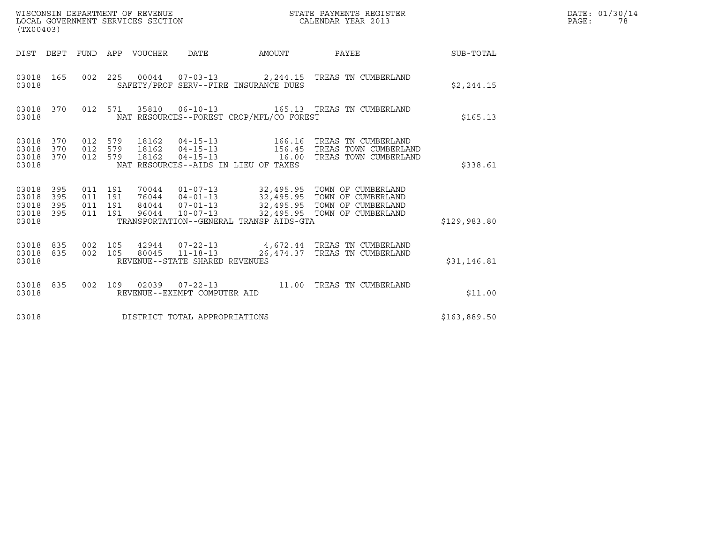| (TX00403)                                         |            |                                          | WISCONSIN DEPARTMENT OF REVENUE<br>LOCAL GOVERNMENT SERVICES SECTION |                                |                                          | STATE PAYMENTS REGISTER<br>CALENDAR YEAR 2013                                                                                                                                                        |              | DATE: 01/30/14<br>PAGE:<br>78 |
|---------------------------------------------------|------------|------------------------------------------|----------------------------------------------------------------------|--------------------------------|------------------------------------------|------------------------------------------------------------------------------------------------------------------------------------------------------------------------------------------------------|--------------|-------------------------------|
|                                                   |            |                                          | DIST DEPT FUND APP VOUCHER DATE                                      |                                | AMOUNT                                   | PAYEE SUB-TOTAL                                                                                                                                                                                      |              |                               |
| 03018 165<br>03018                                |            |                                          |                                                                      |                                | SAFETY/PROF SERV--FIRE INSURANCE DUES    | 002  225  00044  07-03-13  2,244.15  TREAS TN CUMBERLAND                                                                                                                                             | \$2,244.15   |                               |
| 03018                                             |            |                                          |                                                                      |                                | NAT RESOURCES--FOREST CROP/MFL/CO FOREST | 03018 370 012 571 35810 06-10-13 165.13 TREAS TN CUMBERLAND                                                                                                                                          | \$165.13     |                               |
| 03018 370<br>03018<br>03018 370<br>03018          | 370        | 012 579<br>012 579<br>012 579            |                                                                      |                                | NAT RESOURCES--AIDS IN LIEU OF TAXES     | 18162  04-15-13   16.00 TREAS TOWN CUMBERLAND                                                                                                                                                        | \$338.61     |                               |
| 03018 395<br>03018<br>03018<br>03018 395<br>03018 | 395<br>395 | 011 191<br>011 191<br>011 191<br>011 191 |                                                                      |                                | TRANSPORTATION--GENERAL TRANSP AIDS-GTA  | 70044  01-07-13  32,495.95  TOWN OF CUMBERLAND<br>76044  04-01-13  32,495.95  TOWN OF CUMBERLAND<br>84044  07-01-13  32,495.95  TOWN OF CUMBERLAND<br>96044  10-07-13  32,495.95  TOWN OF CUMBERLAND | \$129,983.80 |                               |
| 03018<br>03018 835<br>03018                       | 835        | 002 105                                  |                                                                      | REVENUE--STATE SHARED REVENUES |                                          | 42944  07-22-13  4,672.44  TREAS TN CUMBERLAND<br>002 105 80045 11-18-13 26,474.37 TREAS TN CUMBERLAND                                                                                               | \$31,146.81  |                               |
| 03018                                             |            | 03018 835 002 109                        |                                                                      | REVENUE--EXEMPT COMPUTER AID   |                                          |                                                                                                                                                                                                      | \$11.00      |                               |
| 03018                                             |            |                                          |                                                                      | DISTRICT TOTAL APPROPRIATIONS  |                                          |                                                                                                                                                                                                      | \$163,889.50 |                               |

WISCONSIN DEPARTMENT OF REVENUE<br>LOCAL GOVERNMENT SERVICES SECTION STATE PAYMENTS REGISTER SECONDER STATE PASSES OF SAMENTS REGISTER<br>DOCAL GOVERNMENT SERVICES SECTION SECONDER SERVICES OF SECONDAR YEAR 2013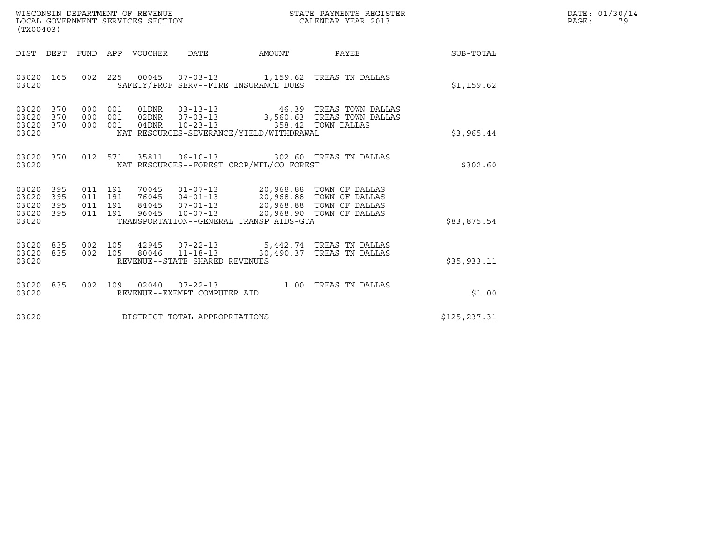| WISCONSIN DEPARTMENT OF REVENUE   | STATE PAYMENTS REGISTER | DATE: 01/30/14 |
|-----------------------------------|-------------------------|----------------|
| LOCAL GOVERNMENT SERVICES SECTION | CALENDAR YEAR 2013      | PAGE:          |

| WISCONSIN DEPARTMENT OF REVENUE<br>LOCAL GOVERNMENT SERVICES SECTION<br>(TX00403) |            |  |                                          |                                 |                                |                                                                                                                            | STATE PAYMENTS REGISTER<br>STATE PAYMENTS REGIS<br>CALENDAR YEAR 2013                               |               | DATE: 01/30/14<br>PAGE:<br>79 |
|-----------------------------------------------------------------------------------|------------|--|------------------------------------------|---------------------------------|--------------------------------|----------------------------------------------------------------------------------------------------------------------------|-----------------------------------------------------------------------------------------------------|---------------|-------------------------------|
|                                                                                   |            |  |                                          | DIST DEPT FUND APP VOUCHER DATE |                                |                                                                                                                            | AMOUNT PAYEE                                                                                        | SUB-TOTAL     |                               |
| 03020 165<br>03020                                                                |            |  |                                          |                                 |                                | SAFETY/PROF SERV--FIRE INSURANCE DUES                                                                                      | 002  225  00045  07-03-13  1,159.62  TREAS TN DALLAS                                                | \$1,159.62    |                               |
| 03020 370<br>03020<br>03020<br>03020                                              | 370<br>370 |  | 000 001<br>000 001                       | 000 001 04DNR                   |                                | 10-23-13 358.42 TOWN DALLAS<br>NAT RESOURCES-SEVERANCE/YIELD/WITHDRAWAL                                                    | 01DNR  03-13-13  46.39 TREAS TOWN DALLAS<br>02DNR  07-03-13  3,560.63  TREAS TOWN DALLAS            | \$3,965.44    |                               |
| 03020 370<br>03020                                                                |            |  |                                          |                                 |                                | NAT RESOURCES--FOREST CROP/MFL/CO FOREST                                                                                   | 012 571 35811 06-10-13 302.60 TREAS TN DALLAS                                                       | \$302.60      |                               |
| 03020 395<br>03020<br>03020<br>03020 395<br>03020                                 | 395<br>395 |  | 011 191<br>011 191<br>011 191<br>011 191 | 76045<br>84045<br>96045         |                                | 70045  01-07-13  20,968.88  TOWN OF DALLAS<br>04-01-13 20,968.88 TOWN OF DALLAS<br>TRANSPORTATION--GENERAL TRANSP AIDS-GTA |                                                                                                     | \$83,875.54   |                               |
| 03020<br>03020 835<br>03020                                                       | 835        |  |                                          |                                 | REVENUE--STATE SHARED REVENUES |                                                                                                                            | 002 105 42945 07-22-13 5,442.74 TREAS TN DALLAS<br>002 105 80046 11-18-13 30,490.37 TREAS TN DALLAS | \$35,933.11   |                               |
| 03020 835<br>03020                                                                |            |  |                                          |                                 | REVENUE--EXEMPT COMPUTER AID   |                                                                                                                            | 002 109 02040 07-22-13 1.00 TREAS TN DALLAS                                                         | \$1.00        |                               |
| 03020                                                                             |            |  |                                          |                                 | DISTRICT TOTAL APPROPRIATIONS  |                                                                                                                            |                                                                                                     | \$125, 237.31 |                               |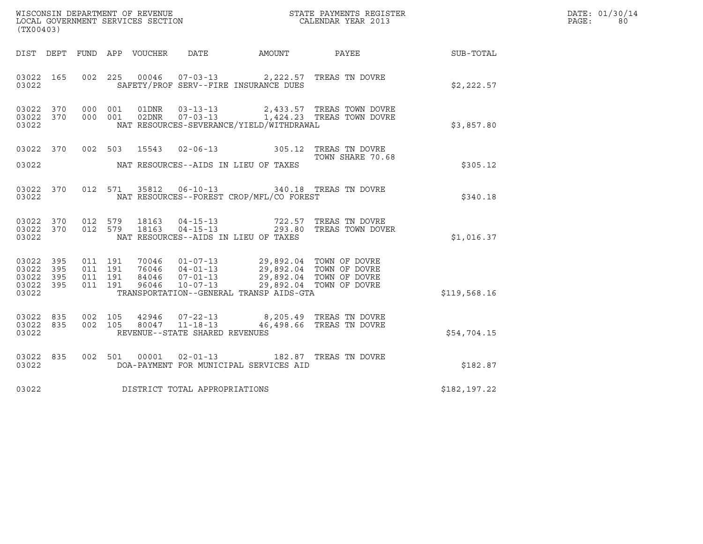| (TX00403)                                                 |           |                                          |  |                |                                                                    |                                                                                                                                                                                |                                                                                                                                                                   |              | DATE: 01/30/14<br>PAGE:<br>80 |
|-----------------------------------------------------------|-----------|------------------------------------------|--|----------------|--------------------------------------------------------------------|--------------------------------------------------------------------------------------------------------------------------------------------------------------------------------|-------------------------------------------------------------------------------------------------------------------------------------------------------------------|--------------|-------------------------------|
|                                                           |           |                                          |  |                |                                                                    |                                                                                                                                                                                | DIST DEPT FUND APP VOUCHER DATE AMOUNT PAYEE                                                                                                                      | SUB-TOTAL    |                               |
| 03022 165<br>03022                                        |           |                                          |  |                |                                                                    | SAFETY/PROF SERV--FIRE INSURANCE DUES                                                                                                                                          | 002 225 00046 07-03-13 2,222.57 TREAS TN DOVRE                                                                                                                    | \$2,222.57   |                               |
| 03022 370<br>03022                                        |           | 03022 370 000 001<br>000 001             |  |                |                                                                    | NAT RESOURCES-SEVERANCE/YIELD/WITHDRAWAL                                                                                                                                       | $\begin{array}{lllllll} 01\text{DNR} & 03-13-13 & 2,433.57 & \text{TREAS TOWN DOVER} \\ 02\text{DNR} & 07-03-13 & 1,424.23 & \text{TREAS TOWN DOVER} \end{array}$ | \$3,857.80   |                               |
| 03022                                                     |           |                                          |  |                | NAT RESOURCES--AIDS IN LIEU OF TAXES                               |                                                                                                                                                                                | 03022 370 002 503 15543 02-06-13 305.12 TREAS TN DOVRE<br>TOWN SHARE 70.68                                                                                        | \$305.12     |                               |
| 03022                                                     |           |                                          |  |                |                                                                    | NAT RESOURCES--FOREST CROP/MFL/CO FOREST                                                                                                                                       | 03022 370 012 571 35812 06-10-13 340.18 TREAS TN DOVRE                                                                                                            | \$340.18     |                               |
| 03022                                                     |           | 03022 370 012 579<br>03022 370 012 579   |  | 18163<br>18163 | NAT RESOURCES--AIDS IN LIEU OF TAXES                               |                                                                                                                                                                                | 04-15-13 722.57 TREAS TN DOVRE<br>04-15-13 293.80 TREAS TOWN DOVE<br>293.80 TREAS TOWN DOVER                                                                      | \$1,016.37   |                               |
| 03022 395<br>03022 395<br>03022 395<br>03022 395<br>03022 |           | 011 191<br>011 191<br>011 191<br>011 191 |  |                | 96046  10-07-13                                                    | 70046  01-07-13  29,892.04  TOWN OF DOVRE<br>76046  04-01-13  29,892.04  TOWN OF DOVRE<br>84046  07-01-13  29,892.04  TOWN OF DOVRE<br>TRANSPORTATION--GENERAL TRANSP AIDS-GTA | 29,892.04 TOWN OF DOVRE                                                                                                                                           | \$119,568.16 |                               |
| 03022 835<br>03022                                        | 03022 835 | 002 105<br>002 105                       |  |                | 42946 07-22-13<br>80047 11-18-13<br>REVENUE--STATE SHARED REVENUES |                                                                                                                                                                                | 8,205.49 TREAS TN DOVRE<br>46,498.66 TREAS TN DOVRE                                                                                                               | \$54,704.15  |                               |
| 03022                                                     | 03022 835 |                                          |  |                |                                                                    | DOA-PAYMENT FOR MUNICIPAL SERVICES AID                                                                                                                                         | 002 501 00001 02-01-13 182.87 TREAS TN DOVRE                                                                                                                      | \$182.87     |                               |
| 03022                                                     |           |                                          |  |                | DISTRICT TOTAL APPROPRIATIONS                                      |                                                                                                                                                                                |                                                                                                                                                                   | \$182,197.22 |                               |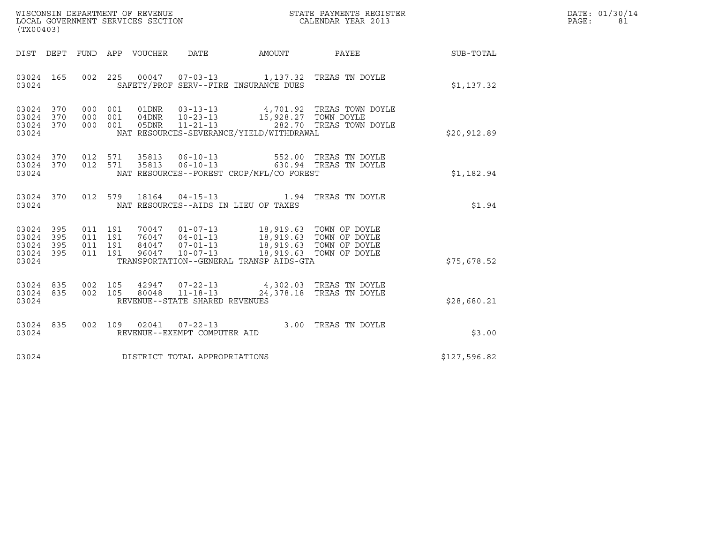| WISCONSIN DEPARTMENT OF REVENUE   | STATE PAYMENTS REGISTER | DATE: 01/30/14 |
|-----------------------------------|-------------------------|----------------|
| LOCAL GOVERNMENT SERVICES SECTION | CALENDAR YEAR 2013      | PAGE:          |

| WISCONSIN DEPARTMENT OF REVENUE<br>LOCAL GOVERNMENT SERVICES SECTION<br>CALENDAR YEAR 2013<br>(TX00403)                                                                                                                                                                                                      |  |              | DATE: 01/30/14<br>PAGE:<br>81 |
|--------------------------------------------------------------------------------------------------------------------------------------------------------------------------------------------------------------------------------------------------------------------------------------------------------------|--|--------------|-------------------------------|
| DIST DEPT FUND APP VOUCHER DATE AMOUNT PAYEE TO SUB-TOTAL                                                                                                                                                                                                                                                    |  |              |                               |
| 03024 165 002 225 00047 07-03-13 1,137.32 TREAS TN DOYLE<br>SAFETY/PROF SERV--FIRE INSURANCE DUES<br>03024                                                                                                                                                                                                   |  | \$1,137.32   |                               |
| 000 001 01DNR 03-13-13 4,701.92 TREAS TOWN DOYLE<br>000 001 04DNR 10-23-13 15,928.27 TOWN DOYLE<br>000 001 05DNR 11-21-13 282.70 TREAS TOWN DOYLE<br>03024 370<br>03024 370<br>03024 370<br>03024 NAT RESOURCES-SEVERANCE/YIELD/WITHDRAWAL                                                                   |  | \$20,912.89  |                               |
| $\begin{array}{cccccccc} 03024 & 370 & 012 & 571 & 35813 & 06-10-13 & & & 552.00 & \text{TREAS TN DOVLE} \\ 03024 & 370 & 012 & 571 & 35813 & 06-10-13 & & & 630.94 & \text{TREAS TN DOVLE} \end{array}$<br>03024 NAT RESOURCES--FOREST CROP/MFL/CO FOREST                                                   |  | \$1,182.94   |                               |
| 03024 370 012 579 18164 04-15-13 1.94 TREAS TN DOYLE<br>03024 NAT RESOURCES--AIDS IN LIEU OF TAXES                                                                                                                                                                                                           |  | \$1.94       |                               |
| 011 191 70047 01-07-13 18,919.63 TOWN OF DOYLE<br>011 191 76047 04-01-13 18,919.63 TOWN OF DOYLE<br>011 191 84047 07-01-13 18,919.63 TOWN OF DOYLE<br>011 191 96047 10-07-13 18,919.63 TOWN OF DOYLE<br>03024 395<br>03024 395<br>03024 395<br>03024 395<br>TRANSPORTATION--GENERAL TRANSP AIDS-GTA<br>03024 |  | \$75,678.52  |                               |
| 03024 835 002 105 42947 07-22-13 4,302.03 TREAS TN DOYLE<br>03024 835 002 105 80048 11-18-13 24,378.18 TREAS TN DOYLE<br>03024<br>REVENUE--STATE SHARED REVENUES                                                                                                                                             |  | \$28,680.21  |                               |
| $\begin{array}{cccc} 03024 & 835 & 002 & 109 & 02041 & 07-22-13 & 3.00 & \text{TREAS TN DOVLE} \\ 03024 & \text{REVENUE--EXEMPT COMPUTER AID & \end{array}$                                                                                                                                                  |  | \$3.00       |                               |
| 03024 DISTRICT TOTAL APPROPRIATIONS                                                                                                                                                                                                                                                                          |  | \$127,596.82 |                               |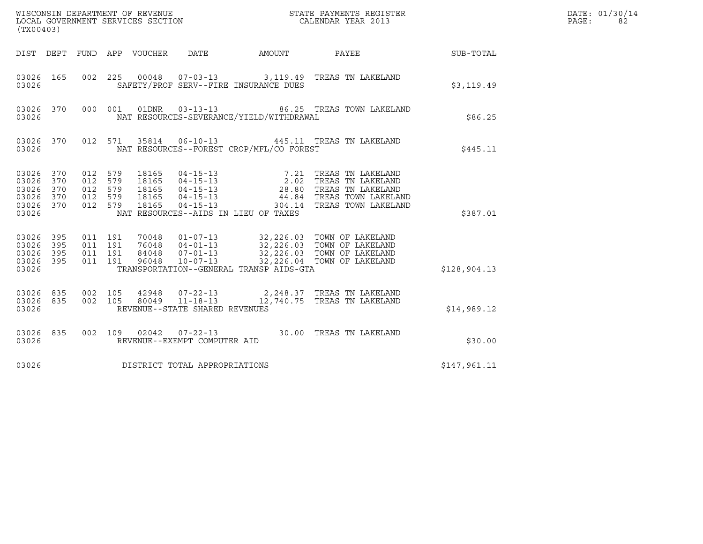| LOCAL GOVERNMENT SERVICES SECTION<br>(TX00403)             |                   |                                                     |                                          |                            |                                |                                          |                                                                                                                                                                                 |              | DATE: 01/30/14<br>PAGE:<br>82 |
|------------------------------------------------------------|-------------------|-----------------------------------------------------|------------------------------------------|----------------------------|--------------------------------|------------------------------------------|---------------------------------------------------------------------------------------------------------------------------------------------------------------------------------|--------------|-------------------------------|
|                                                            |                   |                                                     |                                          | DIST DEPT FUND APP VOUCHER | DATE                           |                                          | AMOUNT PAYEE SUB-TOTAL                                                                                                                                                          |              |                               |
| 03026 165<br>03026                                         |                   | 002 225                                             |                                          |                            |                                | SAFETY/PROF SERV--FIRE INSURANCE DUES    | 00048  07-03-13  3,119.49  TREAS TN LAKELAND                                                                                                                                    | \$3,119.49   |                               |
| 03026 370<br>03026                                         |                   |                                                     | 000 001                                  | 01DNR                      |                                | NAT RESOURCES-SEVERANCE/YIELD/WITHDRAWAL | 03-13-13 66.25 TREAS TOWN LAKELAND                                                                                                                                              | \$86.25      |                               |
| 03026 370<br>03026                                         |                   |                                                     | 012 571                                  | 35814                      | $06 - 10 - 13$                 | NAT RESOURCES--FOREST CROP/MFL/CO FOREST | 445.11 TREAS TN LAKELAND                                                                                                                                                        | \$445.11     |                               |
| 03026 370<br>03026<br>03026<br>03026<br>03026 370<br>03026 | 370<br>370<br>370 | 012 579<br>012 579<br>012 579<br>012 579<br>012 579 |                                          |                            |                                | NAT RESOURCES--AIDS IN LIEU OF TAXES     |                                                                                                                                                                                 | \$387.01     |                               |
| 03026 395<br>03026<br>03026<br>03026 395<br>03026          | 395<br>395        |                                                     | 011 191<br>011 191<br>011 191<br>011 191 |                            |                                | TRANSPORTATION--GENERAL TRANSP AIDS-GTA  |                                                                                                                                                                                 | \$128,904.13 |                               |
| 03026 835<br>03026                                         |                   | 03026 835 002 105<br>002 105                        |                                          |                            | REVENUE--STATE SHARED REVENUES |                                          | $\begin{array}{cccc} 42948 & 07\hbox{-}22\hbox{-}13 & 2,248.37 & \text{TREAS TN LAKELAND} \\ 80049 & 11\hbox{-}18\hbox{-}13 & 12,740.75 & \text{TREAS TN LAKELAND} \end{array}$ | \$14,989.12  |                               |
| 03026 835<br>03026                                         |                   |                                                     |                                          |                            | REVENUE--EXEMPT COMPUTER AID   |                                          | 002 109 02042 07-22-13 30.00 TREAS TN LAKELAND                                                                                                                                  | \$30.00      |                               |
| 03026                                                      |                   |                                                     |                                          |                            | DISTRICT TOTAL APPROPRIATIONS  |                                          |                                                                                                                                                                                 | \$147,961.11 |                               |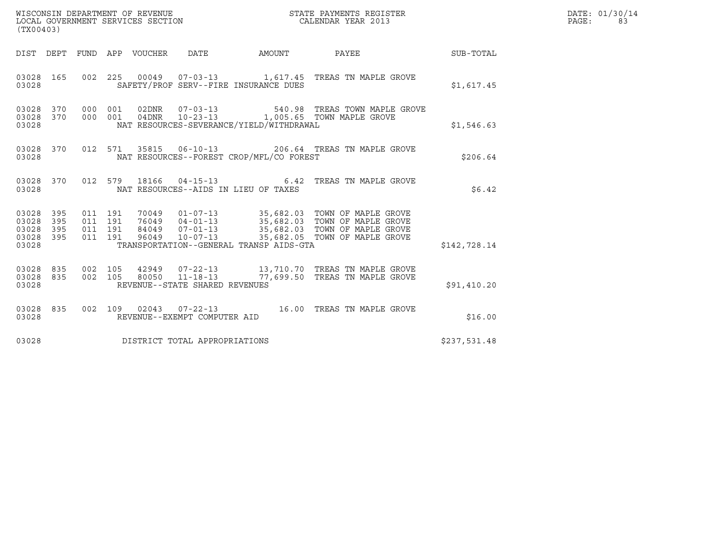| WISCONSIN DEPARTMENT OF REVENUE<br>LOCAL GOVERNMENT SERVICES SECTION<br>(TX00403) | STATE PAYMENTS REGISTER<br>CALENDAR YEAR 2013 | DATE: 01/30/14<br>PAGE: |
|-----------------------------------------------------------------------------------|-----------------------------------------------|-------------------------|

| (TX00403)                                                       |  |  |  |                                |                                          |                                                                                                                                                                                                                                   |              | DATE: 01/30/14<br>$\texttt{PAGE:}$<br>83 |
|-----------------------------------------------------------------|--|--|--|--------------------------------|------------------------------------------|-----------------------------------------------------------------------------------------------------------------------------------------------------------------------------------------------------------------------------------|--------------|------------------------------------------|
|                                                                 |  |  |  |                                | DIST DEPT FUND APP VOUCHER DATE AMOUNT   | PAYEE SUB-TOTAL                                                                                                                                                                                                                   |              |                                          |
| 03028                                                           |  |  |  |                                | SAFETY/PROF SERV--FIRE INSURANCE DUES    | 03028 165 002 225 00049 07-03-13 1,617.45 TREAS TN MAPLE GROVE                                                                                                                                                                    | \$1,617.45   |                                          |
| 03028 370<br>03028 370<br>03028                                 |  |  |  |                                | NAT RESOURCES-SEVERANCE/YIELD/WITHDRAWAL | 000 001 02DNR 07-03-13 540.98 TREAS TOWN MAPLE GROVE 600 001 04DNR 10-23-13 1,005.65 TOWN MAPLE GROVE                                                                                                                             | \$1,546.63   |                                          |
| 03028 370<br>03028                                              |  |  |  |                                | NAT RESOURCES--FOREST CROP/MFL/CO FOREST | 012 571 35815 06-10-13 206.64 TREAS TN MAPLE GROVE                                                                                                                                                                                | \$206.64     |                                          |
| 03028 370<br>03028                                              |  |  |  |                                | NAT RESOURCES--AIDS IN LIEU OF TAXES     | 012 579 18166 04-15-13 6.42 TREAS TN MAPLE GROVE                                                                                                                                                                                  | \$6.42       |                                          |
| 03028 395<br>03028<br>395<br>03028<br>395<br>03028 395<br>03028 |  |  |  |                                | TRANSPORTATION--GENERAL TRANSP AIDS-GTA  | 011  191  70049  01-07-13  35,682.03  TOWN OF MAPLE GROVE<br>011 191 76049 04-01-13 35,682.03 TOWN OF MAPLE GROVE<br>011 191 84049 07-01-13 35,682.03 TOWN OF MAPLE GROVE<br>011 191 96049 10-07-13 35,682.03 TOWN OF MAPLE GROVE | \$142,728.14 |                                          |
| 03028 835<br>03028 835<br>03028                                 |  |  |  | REVENUE--STATE SHARED REVENUES |                                          | 002 105  42949  07-22-13   13,710.70  TREAS TN MAPLE GROVE   002   105   80050   11-18-13   77,699.50  TREAS TN MAPLE GROVE                                                                                                       | \$91,410.20  |                                          |
| 03028 835<br>03028                                              |  |  |  | REVENUE--EXEMPT COMPUTER AID   |                                          | 002 109 02043 07-22-13 16.00 TREAS TN MAPLE GROVE                                                                                                                                                                                 | \$16.00      |                                          |
| 03028                                                           |  |  |  | DISTRICT TOTAL APPROPRIATIONS  |                                          |                                                                                                                                                                                                                                   | \$237,531.48 |                                          |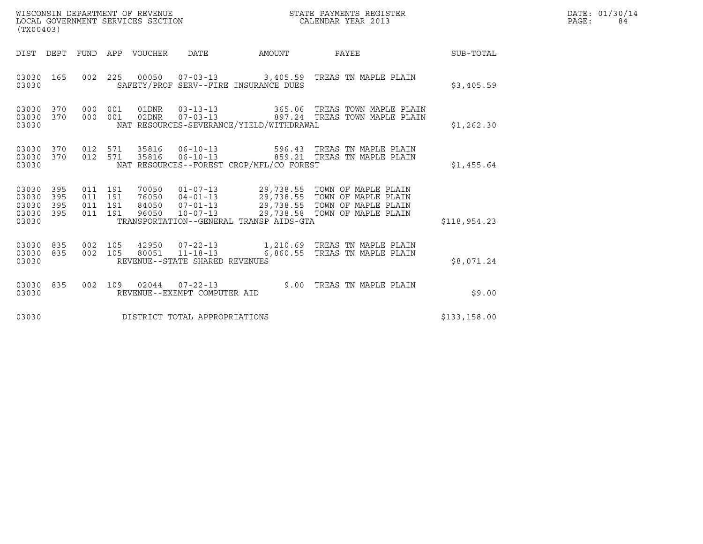| WISCONSIN DEPARTMENT OF REVENUE<br>LOCAL GOVERNMENT SERVICES SECTION<br>(TX00403) |                   |                                          |         |                                 |                                |                                          | STATE PAYMENTS REGISTER<br>CALENDAR YEAR 2013                                                                                                                                                            |              | DATE: 01/30/14<br>PAGE:<br>84 |
|-----------------------------------------------------------------------------------|-------------------|------------------------------------------|---------|---------------------------------|--------------------------------|------------------------------------------|----------------------------------------------------------------------------------------------------------------------------------------------------------------------------------------------------------|--------------|-------------------------------|
|                                                                                   |                   |                                          |         | DIST DEPT FUND APP VOUCHER DATE |                                |                                          | AMOUNT PAYEE SUB-TOTAL                                                                                                                                                                                   |              |                               |
| 03030 165<br>03030                                                                |                   |                                          |         |                                 |                                | SAFETY/PROF SERV--FIRE INSURANCE DUES    | 002 225 00050 07-03-13 3,405.59 TREAS TN MAPLE PLAIN                                                                                                                                                     | \$3,405.59   |                               |
| 03030 370<br>03030<br>03030                                                       | 370               | 000 001<br>000 001                       |         |                                 |                                | NAT RESOURCES-SEVERANCE/YIELD/WITHDRAWAL |                                                                                                                                                                                                          | \$1,262.30   |                               |
| 03030 370 012 571<br>03030 370<br>03030                                           |                   |                                          | 012 571 |                                 |                                | NAT RESOURCES--FOREST CROP/MFL/CO FOREST | 35816  06-10-13   596.43  TREAS TN MAPLE PLAIN<br>35816  06-10-13  859.21 TREAS TN MAPLE PLAIN                                                                                                           | \$1,455.64   |                               |
| 03030 395<br>03030<br>03030<br>03030<br>03030                                     | 395<br>395<br>395 | 011 191<br>011 191<br>011 191<br>011 191 |         |                                 |                                | TRANSPORTATION--GENERAL TRANSP AIDS-GTA  | 70050  01-07-13  29,738.55  TOWN OF MAPLE PLAIN<br>76050  04-01-13  29,738.55  TOWN OF MAPLE PLAIN<br>84050  07-01-13  29,738.55  TOWN OF MAPLE PLAIN<br>96050  10-07-13  29,738.58  TOWN OF MAPLE PLAIN | \$118,954.23 |                               |
| 03030<br>03030 835<br>03030                                                       | 835               | 002 105                                  |         |                                 | REVENUE--STATE SHARED REVENUES |                                          | 42950  07-22-13   1,210.69  TREAS TN MAPLE PLAIN<br>002 105 80051 11-18-13 6,860.55 TREAS TN MAPLE PLAIN                                                                                                 | \$8,071.24   |                               |
| 03030 835<br>03030                                                                |                   |                                          |         |                                 | REVENUE--EXEMPT COMPUTER AID   |                                          | 002 109 02044 07-22-13 9.00 TREAS TN MAPLE PLAIN                                                                                                                                                         | \$9.00       |                               |
| 03030                                                                             |                   |                                          |         |                                 | DISTRICT TOTAL APPROPRIATIONS  |                                          |                                                                                                                                                                                                          | \$133,158.00 |                               |

WISCONSIN DEPARTMENT OF REVENUE<br>LOCAL GOVERNMENT SERVICES SECTION STATE PAYMENTS REGISTER SECONDER SERVICES OF SAMENTS REGISTER SERVICES SECTIO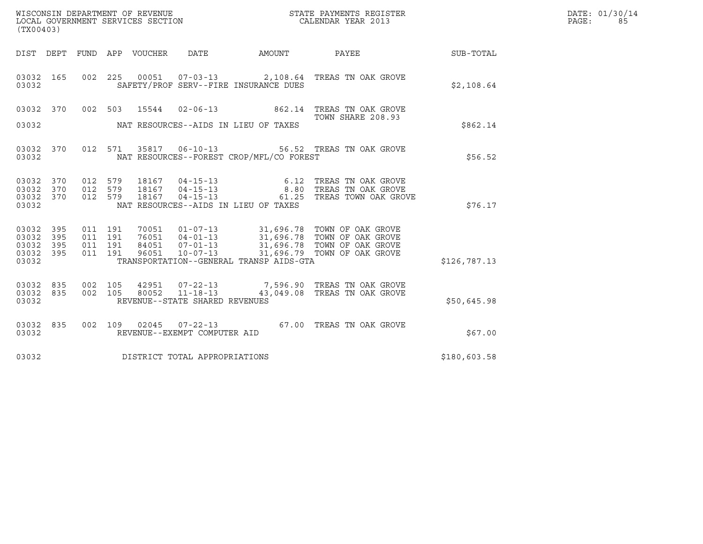| WISCONSIN DEPARTMENT OF REVENUE   | STATE PAYMENTS REGISTER | DATE: 01/30/14 |
|-----------------------------------|-------------------------|----------------|
| LOCAL GOVERNMENT SERVICES SECTION | CALENDAR YEAR 2013      | PAGE :         |

| WISCONSIN DEPARTMENT OF REVENUE<br>LOCAL GOVERNMENT SERVICES SECTION TERMS OF CALENDAR YEAR 2013<br>(TX00403) |                        |                    |         |                         |                                |                                          |                                                                                                                                                       |              | DATE: 01/30/14<br>$\mathtt{PAGE:}$<br>85 |
|---------------------------------------------------------------------------------------------------------------|------------------------|--------------------|---------|-------------------------|--------------------------------|------------------------------------------|-------------------------------------------------------------------------------------------------------------------------------------------------------|--------------|------------------------------------------|
|                                                                                                               |                        |                    |         |                         |                                |                                          | DIST DEPT FUND APP VOUCHER DATE AMOUNT PAYEE TO SUB-TOTAL                                                                                             |              |                                          |
| 03032                                                                                                         | 03032 165              |                    |         |                         |                                | SAFETY/PROF SERV--FIRE INSURANCE DUES    | 002 225 00051 07-03-13 2,108.64 TREAS TN OAK GROVE                                                                                                    | \$2,108.64   |                                          |
|                                                                                                               |                        |                    |         | 03032 370 002 503 15544 |                                |                                          | 02-06-13 862.14 TREAS TN OAK GROVE<br>TOWN SHARE 208.93                                                                                               |              |                                          |
| 03032                                                                                                         |                        |                    |         |                         |                                | NAT RESOURCES--AIDS IN LIEU OF TAXES     |                                                                                                                                                       | \$862.14     |                                          |
| 03032 370<br>03032                                                                                            |                        |                    |         |                         |                                | NAT RESOURCES--FOREST CROP/MFL/CO FOREST | 012 571 35817 06-10-13 56.52 TREAS TN OAK GROVE                                                                                                       | \$56.52      |                                          |
| 03032 370<br>03032 370<br>03032 370                                                                           |                        |                    |         |                         |                                |                                          | 012 579 18167 04-15-13 6.12 TREAS TN OAK GROVE<br>012 579 18167 04-15-13 8.80 TREAS TN OAK GROVE<br>012 579 18167 04-15-13 61.25 TREAS TOWN OAK GROVE |              |                                          |
| 03032                                                                                                         |                        |                    |         |                         |                                | NAT RESOURCES--AIDS IN LIEU OF TAXES     |                                                                                                                                                       | \$76.17      |                                          |
| 03032 395<br>03032 395                                                                                        |                        | 011 191<br>011 191 |         |                         |                                |                                          |                                                                                                                                                       |              |                                          |
| 03032 395<br>03032 395<br>03032                                                                               |                        | 011 191            | 011 191 |                         |                                | TRANSPORTATION--GENERAL TRANSP AIDS-GTA  |                                                                                                                                                       | \$126,787.13 |                                          |
| 03032                                                                                                         | 03032 835<br>03032 835 |                    |         |                         | REVENUE--STATE SHARED REVENUES |                                          |                                                                                                                                                       | \$50,645.98  |                                          |
| 03032                                                                                                         | 03032 835              |                    |         |                         | REVENUE--EXEMPT COMPUTER AID   |                                          | 002 109 02045 07-22-13 67.00 TREAS TN OAK GROVE                                                                                                       | \$67.00      |                                          |
| 03032                                                                                                         |                        |                    |         |                         | DISTRICT TOTAL APPROPRIATIONS  |                                          |                                                                                                                                                       | \$180,603.58 |                                          |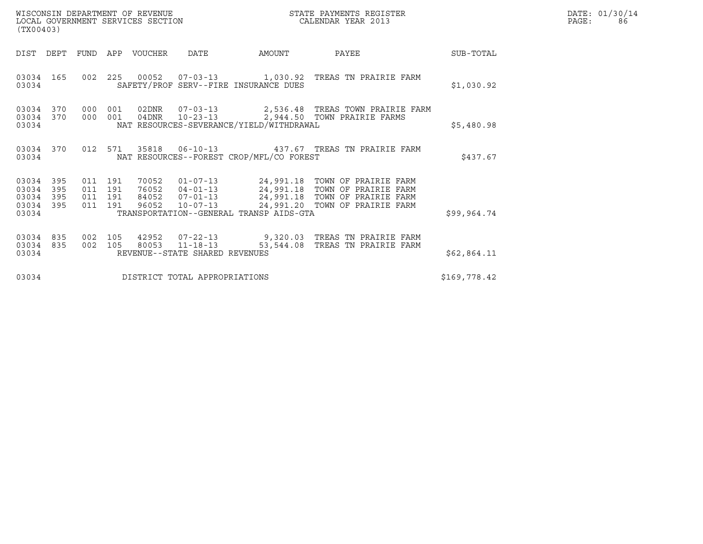| (TX00403)                                                       |                                          |                |                       | WISCONSIN DEPARTMENT OF REVENUE<br>LOCAL GOVERNMENT SERVICES SECTION |                                          | STATE PAYMENTS REGISTER<br>CALENDAR YEAR 2013                                                                                                                                                             |              | DATE: 01/30/14<br>PAGE:<br>86 |
|-----------------------------------------------------------------|------------------------------------------|----------------|-----------------------|----------------------------------------------------------------------|------------------------------------------|-----------------------------------------------------------------------------------------------------------------------------------------------------------------------------------------------------------|--------------|-------------------------------|
| DIST DEPT                                                       |                                          |                | FUND APP VOUCHER DATE |                                                                      | AMOUNT                                   | PAYEE                                                                                                                                                                                                     | SUB-TOTAL    |                               |
| 03034 165<br>03034                                              |                                          |                |                       |                                                                      | SAFETY/PROF SERV--FIRE INSURANCE DUES    | 002  225  00052  07-03-13   1,030.92  TREAS TN PRAIRIE FARM                                                                                                                                               | \$1,030.92   |                               |
| 03034 370<br>03034 370<br>03034                                 | 000                                      | 001<br>000 001 |                       |                                                                      | NAT RESOURCES-SEVERANCE/YIELD/WITHDRAWAL | 04DNR  10-23-13  2,944.50 TOWN PRAIRIE FARMS                                                                                                                                                              | \$5,480.98   |                               |
| 03034 370<br>03034                                              |                                          |                |                       |                                                                      | NAT RESOURCES--FOREST CROP/MFL/CO FOREST | 012 571 35818 06-10-13 437.67 TREAS TN PRAIRIE FARM                                                                                                                                                       | \$437.67     |                               |
| 03034 395<br>03034<br>395<br>395<br>03034<br>03034 395<br>03034 | 011 191<br>011 191<br>011 191<br>011 191 |                |                       |                                                                      | TRANSPORTATION--GENERAL TRANSP AIDS-GTA  | 70052  01-07-13  24,991.18  TOWN OF PRAIRIE FARM<br>76052  04-01-13  24,991.18  TOWN OF PRAIRIE FARM<br>84052  07-01-13  24,991.18  TOWN OF PRAIRIE FARM<br>96052 10-07-13 24,991.20 TOWN OF PRAIRIE FARM | \$99,964.74  |                               |
| 03034 835<br>03034 835<br>03034                                 | 002 105<br>002 105                       |                |                       | REVENUE--STATE SHARED REVENUES                                       |                                          | 42952  07-22-13  9,320.03  TREAS TN PRAIRIE FARM<br>80053 11-18-13 53,544.08 TREAS TN PRAIRIE FARM                                                                                                        | \$62,864.11  |                               |
| 03034                                                           |                                          |                |                       | DISTRICT TOTAL APPROPRIATIONS                                        |                                          |                                                                                                                                                                                                           | \$169,778.42 |                               |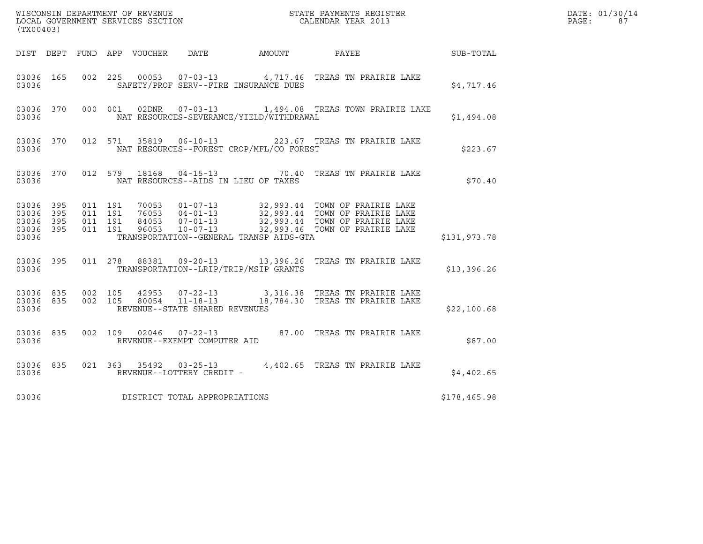| (TX00403)          |                        |                                                    |  |  |                                |                                          |                                                                                                                                                                                                              |              | DATE: 01/30/14<br>PAGE:<br>87 |
|--------------------|------------------------|----------------------------------------------------|--|--|--------------------------------|------------------------------------------|--------------------------------------------------------------------------------------------------------------------------------------------------------------------------------------------------------------|--------------|-------------------------------|
|                    |                        |                                                    |  |  |                                |                                          | DIST DEPT FUND APP VOUCHER DATE AMOUNT PAYEE TO SUB-TOTAL                                                                                                                                                    |              |                               |
| 03036              | 03036 165              |                                                    |  |  |                                | SAFETY/PROF SERV--FIRE INSURANCE DUES    | 002 225 00053 07-03-13 4,717.46 TREAS TN PRAIRIE LAKE                                                                                                                                                        | \$4,717.46   |                               |
| 03036              |                        |                                                    |  |  |                                | NAT RESOURCES-SEVERANCE/YIELD/WITHDRAWAL | 03036 370 000 001 02DNR 07-03-13 1,494.08 TREAS TOWN PRAIRIE LAKE                                                                                                                                            | \$1,494.08   |                               |
| 03036              |                        |                                                    |  |  |                                | NAT RESOURCES--FOREST CROP/MFL/CO FOREST | 03036 370 012 571 35819 06-10-13 223.67 TREAS TN PRAIRIE LAKE                                                                                                                                                | \$223.67     |                               |
| 03036              |                        |                                                    |  |  |                                | NAT RESOURCES--AIDS IN LIEU OF TAXES     | 03036 370 012 579 18168 04-15-13 70.40 TREAS TN PRAIRIE LAKE                                                                                                                                                 | \$70.40      |                               |
| 03036 395<br>03036 | 03036 395<br>03036 395 | 03036 395 011 191<br>011 191<br>011 191<br>011 191 |  |  |                                | TRANSPORTATION--GENERAL TRANSP AIDS-GTA  | 70053  01-07-13  32,993.44  TOWN OF PRAIRIE LAKE<br>76053  04-01-13  32,993.44  TOWN OF PRAIRIE LAKE<br>84053  07-01-13  32,993.44  TOWN OF PRAIRIE LAKE<br>96053  10-07-13  32,993.46  TOWN OF PRAIRIE LAKE | \$131,973.78 |                               |
|                    | 03036                  |                                                    |  |  |                                | TRANSPORTATION--LRIP/TRIP/MSIP GRANTS    | 03036 395 011 278 88381 09-20-13 13,396.26 TREAS TN PRAIRIE LAKE                                                                                                                                             | \$13,396.26  |                               |
| 03036              |                        | 03036 835 002 105                                  |  |  | REVENUE--STATE SHARED REVENUES |                                          | 42953  07-22-13  3,316.38  TREAS TN PRAIRIE LAKE<br>03036 835 002 105 80054 11-18-13 18,784.30 TREAS TN PRAIRIE LAKE                                                                                         | \$22,100.68  |                               |
| 03036              | 03036 835              |                                                    |  |  | REVENUE--EXEMPT COMPUTER AID   |                                          | 002 109 02046 07-22-13 87.00 TREAS TN PRAIRIE LAKE                                                                                                                                                           | \$87.00      |                               |
| 03036              |                        |                                                    |  |  | REVENUE--LOTTERY CREDIT -      |                                          | 03036 835 021 363 35492 03-25-13 4,402.65 TREAS TN PRAIRIE LAKE                                                                                                                                              | \$4,402.65   |                               |
| 03036              |                        |                                                    |  |  | DISTRICT TOTAL APPROPRIATIONS  |                                          |                                                                                                                                                                                                              | \$178,465.98 |                               |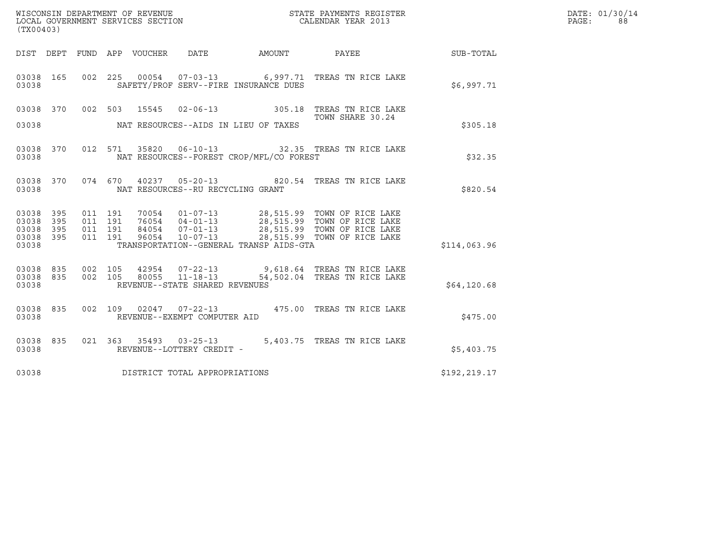|                                                       | (TX00403) |                    |                    |  |                                |                                          |                                                                                                                                                                                                  |               | DATE: 01/30/14<br>PAGE:<br>88 |
|-------------------------------------------------------|-----------|--------------------|--------------------|--|--------------------------------|------------------------------------------|--------------------------------------------------------------------------------------------------------------------------------------------------------------------------------------------------|---------------|-------------------------------|
|                                                       |           |                    |                    |  |                                |                                          |                                                                                                                                                                                                  |               |                               |
| 03038 165<br>03038                                    |           |                    |                    |  |                                | SAFETY/PROF SERV--FIRE INSURANCE DUES    | 002 225 00054 07-03-13 6,997.71 TREAS TN RICE LAKE                                                                                                                                               | \$6,997.71    |                               |
|                                                       |           |                    |                    |  |                                |                                          | 03038 370 002 503 15545 02-06-13 305.18 TREAS TN RICE LAKE<br>TOWN SHARE 30.24                                                                                                                   |               |                               |
| 03038                                                 |           |                    |                    |  |                                | NAT RESOURCES--AIDS IN LIEU OF TAXES     |                                                                                                                                                                                                  | \$305.18      |                               |
| 03038 370<br>03038                                    |           |                    |                    |  |                                | NAT RESOURCES--FOREST CROP/MFL/CO FOREST | 012 571 35820 06-10-13 32.35 TREAS TN RICE LAKE                                                                                                                                                  | \$32.35       |                               |
| 03038 370<br>03038                                    |           |                    |                    |  |                                | NAT RESOURCES--RU RECYCLING GRANT        | 074 670 40237 05-20-13 820.54 TREAS TN RICE LAKE                                                                                                                                                 | \$820.54      |                               |
| 03038 395<br>03038<br>03038 395<br>03038 395<br>03038 | 395       | 011 191<br>011 191 | 011 191<br>011 191 |  |                                | TRANSPORTATION--GENERAL TRANSP AIDS-GTA  | 70054  01-07-13  28,515.99  TOWN OF RICE LAKE<br>76054  04-01-13  28,515.99  TOWN OF RICE LAKE<br>84054  07-01-13  28,515.99  TOWN OF RICE LAKE<br>96054  10-07-13  28,515.99  TOWN OF RICE LAKE | \$114,063.96  |                               |
| 03038 835 002 105<br>03038 835<br>03038               |           |                    | 002 105            |  | REVENUE--STATE SHARED REVENUES |                                          |                                                                                                                                                                                                  | \$64,120.68   |                               |
| 03038 835<br>03038                                    |           |                    |                    |  | REVENUE--EXEMPT COMPUTER AID   |                                          | 002 109 02047 07-22-13 475.00 TREAS TN RICE LAKE                                                                                                                                                 | \$475.00      |                               |
| 03038 835<br>03038                                    |           |                    |                    |  | REVENUE--LOTTERY CREDIT -      |                                          | 021  363  35493  03-25-13  5,403.75  TREAS TN RICE LAKE                                                                                                                                          | \$5,403.75    |                               |
| 03038                                                 |           |                    |                    |  | DISTRICT TOTAL APPROPRIATIONS  |                                          |                                                                                                                                                                                                  | \$192, 219.17 |                               |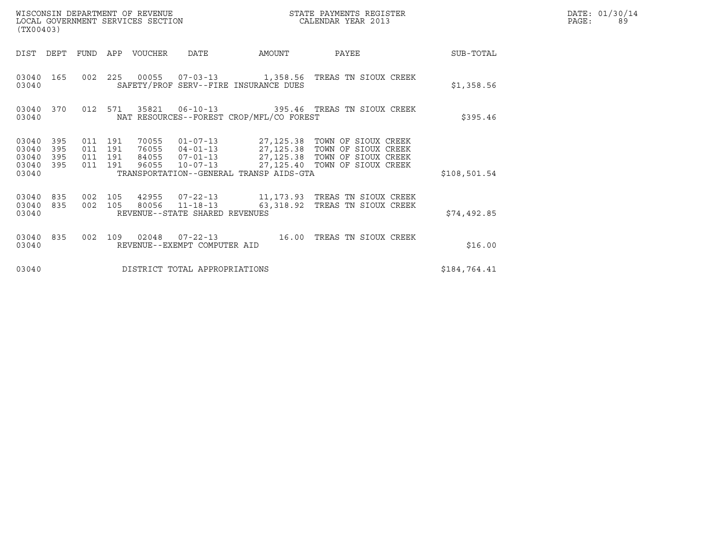| WISCONSIN DEPARTMENT OF REVENUE<br>LOCAL GOVERNMENT SERVICES SECTION<br>(TX00403) |                          |                                          |  |                       |                                                  |                                          | STATE PAYMENTS REGISTER<br>CALENDAR YEAR 2013                                                                                                                                          |              | DATE: 01/30/14<br>PAGE:<br>89 |
|-----------------------------------------------------------------------------------|--------------------------|------------------------------------------|--|-----------------------|--------------------------------------------------|------------------------------------------|----------------------------------------------------------------------------------------------------------------------------------------------------------------------------------------|--------------|-------------------------------|
| DIST DEPT                                                                         |                          |                                          |  | FUND APP VOUCHER DATE |                                                  | AMOUNT                                   | PAYEE                                                                                                                                                                                  | SUB-TOTAL    |                               |
| 03040                                                                             | 03040 165                |                                          |  |                       |                                                  | SAFETY/PROF SERV--FIRE INSURANCE DUES    | 002 225 00055 07-03-13 1,358.56 TREAS TN SIOUX CREEK                                                                                                                                   | \$1,358.56   |                               |
| 03040 370<br>03040                                                                |                          | 012 571                                  |  |                       |                                                  | NAT RESOURCES--FOREST CROP/MFL/CO FOREST |                                                                                                                                                                                        | \$395.46     |                               |
| 03040<br>03040<br>03040<br>03040<br>03040                                         | 395<br>395<br>395<br>395 | 011 191<br>011 191<br>011 191<br>011 191 |  | 70055<br>96055        |                                                  | TRANSPORTATION--GENERAL TRANSP AIDS-GTA  | 01-07-13 27,125.38 TOWN OF SIOUX CREEK<br>76055  04-01-13  27,125.38  TOWN OF SIOUX CREEK<br>84055  07-01-13  27,125.38  TOWN OF SIOUX CREEK<br>10-07-13 27,125.40 TOWN OF SIOUX CREEK | \$108,501.54 |                               |
| 03040<br>03040<br>03040                                                           | 835<br>835               | 002 105<br>002 105                       |  |                       | 80056 11-18-13<br>REVENUE--STATE SHARED REVENUES |                                          | 63,318.92 TREAS TN SIOUX CREEK                                                                                                                                                         | \$74,492.85  |                               |
| 03040 835<br>03040                                                                |                          | 002 109                                  |  | 02048                 | REVENUE--EXEMPT COMPUTER AID                     |                                          |                                                                                                                                                                                        | \$16.00      |                               |
| 03040                                                                             |                          |                                          |  |                       | DISTRICT TOTAL APPROPRIATIONS                    |                                          |                                                                                                                                                                                        | \$184,764.41 |                               |

WISCONSIN DEPARTMENT OF REVENUE<br>LOCAL GOVERNMENT SERVICES SECTION STATE PAYMENTS REGISTER SECONDER SERVICES OF SAGES AND ACTES OF SAGES AND PA<br>DOCAL GOVERNMENT SERVICES SECTION SERVICES OF SAGES DE CALENDAR YEAR 2013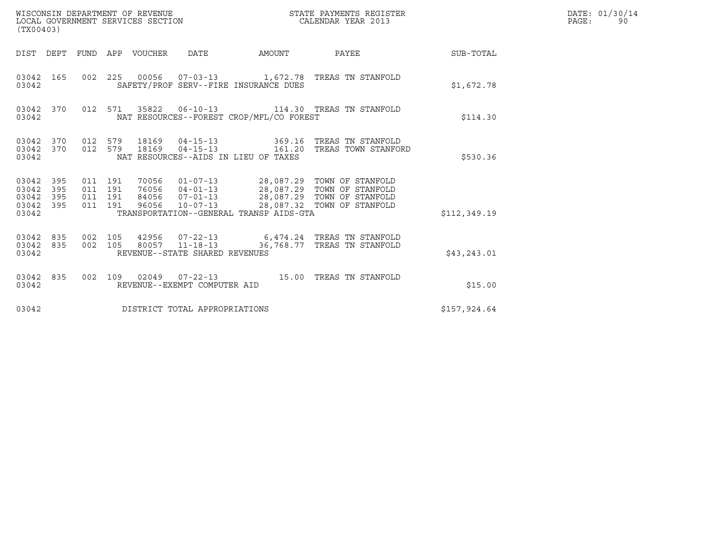| WISCONSIN DEPARTMENT OF REVENUE<br>LOCAL GOVERNMENT SERVICES SECTION<br>(TX00403) |                   |                                      |         |                                  |                                | STATE PAYMENTS REGISTER<br>CALENDAR YEAR 2013 |                                                                                                                                                 |                 | DATE: 01/30/14<br>PAGE:<br>90 |
|-----------------------------------------------------------------------------------|-------------------|--------------------------------------|---------|----------------------------------|--------------------------------|-----------------------------------------------|-------------------------------------------------------------------------------------------------------------------------------------------------|-----------------|-------------------------------|
| DIST DEPT                                                                         |                   |                                      |         | FUND APP VOUCHER DATE            |                                | AMOUNT                                        |                                                                                                                                                 | PAYEE SUB-TOTAL |                               |
| 03042 165<br>03042                                                                |                   |                                      | 002 225 |                                  |                                | SAFETY/PROF SERV--FIRE INSURANCE DUES         | 00056  07-03-13  1,672.78  TREAS TN STANFOLD                                                                                                    | \$1,672.78      |                               |
| 03042 370<br>03042                                                                |                   |                                      |         |                                  |                                | NAT RESOURCES--FOREST CROP/MFL/CO FOREST      | 012 571 35822 06-10-13 114.30 TREAS TN STANFOLD                                                                                                 | \$114.30        |                               |
| 03042 370<br>03042 370<br>03042                                                   |                   |                                      | 012 579 | 012 579 18169<br>18169           |                                | NAT RESOURCES--AIDS IN LIEU OF TAXES          | 04-15-13 369.16 TREAS TN STANFOLD<br>04-15-13    161.20    TREAS TOWN STANFORD                                                                  | \$530.36        |                               |
| 03042 395<br>03042<br>03042<br>03042<br>03042                                     | 395<br>395<br>395 | 011 191<br>011 191<br>011<br>011 191 | 191     | 70056<br>76056<br>84056<br>96056 | $10 - 07 - 13$                 | TRANSPORTATION--GENERAL TRANSP AIDS-GTA       | 01-07-13 28,087.29 TOWN OF STANFOLD<br>04-01-13 28,087.29 TOWN OF STANFOLD<br>07-01-13 28,087.29 TOWN OF STANFOLD<br>28,087.32 TOWN OF STANFOLD | \$112,349.19    |                               |
| 03042 835<br>03042 835<br>03042                                                   |                   | 002 105<br>002 105                   |         |                                  | REVENUE--STATE SHARED REVENUES |                                               | 42956  07-22-13  6,474.24  TREAS TN STANFOLD<br>80057  11-18-13  36, 768.77  TREAS TN STANFOLD                                                  | \$43, 243.01    |                               |
| 03042 835<br>03042                                                                |                   | 002 109                              |         |                                  | REVENUE--EXEMPT COMPUTER AID   |                                               | 02049   07-22-13   15.00   TREAS TN STANFOLD                                                                                                    | \$15.00         |                               |
| 03042                                                                             |                   |                                      |         |                                  | DISTRICT TOTAL APPROPRIATIONS  |                                               |                                                                                                                                                 | \$157,924.64    |                               |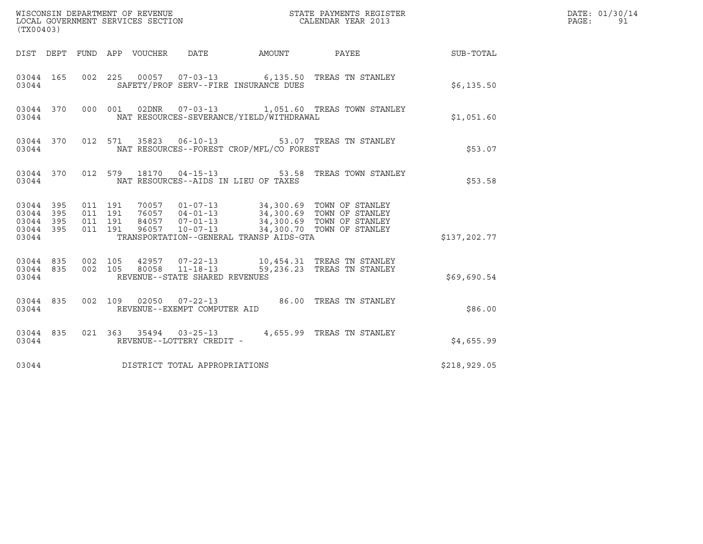| (TX00403)                                    |                                                    |                                 |                                      |                                          | DATE: 01/30/14<br>PAGE:<br>91                                                                                                                                                            |              |  |
|----------------------------------------------|----------------------------------------------------|---------------------------------|--------------------------------------|------------------------------------------|------------------------------------------------------------------------------------------------------------------------------------------------------------------------------------------|--------------|--|
|                                              |                                                    | DIST DEPT FUND APP VOUCHER DATE |                                      |                                          | AMOUNT PAYEE SUB-TOTAL                                                                                                                                                                   |              |  |
| 03044 165<br>03044                           |                                                    |                                 |                                      | SAFETY/PROF SERV--FIRE INSURANCE DUES    | 002 225 00057 07-03-13 6,135.50 TREAS TN STANLEY                                                                                                                                         | \$6,135.50   |  |
| 03044                                        |                                                    |                                 |                                      | NAT RESOURCES-SEVERANCE/YIELD/WITHDRAWAL | 03044 370 000 001 02DNR 07-03-13 1,051.60 TREAS TOWN STANLEY                                                                                                                             | \$1,051.60   |  |
| 03044                                        |                                                    |                                 |                                      | NAT RESOURCES--FOREST CROP/MFL/CO FOREST | 03044 370 012 571 35823 06-10-13 53.07 TREAS TN STANLEY                                                                                                                                  | \$53.07      |  |
| 03044                                        |                                                    |                                 | NAT RESOURCES--AIDS IN LIEU OF TAXES |                                          | 03044 370 012 579 18170 04-15-13 53.58 TREAS TOWN STANLEY                                                                                                                                | \$53.58      |  |
| 03044 395<br>03044 395<br>03044 395<br>03044 | 03044 395 011 191<br>011 191<br>011 191<br>011 191 |                                 |                                      | TRANSPORTATION--GENERAL TRANSP AIDS-GTA  | 70057  01-07-13  34,300.69  TOWN OF STANLEY<br>76057  04-01-13  34,300.69  TOWN OF STANLEY<br>84057  07-01-13  34,300.69  TOWN OF STANLEY<br>96057  10-07-13  34,300.70  TOWN OF STANLEY | \$137,202.77 |  |
| 03044 835<br>03044                           | 03044 835 002 105                                  | REVENUE--STATE SHARED REVENUES  |                                      |                                          | 002 105 42957 07-22-13 10,454.31 TREAS TN STANLEY<br>002 105 80058 11-18-13 59,236.23 TREAS TN STANLEY                                                                                   | \$69,690.54  |  |
| 03044 835<br>03044                           |                                                    |                                 | REVENUE--EXEMPT COMPUTER AID         |                                          | 002 109 02050 07-22-13 86.00 TREAS TN STANLEY                                                                                                                                            | \$86.00      |  |
| 03044 835<br>03044                           |                                                    |                                 | REVENUE--LOTTERY CREDIT -            |                                          | 021 363 35494 03-25-13 4,655.99 TREAS TN STANLEY                                                                                                                                         | \$4,655.99   |  |
| 03044                                        |                                                    | DISTRICT TOTAL APPROPRIATIONS   |                                      |                                          |                                                                                                                                                                                          | \$218,929.05 |  |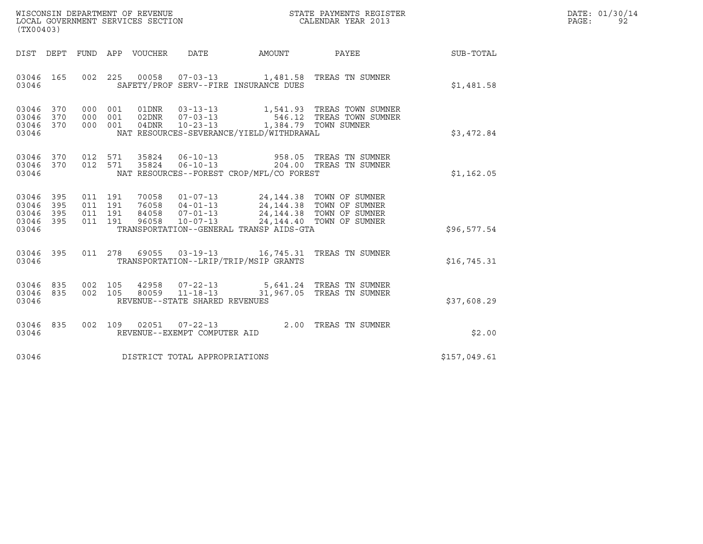| WISCONSIN DEPARTMENT OF REVENUE   | STATE PAYMENTS REGISTER | DATE: 01/30/14 |
|-----------------------------------|-------------------------|----------------|
| LOCAL GOVERNMENT SERVICES SECTION | CALENDAR YEAR 2013      | PAGE:          |

| WISCONSIN DEPARTMENT OF REVENUE<br>LOCAL GOVERNMENT SERVICES SECTION<br>CALENDAR YEAR 2013<br>(TX00403)                                                                                                                                                                                                          |  |              | DATE: 01/30/14<br>PAGE:<br>92 |
|------------------------------------------------------------------------------------------------------------------------------------------------------------------------------------------------------------------------------------------------------------------------------------------------------------------|--|--------------|-------------------------------|
| DIST DEPT FUND APP VOUCHER DATE AMOUNT PAYEE TO SUB-TOTAL                                                                                                                                                                                                                                                        |  |              |                               |
| 03046 165 002 225 00058 07-03-13 1,481.58 TREAS TN SUMNER<br>SAFETY/PROF SERV--FIRE INSURANCE DUES<br>03046                                                                                                                                                                                                      |  | \$1,481.58   |                               |
| 000 001 01DNR 03-13-13 1,541.93 TREAS TOWN SUMNER<br>000 001 02DNR 07-03-13 546.12 TREAS TOWN SUMNER<br>000 001 04DNR 10-23-13 1,384.79 TOWN SUMNER<br>03046 370<br>03046 370<br>03046 370<br>03046<br>NAT RESOURCES-SEVERANCE/YIELD/WITHDRAWAL                                                                  |  | \$3,472.84   |                               |
| 03046 370<br>012 571 35824 06-10-13 958.05 TREAS TN SUMNER<br>012 571 35824 06-10-13 204.00 TREAS TN SUMNER<br>03046 370<br>03046 NAT RESOURCES--FOREST CROP/MFL/CO FOREST                                                                                                                                       |  | \$1,162.05   |                               |
| 011 191 70058 01-07-13 24,144.38 TOWN OF SUMNER<br>011 191 76058 04-01-13 24,144.38 TOWN OF SUMNER<br>011 191 84058 07-01-13 24,144.38 TOWN OF SUMNER<br>011 191 96058 10-07-13 24,144.40 TOWN OF SUMNER<br>03046 395<br>03046 395<br>03046 395<br>03046 395<br>TRANSPORTATION--GENERAL TRANSP AIDS-GTA<br>03046 |  | \$96,577.54  |                               |
| 011 278 69055 03-19-13 16,745.31 TREAS TN SUMNER<br>03046 395<br>TRANSPORTATION--LRIP/TRIP/MSIP GRANTS<br>03046                                                                                                                                                                                                  |  | \$16,745.31  |                               |
| 03046 835 002 105 42958 07-22-13 5,641.24 TREAS TN SUMNER<br>03046 835 002 105 80059 11-18-13 31,967.05 TREAS TN SUMNER<br>REVENUE--STATE SHARED REVENUES<br>03046                                                                                                                                               |  | \$37,608.29  |                               |
| 03046 835 002 109 02051 07-22-13 2.00 TREAS TN SUMNER<br>03046<br>REVENUE--EXEMPT COMPUTER AID                                                                                                                                                                                                                   |  | \$2.00       |                               |
| DISTRICT TOTAL APPROPRIATIONS<br>03046                                                                                                                                                                                                                                                                           |  | \$157,049.61 |                               |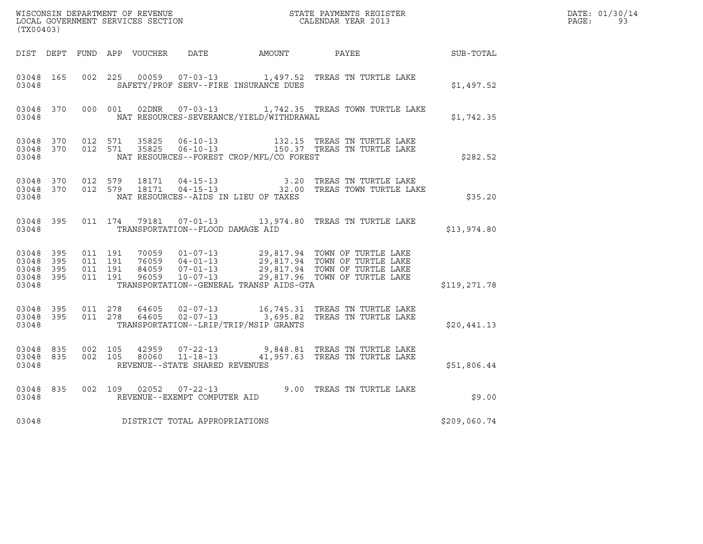| (TX00403)          |           |                                                   |         |       |                                  |                                          |                                                                                                                                                                                                          |              | DATE: 01/30/14<br>$\mathtt{PAGE:}$<br>93 |
|--------------------|-----------|---------------------------------------------------|---------|-------|----------------------------------|------------------------------------------|----------------------------------------------------------------------------------------------------------------------------------------------------------------------------------------------------------|--------------|------------------------------------------|
|                    |           |                                                   |         |       |                                  |                                          | DIST DEPT FUND APP VOUCHER DATE AMOUNT PAYEE                                                                                                                                                             | SUB-TOTAL    |                                          |
| 03048 165<br>03048 |           |                                                   |         |       |                                  | SAFETY/PROF SERV--FIRE INSURANCE DUES    | 002 225 00059 07-03-13 1,497.52 TREAS TN TURTLE LAKE                                                                                                                                                     | \$1,497.52   |                                          |
| 03048              |           |                                                   |         |       |                                  | NAT RESOURCES-SEVERANCE/YIELD/WITHDRAWAL | 03048 370 000 001 02DNR 07-03-13 1,742.35 TREAS TOWN TURTLE LAKE                                                                                                                                         | \$1,742.35   |                                          |
| 03048              | 03048 370 | 03048 370 012 571                                 |         |       |                                  | NAT RESOURCES--FOREST CROP/MFL/CO FOREST | 012 571 35825 06-10-13 132.15 TREAS TN TURTLE LAKE<br>012 571 35825 06-10-13 150.37 TREAS TN TURTLE LAKE                                                                                                 | \$282.52     |                                          |
| 03048              |           | 03048 370 012 579<br>03048 370 012 579            |         |       |                                  | NAT RESOURCES--AIDS IN LIEU OF TAXES     | 18171  04-15-13   3.20 TREAS TN TURTLE LAKE<br>18171  04-15-13   32.00 TREAS TOWN TURTLE LAKE                                                                                                            | \$35.20      |                                          |
| 03048              | 03048 395 |                                                   |         |       | TRANSPORTATION--FLOOD DAMAGE AID |                                          | 011 174 79181 07-01-13 13,974.80 TREAS TN TURTLE LAKE                                                                                                                                                    | \$13,974.80  |                                          |
| 03048 395<br>03048 | 03048 395 | 03048 395 011 191<br>011 191<br>03048 395 011 191 | 011 191 |       |                                  | TRANSPORTATION--GENERAL TRANSP AIDS-GTA  | 70059  01-07-13  29,817.94  TOWN OF TURTLE LAKE<br>76059  04-01-13  29,817.94  TOWN OF TURTLE LAKE<br>84059  07-01-13  29,817.94  TOWN OF TURTLE LAKE<br>96059  10-07-13  29,817.96  TOWN OF TURTLE LAKE | \$119,271.78 |                                          |
| 03048              | 03048 395 | 03048 395 011 278<br>011 278                      |         | 64605 |                                  | TRANSPORTATION--LRIP/TRIP/MSIP GRANTS    | 64605  02-07-13   16,745.31   TREAS TN TURTLE LAKE<br>64605  02-07-13   3,695.82   TREAS TN TURTLE LAKE                                                                                                  | \$20,441.13  |                                          |
| 03048              | 03048 835 | 03048 835 002 105<br>002 105                      |         |       | REVENUE--STATE SHARED REVENUES   |                                          |                                                                                                                                                                                                          | \$51,806.44  |                                          |
| 03048              | 03048 835 |                                                   |         |       | REVENUE--EXEMPT COMPUTER AID     |                                          | 002 109 02052 07-22-13 9.00 TREAS TN TURTLE LAKE                                                                                                                                                         | \$9.00       |                                          |
| 03048              |           |                                                   |         |       | DISTRICT TOTAL APPROPRIATIONS    |                                          |                                                                                                                                                                                                          | \$209,060.74 |                                          |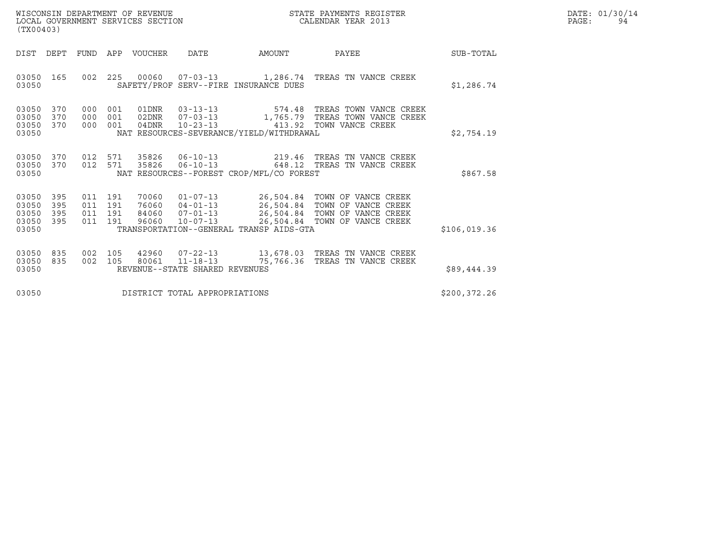| WISCONSIN DEPARTMENT OF REVENUE   | STATE PAYMENTS REGISTER | DATE: 01/30/14 |
|-----------------------------------|-------------------------|----------------|
| LOCAL GOVERNMENT SERVICES SECTION | CALENDAR YEAR 2013      | PAGE:          |

| (TX00403)                                                                                         | WISCONSIN DEPARTMENT OF REVENUE<br>STATE PAYMENTS REGISTER<br>LOCAL GOVERNMENT SERVICES SECTION<br>CALENDAR YEAR 2013                                                           |                                                                                                                                     |               |  |  |  |  |  |
|---------------------------------------------------------------------------------------------------|---------------------------------------------------------------------------------------------------------------------------------------------------------------------------------|-------------------------------------------------------------------------------------------------------------------------------------|---------------|--|--|--|--|--|
| DIST<br><b>FUND</b><br>DEPT                                                                       | <b>VOUCHER</b><br>DATE<br>APP                                                                                                                                                   | PAYEE<br>AMOUNT                                                                                                                     | SUB-TOTAL     |  |  |  |  |  |
| 002<br>03050<br>165<br>03050                                                                      | 225<br>00060<br>$07 - 03 - 13$<br>SAFETY/PROF SERV--FIRE INSURANCE DUES                                                                                                         | 1,286.74 TREAS TN VANCE CREEK                                                                                                       | \$1,286.74    |  |  |  |  |  |
| 03050<br>370<br>000<br>370<br>03050<br>000<br>370<br>03050<br>000<br>03050                        | 001<br>01DNR<br>$03 - 13 - 13$<br>$07 - 03 - 13$<br>001<br>02DNR<br>001<br>$10 - 23 - 13$<br>04DNR<br>NAT RESOURCES-SEVERANCE/YIELD/WITHDRAWAL                                  | 574.48 TREAS TOWN VANCE CREEK<br>1,765.79 TREAS TOWN VANCE CREEK<br>413.92 TOWN VANCE CREEK                                         | \$2,754.19    |  |  |  |  |  |
| 03050<br>370<br>012<br>370<br>012<br>03050<br>03050                                               | 35826<br>$06 - 10 - 13$<br>571<br>571<br>35826<br>$06 - 10 - 13$<br>NAT RESOURCES--FOREST CROP/MFL/CO FOREST                                                                    | TREAS TN VANCE CREEK<br>219.46<br>648.12 TREAS TN VANCE CREEK                                                                       | \$867.58      |  |  |  |  |  |
| 03050<br>395<br>011<br>03050<br>395<br>011<br>03050<br>395<br>011<br>03050<br>395<br>011<br>03050 | $01 - 07 - 13$<br>191<br>70060<br>191<br>76060<br>$04 - 01 - 13$<br>191<br>84060<br>$07 - 01 - 13$<br>191<br>$10 - 07 - 13$<br>96060<br>TRANSPORTATION--GENERAL TRANSP AIDS-GTA | 26,504.84 TOWN OF VANCE CREEK<br>26,504.84 TOWN OF VANCE CREEK<br>26,504.84 TOWN OF VANCE CREEK<br>26,504.84<br>TOWN OF VANCE CREEK | \$106,019.36  |  |  |  |  |  |
| 03050<br>835<br>002<br>03050<br>835<br>002<br>03050                                               | 105<br>42960<br>$07 - 22 - 13$<br>105<br>80061<br>$11 - 18 - 13$<br>REVENUE--STATE SHARED REVENUES                                                                              | 13,678.03 TREAS TN VANCE CREEK<br>75,766.36<br>TREAS TN VANCE CREEK                                                                 | \$89,444.39   |  |  |  |  |  |
| 03050                                                                                             | DISTRICT TOTAL APPROPRIATIONS                                                                                                                                                   |                                                                                                                                     | \$200, 372.26 |  |  |  |  |  |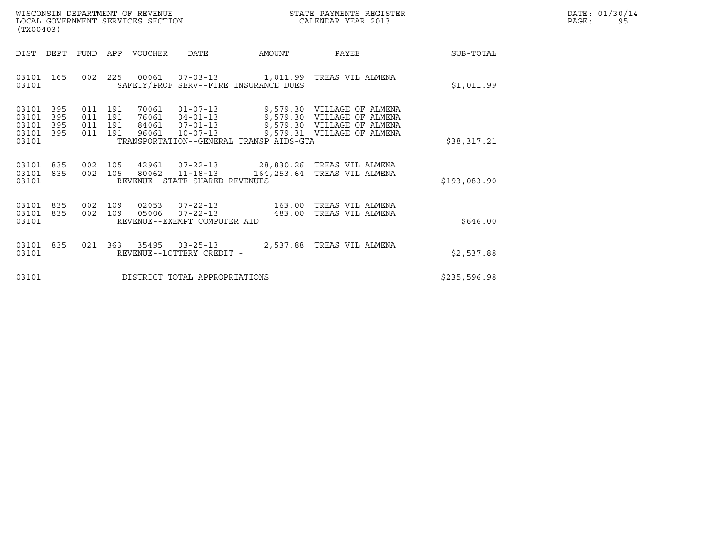| WISCONSIN DEPARTMENT OF REVENUE   | STATE PAYMENTS REGISTER | DATE: 01/30/14 |
|-----------------------------------|-------------------------|----------------|
| LOCAL GOVERNMENT SERVICES SECTION | CALENDAR YEAR 2013      | PAGE:          |

| WISCONSIN DEPARTMENT OF REVENUE<br>LOCAL GOVERNMENT SERVICES SECTION<br>(TX00403) |                   |                                          |         |         |                                                                  |                                         | STATE PAYMENTS REGISTER<br>CALENDAR YEAR 2013                                                                                                   |              | DATE: 01/30/14<br>PAGE:<br>95 |
|-----------------------------------------------------------------------------------|-------------------|------------------------------------------|---------|---------|------------------------------------------------------------------|-----------------------------------------|-------------------------------------------------------------------------------------------------------------------------------------------------|--------------|-------------------------------|
| DIST                                                                              | DEPT              | FUND                                     | APP     | VOUCHER | DATE                                                             | AMOUNT                                  | PAYEE                                                                                                                                           | SUB-TOTAL    |                               |
| 03101 165<br>03101                                                                |                   |                                          |         |         |                                                                  | SAFETY/PROF SERV--FIRE INSURANCE DUES   | 002 225 00061 07-03-13 1,011.99 TREAS VIL ALMENA                                                                                                | \$1,011.99   |                               |
| 03101<br>03101<br>03101<br>03101 395<br>03101                                     | 395<br>395<br>395 | 011 191<br>011 191<br>011 191<br>011 191 |         | 70061   | 84061 07-01-13<br>96061 10-07-13                                 | TRANSPORTATION--GENERAL TRANSP AIDS-GTA | 01-07-13 9,579.30 VILLAGE OF ALMENA<br>76061  04-01-13  9,579.30  VILLAGE OF ALMENA<br>9,579.30 VILLAGE OF ALMENA<br>9,579.31 VILLAGE OF ALMENA | \$38,317.21  |                               |
| 03101 835<br>03101 835<br>03101                                                   |                   | 002 105<br>002 105                       |         |         | 80062 11-18-13<br>REVENUE--STATE SHARED REVENUES                 |                                         | 42961  07-22-13  28,830.26  TREAS VIL ALMENA<br>164,253.64 TREAS VIL ALMENA                                                                     | \$193,083.90 |                               |
| 03101 835<br>03101 835<br>03101                                                   |                   | 002<br>002 109                           | 109     | 02053   | $07 - 22 - 13$<br>05006 07-22-13<br>REVENUE--EXEMPT COMPUTER AID | 483.00                                  | 163.00 TREAS VIL ALMENA<br>TREAS VIL ALMENA                                                                                                     | \$646.00     |                               |
| 03101 835<br>03101                                                                |                   |                                          | 021 363 |         | REVENUE--LOTTERY CREDIT -                                        |                                         |                                                                                                                                                 | \$2,537.88   |                               |
| 03101                                                                             |                   |                                          |         |         | DISTRICT TOTAL APPROPRIATIONS                                    |                                         |                                                                                                                                                 | \$235,596.98 |                               |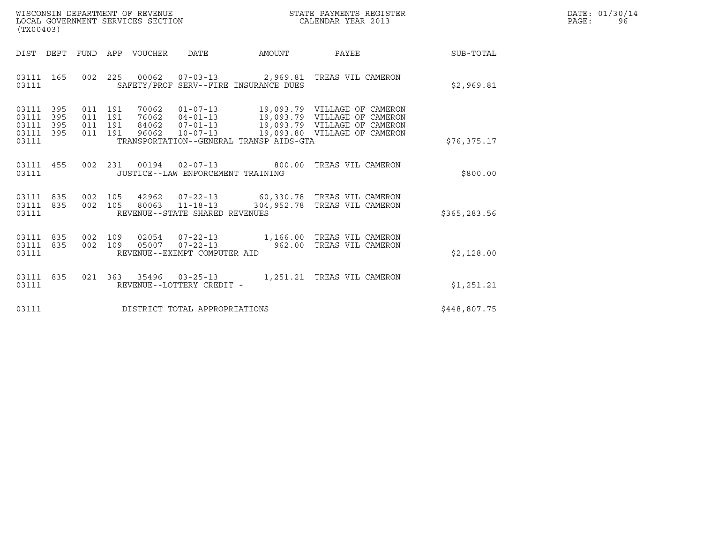| WISCONSIN DEPARTMENT OF REVENUE   | STATE PAYMENTS REGISTER | DATE: 01/30/14 |
|-----------------------------------|-------------------------|----------------|
| LOCAL GOVERNMENT SERVICES SECTION | CALENDAR YEAR 2013      | PAGE:          |

| (TX00403)                                                 |                                                                                                                                                                                                                                                                     |                                                            |              | DATE: 01/30/14<br>$\mathtt{PAGE}$ :<br>96 |
|-----------------------------------------------------------|---------------------------------------------------------------------------------------------------------------------------------------------------------------------------------------------------------------------------------------------------------------------|------------------------------------------------------------|--------------|-------------------------------------------|
|                                                           |                                                                                                                                                                                                                                                                     | DIST DEPT FUND APP VOUCHER DATE AMOUNT PAYEE THE SUB-TOTAL |              |                                           |
| 03111 165<br>03111                                        | 002 225 00062 07-03-13 2,969.81 TREAS VIL CAMERON<br>SAFETY/PROF SERV--FIRE INSURANCE DUES                                                                                                                                                                          |                                                            | \$2,969.81   |                                           |
| 03111 395<br>03111 395<br>03111 395<br>03111 395<br>03111 | 011 191 70062 01-07-13 19,093.79 VILLAGE OF CAMERON<br>011 191 76062 04-01-13 19,093.79 VILLAGE OF CAMERON<br>011 191 84062 07-01-13 19,093.79 VILLAGE OF CAMERON<br>011 191 96062 10-07-13 19,093.80 VILLAGE OF CAMERON<br>TRANSPORTATION--GENERAL TRANSP AIDS-GTA |                                                            | \$76, 375.17 |                                           |
| 03111                                                     | 03111 455 002 231 00194 02-07-13 800.00 TREAS VIL CAMERON<br>JUSTICE--LAW ENFORCEMENT TRAINING                                                                                                                                                                      |                                                            | \$800.00     |                                           |
| 03111 835<br>03111 835<br>03111                           | 002 105 42962 07-22-13 60,330.78 TREAS VIL CAMERON<br>002 105 80063 11-18-13 304,952.78 TREAS VIL CAMERON<br>REVENUE--STATE SHARED REVENUES                                                                                                                         |                                                            | \$365,283.56 |                                           |
| 03111 835<br>03111 835<br>03111                           | 002 109 02054 07-22-13 1,166.00 TREAS VIL CAMERON<br>002 109 05007 07-22-13 962.00 TREAS VIL CAMERON<br>REVENUE--EXEMPT COMPUTER AID                                                                                                                                |                                                            | \$2,128.00   |                                           |
| 03111 835<br>03111                                        | 021  363  35496  03-25-13   1,251.21  TREAS VIL CAMERON<br>REVENUE--LOTTERY CREDIT -                                                                                                                                                                                |                                                            | \$1,251.21   |                                           |
| 03111                                                     | DISTRICT TOTAL APPROPRIATIONS                                                                                                                                                                                                                                       |                                                            | \$448,807.75 |                                           |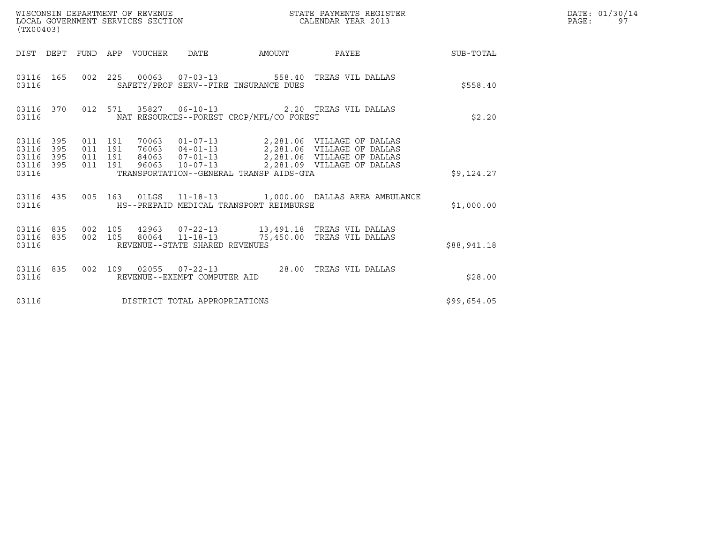| (TX00403)                                                          | WISCONSIN DEPARTMENT OF REVENUE<br>LOCAL GOVERNMENT SERVICES SECTION                                                                                                                                                                                                                | STATE PAYMENTS REGISTER<br>CALENDAR YEAR 2013 | DATE: 01/30/14<br>PAGE:<br>97 |
|--------------------------------------------------------------------|-------------------------------------------------------------------------------------------------------------------------------------------------------------------------------------------------------------------------------------------------------------------------------------|-----------------------------------------------|-------------------------------|
|                                                                    | DIST DEPT FUND APP VOUCHER DATE                                                                                                                                                                                                                                                     | AMOUNT PAYEE SUB-TOTAL                        |                               |
| 03116 165<br>03116                                                 | 002  225  00063  07-03-13  558.40 TREAS VIL DALLAS<br>SAFETY/PROF SERV--FIRE INSURANCE DUES                                                                                                                                                                                         | \$558.40                                      |                               |
| 03116 370<br>03116                                                 | 012 571 35827 06-10-13 2.20 TREAS VIL DALLAS<br>NAT RESOURCES--FOREST CROP/MFL/CO FOREST                                                                                                                                                                                            | \$2.20                                        |                               |
| 03116 395<br>395<br>03116<br>395<br>03116<br>03116<br>395<br>03116 | 70063  01-07-13  2,281.06  VILLAGE OF DALLAS<br>76063  04-01-13  2,281.06  VILLAGE OF DALLAS<br>84063  07-01-13  2,281.06  VILLAGE OF DALLAS<br>96063  10-07-13  2,281.09  VILLAGE OF DALLAS<br>011 191<br>011 191<br>011 191<br>011 191<br>TRANSPORTATION--GENERAL TRANSP AIDS-GTA | \$9,124.27                                    |                               |
| 03116 435<br>03116                                                 | 005  163  01LGS  11-18-13  1,000.00 DALLAS AREA AMBULANCE<br>HS--PREPAID MEDICAL TRANSPORT REIMBURSE                                                                                                                                                                                | \$1,000.00                                    |                               |
| 03116                                                              | $\begin{array}{cccccccc} 03116 & 835 & 002 & 105 & 42963 & 07-22-13 & & 13,491.18 & \text{TREAS VIL DALLAS} \\ 03116 & 835 & 002 & 105 & 80064 & 11-18-13 & & 75,450.00 & \text{TREAS VIL DALLAS} \end{array}$<br>REVENUE--STATE SHARED REVENUES                                    | \$88,941.18                                   |                               |
| 03116                                                              | 03116 835 002 109 02055 07-22-13 28.00 TREAS VIL DALLAS<br>REVENUE--EXEMPT COMPUTER AID                                                                                                                                                                                             | \$28.00                                       |                               |
| 03116                                                              | DISTRICT TOTAL APPROPRIATIONS                                                                                                                                                                                                                                                       | \$99,654.05                                   |                               |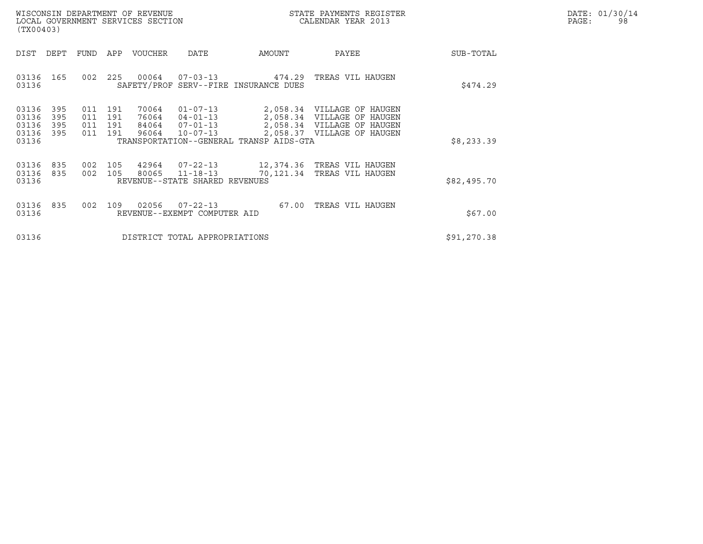|       | DATE: 01/30/14 |
|-------|----------------|
| PAGE: | 98             |

| WISCONSIN DEPARTMENT OF REVENUE<br>(TX00403)                                        | LOCAL GOVERNMENT SERVICES SECTION                                                                                                                                              | STATE PAYMENTS REGISTER<br>CALENDAR YEAR 2013                                                                                      | DATE: 01/30/14<br>PAGE:<br>98 |
|-------------------------------------------------------------------------------------|--------------------------------------------------------------------------------------------------------------------------------------------------------------------------------|------------------------------------------------------------------------------------------------------------------------------------|-------------------------------|
| DIST DEPT                                                                           | FUND APP VOUCHER<br>AMOUNT<br>DATE                                                                                                                                             | PAYEE<br>SUB-TOTAL                                                                                                                 |                               |
| 03136 165<br>002<br>03136                                                           | 225  00064  07-03-13  474.29  TREAS VIL HAUGEN<br>SAFETY/PROF SERV--FIRE INSURANCE DUES                                                                                        | \$474.29                                                                                                                           |                               |
| 03136<br>395<br>03136<br>395<br>011<br>03136<br>395<br>011<br>03136<br>395<br>03136 | 70064<br>$01 - 07 - 13$<br>011 191<br>191<br>76064<br>$04 - 01 - 13$<br>191<br>84064 07-01-13<br>96064<br>011 191<br>$10 - 07 - 13$<br>TRANSPORTATION--GENERAL TRANSP AIDS-GTA | 2,058.34 VILLAGE OF HAUGEN<br>2,058.34 VILLAGE OF HAUGEN<br>2,058.34 VILLAGE OF HAUGEN<br>2,058.37 VILLAGE OF HAUGEN<br>\$8,233.39 |                               |
| 03136<br>835<br>03136<br>835<br>03136                                               | 002 105 42964 07-22-13 12,374.36 TREAS VIL HAUGEN<br>002 105<br>80065 11-18-13<br>REVENUE--STATE SHARED REVENUES                                                               | 70,121.34 TREAS VIL HAUGEN<br>\$82,495.70                                                                                          |                               |
| 03136<br>835<br>03136                                                               | 002 109 02056<br>REVENUE--EXEMPT COMPUTER AID                                                                                                                                  | \$67.00                                                                                                                            |                               |
| 03136                                                                               | DISTRICT TOTAL APPROPRIATIONS                                                                                                                                                  | \$91,270.38                                                                                                                        |                               |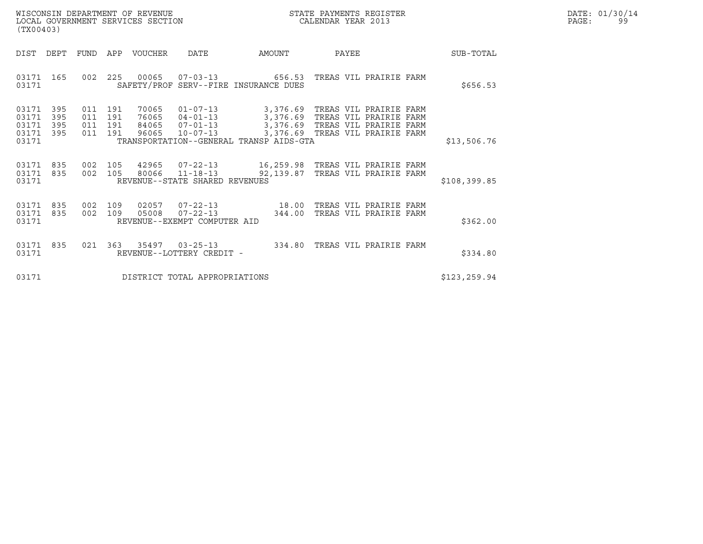| WISCONSIN DEPARTMENT OF REVENUE<br>LOCAL GOVERNMENT SERVICES SECTION<br>(TX00403) | STATE PAYMENTS REGISTER<br>CALENDAR YEAR 2013 | DATE: 01/30/14<br>PAGE:<br>99 |
|-----------------------------------------------------------------------------------|-----------------------------------------------|-------------------------------|

| (TX00403)                                                             |                          |                          |                                  |                                                                      |                                                                                                                                                                                       |       |                        |               |  |
|-----------------------------------------------------------------------|--------------------------|--------------------------|----------------------------------|----------------------------------------------------------------------|---------------------------------------------------------------------------------------------------------------------------------------------------------------------------------------|-------|------------------------|---------------|--|
| DIST<br>DEPT                                                          | <b>FUND</b>              | APP                      | VOUCHER                          | DATE                                                                 | AMOUNT                                                                                                                                                                                | PAYEE |                        | SUB-TOTAL     |  |
| 03171<br>165<br>03171                                                 | 002                      | 225                      |                                  |                                                                      | 00065  07-03-13  656.53  TREAS VIL PRAIRIE FARM<br>SAFETY/PROF SERV--FIRE INSURANCE DUES                                                                                              |       |                        | \$656.53      |  |
| 03171<br>395<br>03171<br>395<br>03171<br>395<br>03171<br>395<br>03171 | 011<br>011<br>011<br>011 | 191<br>191<br>191<br>191 | 70065<br>76065<br>84065<br>96065 | $01 - 07 - 13$<br>$04 - 01 - 13$<br>$07 - 01 - 13$<br>$10 - 07 - 13$ | 3,376.69   TREAS VIL PRAIRIE FARM<br>3,376.69 TREAS VIL PRAIRIE FARM<br>3,376.69 TREAS VIL PRAIRIE FARM<br>3,376.69 TREAS VIL PRAIRIE FARM<br>TRANSPORTATION--GENERAL TRANSP AIDS-GTA |       |                        | \$13,506.76   |  |
| 835<br>03171<br>835<br>03171<br>03171                                 | 002<br>002               | 105<br>105               | 80066                            | REVENUE--STATE SHARED REVENUES                                       | 11-18-13 92,139.87 TREAS VIL PRAIRIE FARM                                                                                                                                             |       |                        | \$108,399.85  |  |
| 835<br>03171<br>835<br>03171<br>03171                                 | 002<br>002               | 109<br>109               | 02057<br>05008                   | REVENUE--EXEMPT COMPUTER AID                                         | 07-22-13 18.00 TREAS VIL PRAIRIE FARM<br>$07 - 22 - 13$ 344.00                                                                                                                        |       | TREAS VIL PRAIRIE FARM | \$362.00      |  |
| 03171<br>835<br>03171                                                 | 021                      | 363                      | 35497                            | $03 - 25 - 13$<br>REVENUE--LOTTERY CREDIT -                          | 334.80                                                                                                                                                                                |       | TREAS VIL PRAIRIE FARM | \$334.80      |  |
| 03171                                                                 |                          |                          |                                  | DISTRICT TOTAL APPROPRIATIONS                                        |                                                                                                                                                                                       |       |                        | \$123, 259.94 |  |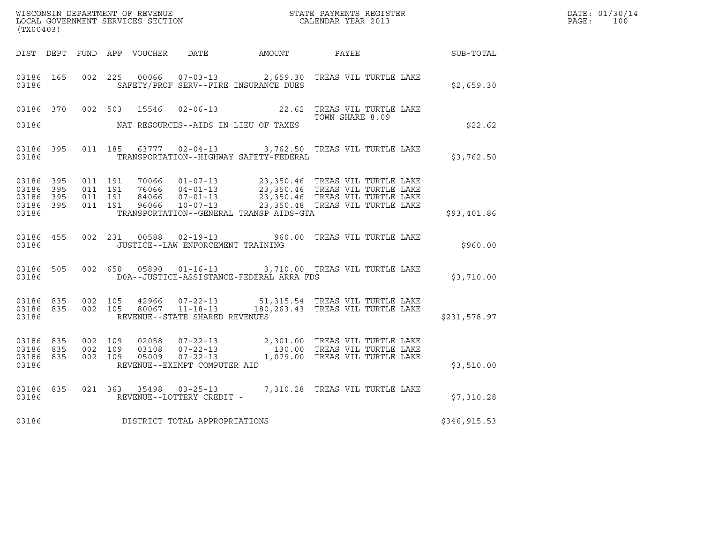| (TX00403)                       |                               |                                        |         |                |                                   |                                          |                                                                                                                                                                                                              |               | DATE: 01/30/14<br>$\mathtt{PAGE:}$<br>100 |
|---------------------------------|-------------------------------|----------------------------------------|---------|----------------|-----------------------------------|------------------------------------------|--------------------------------------------------------------------------------------------------------------------------------------------------------------------------------------------------------------|---------------|-------------------------------------------|
|                                 |                               |                                        |         |                |                                   |                                          | DIST DEPT FUND APP VOUCHER DATE AMOUNT PAYEE                                                                                                                                                                 | SUB-TOTAL     |                                           |
| 03186 165<br>03186              |                               |                                        |         |                |                                   | SAFETY/PROF SERV--FIRE INSURANCE DUES    | 002 225 00066 07-03-13 2,659.30 TREAS VIL TURTLE LAKE                                                                                                                                                        | \$2,659.30    |                                           |
|                                 | 03186 370                     | 002 503                                |         | 15546          |                                   |                                          | 02-06-13 22.62 TREAS VIL TURTLE LAKE                                                                                                                                                                         |               |                                           |
| 03186                           |                               |                                        |         |                |                                   | NAT RESOURCES--AIDS IN LIEU OF TAXES     | TOWN SHARE 8.09                                                                                                                                                                                              | \$22.62       |                                           |
| 03186                           | 03186 395                     |                                        |         |                |                                   | TRANSPORTATION--HIGHWAY SAFETY-FEDERAL   | 011 185 63777 02-04-13 3,762.50 TREAS VIL TURTLE LAKE                                                                                                                                                        | \$3,762.50    |                                           |
| 03186 395<br>03186<br>03186     | 395<br>03186 395<br>03186 395 | 011 191<br>011 191<br>011 191          | 011 191 |                |                                   | TRANSPORTATION--GENERAL TRANSP AIDS-GTA  | 70066  01-07-13  23,350.46 TREAS VIL TURTLE LAKE<br>76066  04-01-13  23,350.46 TREAS VIL TURTLE LAKE<br>84066  07-01-13  23,350.46 TREAS VIL TURTLE LAKE<br>96066  10-07-13  23,350.48 TREAS VIL TURTLE LAKE | \$93,401.86   |                                           |
| 03186                           | 03186 455                     |                                        |         |                | JUSTICE--LAW ENFORCEMENT TRAINING |                                          | 002 231 00588 02-19-13 960.00 TREAS VIL TURTLE LAKE                                                                                                                                                          | \$960.00      |                                           |
| 03186                           | 03186 505                     |                                        |         |                | 002 650 05890 01-16-13            | DOA--JUSTICE-ASSISTANCE-FEDERAL ARRA FDS | 3,710.00 TREAS VIL TURTLE LAKE                                                                                                                                                                               | \$3,710.00    |                                           |
| 03186                           |                               | 03186 835 002 105<br>03186 835 002 105 |         |                | REVENUE--STATE SHARED REVENUES    |                                          |                                                                                                                                                                                                              | \$231,578.97  |                                           |
| 03186 835<br>03186 835<br>03186 | 03186 835                     | 002 109<br>002 109<br>002 109          |         | 02058<br>03108 | REVENUE--EXEMPT COMPUTER AID      |                                          | 07-22-13 2,301.00 TREAS VIL TURTLE LAKE<br>07-22-13 130.00 TREAS VIL TURTLE LAKE<br>05009 07-22-13 1,079.00 TREAS VIL TURTLE LAKE                                                                            | \$3,510.00    |                                           |
| 03186                           | 03186 835                     |                                        |         |                | REVENUE--LOTTERY CREDIT -         |                                          | 021 363 35498 03-25-13 7,310.28 TREAS VIL TURTLE LAKE                                                                                                                                                        | \$7,310.28    |                                           |
| 03186                           |                               |                                        |         |                | DISTRICT TOTAL APPROPRIATIONS     |                                          |                                                                                                                                                                                                              | \$346, 915.53 |                                           |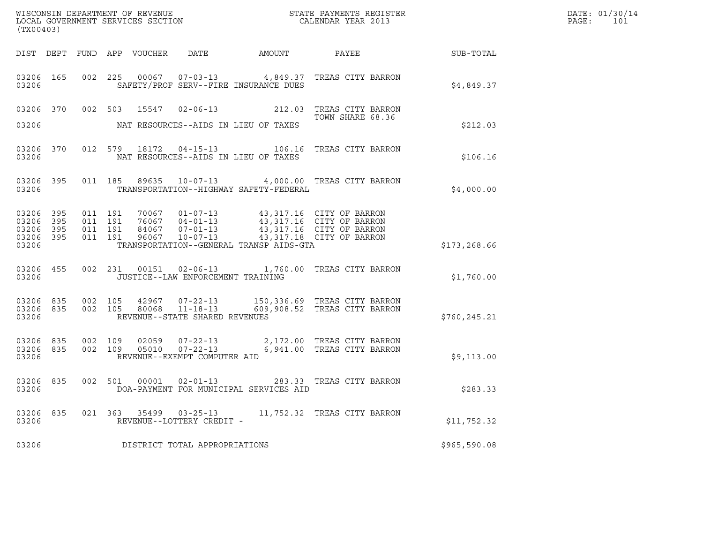| ${\tt WISCOONSIM\ DEPARTMENT\ OF\ REVENUE}\qquad \qquad {\tt STATE\ PAYMENTS\ REGISTER\ LOCAL\ GOVERNMENT\ SERVICES\ SECTION\qquad \qquad {\tt CALENDAR\ YEAR\ 2013}}$<br>(TX00403) |                   |                    |                    |  |                                                     |                                         |                                                                                                                                                                          | DATE: 01/30/14<br>PAGE:<br>101 |  |
|-------------------------------------------------------------------------------------------------------------------------------------------------------------------------------------|-------------------|--------------------|--------------------|--|-----------------------------------------------------|-----------------------------------------|--------------------------------------------------------------------------------------------------------------------------------------------------------------------------|--------------------------------|--|
|                                                                                                                                                                                     |                   |                    |                    |  |                                                     |                                         |                                                                                                                                                                          |                                |  |
| 03206                                                                                                                                                                               | 03206 165         |                    |                    |  |                                                     | SAFETY/PROF SERV--FIRE INSURANCE DUES   | 002 225 00067 07-03-13 4,849.37 TREAS CITY BARRON                                                                                                                        | \$4,849.37                     |  |
|                                                                                                                                                                                     |                   |                    |                    |  |                                                     |                                         | 03206 370 002 503 15547 02-06-13 212.03 TREAS CITY BARRON<br>TOWN SHARE 68.36                                                                                            |                                |  |
| 03206                                                                                                                                                                               |                   |                    |                    |  |                                                     | NAT RESOURCES--AIDS IN LIEU OF TAXES    |                                                                                                                                                                          | \$212.03                       |  |
| 03206 370<br>03206                                                                                                                                                                  |                   |                    |                    |  |                                                     | NAT RESOURCES--AIDS IN LIEU OF TAXES    | 012 579 18172 04-15-13 106.16 TREAS CITY BARRON                                                                                                                          | \$106.16                       |  |
| 03206 395<br>03206                                                                                                                                                                  |                   |                    |                    |  |                                                     | TRANSPORTATION--HIGHWAY SAFETY-FEDERAL  | 011 185 89635 10-07-13 4,000.00 TREAS CITY BARRON                                                                                                                        | \$4,000.00                     |  |
| 03206<br>03206<br>03206<br>03206 395<br>03206                                                                                                                                       | 395<br>395<br>395 | 011 191<br>011 191 | 011 191<br>011 191 |  |                                                     | TRANSPORTATION--GENERAL TRANSP AIDS-GTA | 70067 01-07-13 43,317.16 CITY OF BARRON<br>76067 04-01-13 43,317.16 CITY OF BARRON<br>84067 07-01-13 43,317.16 CITY OF BARRON<br>96067 10-07-13 43,317.18 CITY OF BARRON | \$173,268.66                   |  |
| 03206                                                                                                                                                                               | 03206 455         |                    |                    |  | JUSTICE--LAW ENFORCEMENT TRAINING                   |                                         | 002 231 00151 02-06-13 1,760.00 TREAS CITY BARRON                                                                                                                        | \$1,760.00                     |  |
| 03206 835<br>03206                                                                                                                                                                  | 03206 835 002 105 |                    |                    |  | REVENUE--STATE SHARED REVENUES                      |                                         | 002 105 42967 07-22-13 150,336.69 TREAS CITY BARRON<br>002 105 80068 11-18-13 609,908.52 TREAS CITY BARRON                                                               | \$760,245.21                   |  |
| 03206<br>03206                                                                                                                                                                      | 835<br>03206 835  | 002 109            | 002 109            |  | REVENUE--EXEMPT COMPUTER AID                        |                                         | 02059  07-22-13  2,172.00  TREAS CITY BARRON<br>05010  07-22-13  6,941.00  TREAS CITY BARRON                                                                             | \$9,113.00                     |  |
| 03206                                                                                                                                                                               |                   |                    |                    |  |                                                     | DOA-PAYMENT FOR MUNICIPAL SERVICES AID  | 03206 835 002 501 00001 02-01-13 283.33 TREAS CITY BARRON                                                                                                                | \$283.33                       |  |
| 03206 835<br>03206                                                                                                                                                                  |                   |                    |                    |  | 021 363 35499 03-25-13<br>REVENUE--LOTTERY CREDIT - |                                         | 11,752.32 TREAS CITY BARRON                                                                                                                                              | \$11,752.32                    |  |
| 03206                                                                                                                                                                               |                   |                    |                    |  | DISTRICT TOTAL APPROPRIATIONS                       |                                         |                                                                                                                                                                          | \$965,590.08                   |  |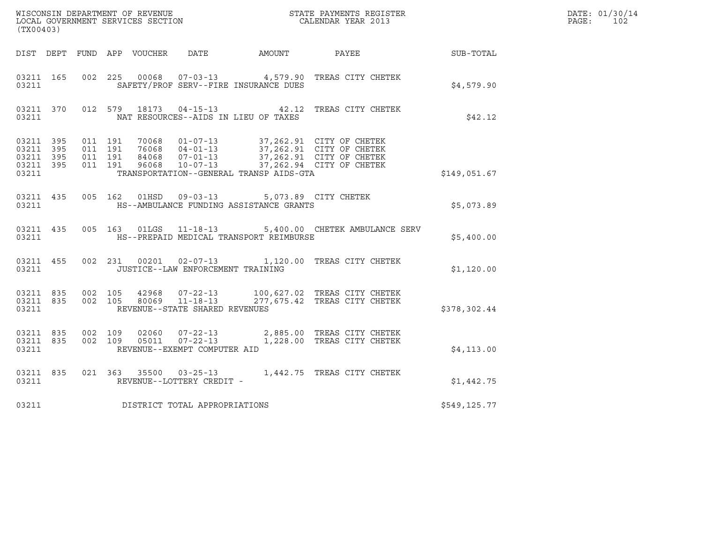| WISCONSIN DEPARTMENT OF REVENUE<br>LOCAL GOVERNMENT SERVICES SECTION<br>CALENDAR YEAR 2013<br>(TX00403) |  |  |  |  |                                         |                                                                                                        |                                                                                                                                                                                                                                                                                                           |              | DATE: 01/30/14<br>PAGE: 102 |
|---------------------------------------------------------------------------------------------------------|--|--|--|--|-----------------------------------------|--------------------------------------------------------------------------------------------------------|-----------------------------------------------------------------------------------------------------------------------------------------------------------------------------------------------------------------------------------------------------------------------------------------------------------|--------------|-----------------------------|
|                                                                                                         |  |  |  |  |                                         |                                                                                                        | DIST DEPT FUND APP VOUCHER DATE AMOUNT PAYEE TO SUB-TOTAL                                                                                                                                                                                                                                                 |              |                             |
| 03211 165<br>03211                                                                                      |  |  |  |  |                                         | SAFETY/PROF SERV--FIRE INSURANCE DUES                                                                  | 002 225 00068 07-03-13 4,579.90 TREAS CITY CHETEK                                                                                                                                                                                                                                                         | \$4,579.90   |                             |
| 03211                                                                                                   |  |  |  |  |                                         | NAT RESOURCES--AIDS IN LIEU OF TAXES                                                                   | 03211 370 012 579 18173 04-15-13 42.12 TREAS CITY CHETEK                                                                                                                                                                                                                                                  | \$42.12      |                             |
| 03211                                                                                                   |  |  |  |  |                                         | TRANSPORTATION--GENERAL TRANSP AIDS-GTA                                                                | $\begin{array}{cccccccc} 03211 & 395 & 011 & 191 & 70068 & 01-07-13 & 37,262.91 & CITY OF CHETEK \\ 03211 & 395 & 011 & 191 & 76068 & 04-01-13 & 37,262.91 & CITY OF CHETEK \\ 03211 & 395 & 011 & 191 & 84068 & 07-01-13 & 37,262.91 & CITY OF CHETEK \\ 03211 & 395 & 011 & 191 & 96068 & 10-07-13 & 3$ | \$149,051.67 |                             |
|                                                                                                         |  |  |  |  |                                         | 03211 435 005 162 01HSD 09-03-13 5,073.89 CITY CHETEK<br>03211 HS--AMBULANCE FUNDING ASSISTANCE GRANTS |                                                                                                                                                                                                                                                                                                           | \$5,073.89   |                             |
|                                                                                                         |  |  |  |  |                                         | 03211 ME--PREPAID MEDICAL TRANSPORT REIMBURSE                                                          | 03211 435 005 163 01LGS 11-18-13 5,400.00 CHETEK AMBULANCE SERV                                                                                                                                                                                                                                           | \$5,400.00   |                             |
|                                                                                                         |  |  |  |  | 03211 JUSTICE--LAW ENFORCEMENT TRAINING |                                                                                                        | 03211 455 002 231 00201 02-07-13 1,120.00 TREAS CITY CHETEK                                                                                                                                                                                                                                               | \$1,120.00   |                             |
| 03211                                                                                                   |  |  |  |  | REVENUE--STATE SHARED REVENUES          |                                                                                                        | 03211 835 002 105 42968 07-22-13 100,627.02 TREAS CITY CHETEK<br>03211 835 002 105 80069 11-18-13 277,675.42 TREAS CITY CHETEK                                                                                                                                                                            | \$378,302.44 |                             |
| 03211                                                                                                   |  |  |  |  | REVENUE--EXEMPT COMPUTER AID            |                                                                                                        | $\begin{array}{cccc} 03211 & 835 & 002 & 109 & 02060 & 07\text{-}22\text{-}13 & 2,885.00 & \text{TREAS CITY CHETER} \\ 03211 & 835 & 002 & 109 & 05011 & 07\text{-}22\text{-}13 & 1,228.00 & \text{TREAS CITY CHETER} \end{array}$                                                                        | \$4,113.00   |                             |
| 03211                                                                                                   |  |  |  |  | REVENUE--LOTTERY CREDIT -               |                                                                                                        | 03211 835 021 363 35500 03-25-13 1,442.75 TREAS CITY CHETEK                                                                                                                                                                                                                                               | \$1,442.75   |                             |
| 03211                                                                                                   |  |  |  |  | DISTRICT TOTAL APPROPRIATIONS           |                                                                                                        |                                                                                                                                                                                                                                                                                                           | \$549,125.77 |                             |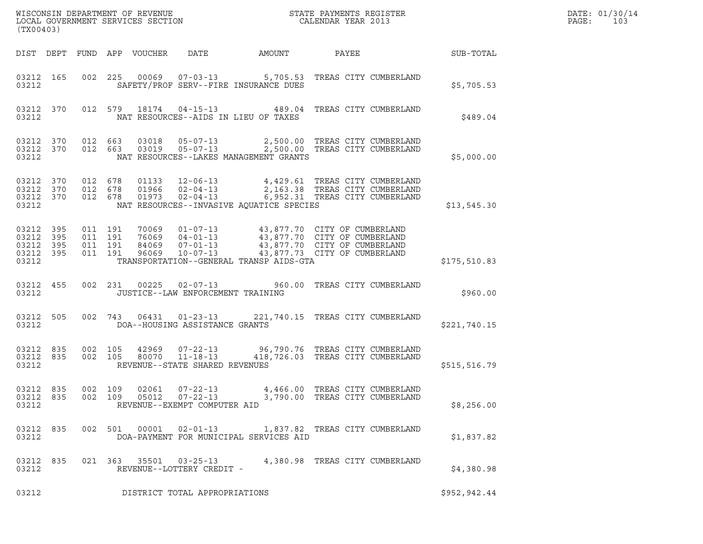| (TX00403)                                                 |  |                                          |  |                            |                                                                    |                                                                                                                                                                                                                                                 |                                                                     |  | DATE: 01/30/14<br>PAGE:<br>103 |  |
|-----------------------------------------------------------|--|------------------------------------------|--|----------------------------|--------------------------------------------------------------------|-------------------------------------------------------------------------------------------------------------------------------------------------------------------------------------------------------------------------------------------------|---------------------------------------------------------------------|--|--------------------------------|--|
|                                                           |  |                                          |  | DIST DEPT FUND APP VOUCHER | DATE                                                               | AMOUNT                                                                                                                                                                                                                                          | PAYEE                                                               |  | <b>SUB-TOTAL</b>               |  |
| 03212 165<br>03212                                        |  |                                          |  |                            |                                                                    | 002 225 00069 07-03-13 5,705.53 TREAS CITY CUMBERLAND<br>SAFETY/PROF SERV--FIRE INSURANCE DUES                                                                                                                                                  |                                                                     |  | \$5,705.53                     |  |
| 03212 370<br>03212                                        |  |                                          |  |                            |                                                                    | 012 579 18174 04-15-13 489.04 TREAS CITY CUMBERLAND<br>NAT RESOURCES--AIDS IN LIEU OF TAXES                                                                                                                                                     |                                                                     |  | \$489.04                       |  |
| 03212 370 012 663<br>03212 370<br>03212                   |  |                                          |  |                            |                                                                    | 012 663 03018 05-07-13 2,500.00 TREAS CITY CUMBERLAND<br>012 663 03019 05-07-13 2,500.00 TREAS CITY CUMBERLAND<br>NAT RESOURCES--LAKES MANAGEMENT GRANTS                                                                                        |                                                                     |  | \$5,000.00                     |  |
| 03212 370<br>03212 370<br>03212 370<br>03212              |  | 012 678<br>012 678<br>012 678            |  |                            |                                                                    | 01133  12-06-13  4,429.61 TREAS CITY CUMBERLAND<br>01966  02-04-13  2,163.38 TREAS CITY CUMBERLAND<br>01973  02-04-13  6,952.31 TREAS CITY CUMBERLAND<br>NAT RESOURCES--INVASIVE AQUATICE SPECIES                                               |                                                                     |  | \$13,545.30                    |  |
| 03212 395<br>03212 395<br>03212 395<br>03212 395<br>03212 |  | 011 191<br>011 191<br>011 191<br>011 191 |  |                            |                                                                    | 70069  01-07-13  43,877.70  CITY OF CUMBERLAND<br>76069  04-01-13  43,877.70  CITY OF CUMBERLAND<br>84069  07-01-13  43,877.70  CITY OF CUMBERLAND<br>96069  10-07-13  43,877.73  CITY OF CUMBERLAND<br>TRANSPORTATION--GENERAL TRANSP AIDS-GTA |                                                                     |  | \$175,510.83                   |  |
| 03212 455<br>03212                                        |  |                                          |  |                            | JUSTICE--LAW ENFORCEMENT TRAINING                                  | 002 231 00225 02-07-13 960.00 TREAS CITY CUMBERLAND                                                                                                                                                                                             |                                                                     |  | \$960.00                       |  |
| 03212 505<br>03212                                        |  |                                          |  |                            | 002 743 06431 01-23-13<br>DOA--HOUSING ASSISTANCE GRANTS           |                                                                                                                                                                                                                                                 | 221,740.15 TREAS CITY CUMBERLAND                                    |  | \$221,740.15                   |  |
| 03212 835<br>03212 835<br>03212                           |  | 002 105<br>002 105                       |  |                            | 42969 07-22-13<br>80070 11-18-13<br>REVENUE--STATE SHARED REVENUES |                                                                                                                                                                                                                                                 | 96,790.76 TREAS CITY CUMBERLAND<br>418,726.03 TREAS CITY CUMBERLAND |  | \$515,516.79                   |  |
| 03212 835<br>03212 835<br>03212                           |  | 002 109                                  |  | 02061<br>002 109 05012     | $07 - 22 - 13$<br>07-22-13<br>REVENUE--EXEMPT COMPUTER AID         |                                                                                                                                                                                                                                                 | 4,466.00 TREAS CITY CUMBERLAND<br>3,790.00 TREAS CITY CUMBERLAND    |  | \$8,256.00                     |  |
| 03212 835<br>03212                                        |  |                                          |  |                            |                                                                    | 002 501 00001 02-01-13 1,837.82 TREAS CITY CUMBERLAND<br>DOA-PAYMENT FOR MUNICIPAL SERVICES AID                                                                                                                                                 |                                                                     |  | \$1,837.82                     |  |
| 03212 835<br>03212                                        |  |                                          |  |                            | 021 363 35501 03-25-13<br>REVENUE--LOTTERY CREDIT -                |                                                                                                                                                                                                                                                 | 4,380.98 TREAS CITY CUMBERLAND                                      |  | \$4,380.98                     |  |

03212 REVENUE--LOTTERY CREDIT -<br>
DISTRICT TOTAL APPROPRIATIONS \$952,942.44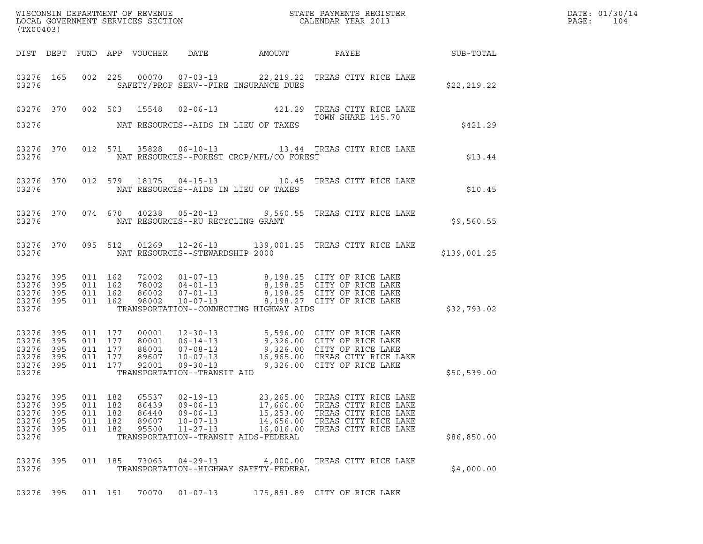| WISCONSIN DEPARTMENT OF REVENUE<br>LOCAL GOVERNMENT SERVICES SECTION<br>(TWO0403)<br>(TX00403) |                                 |                                                     |                                 |                                           |                                                                                        |                                                                                                       |                                                                                                                                                                                                                                   |              | DATE: 01/30/14<br>PAGE:<br>104 |
|------------------------------------------------------------------------------------------------|---------------------------------|-----------------------------------------------------|---------------------------------|-------------------------------------------|----------------------------------------------------------------------------------------|-------------------------------------------------------------------------------------------------------|-----------------------------------------------------------------------------------------------------------------------------------------------------------------------------------------------------------------------------------|--------------|--------------------------------|
|                                                                                                |                                 |                                                     |                                 |                                           |                                                                                        |                                                                                                       | DIST DEPT FUND APP VOUCHER DATE AMOUNT PAYEE PATE SUB-TOTAL                                                                                                                                                                       |              |                                |
| 03276                                                                                          |                                 |                                                     |                                 |                                           |                                                                                        | SAFETY/PROF SERV--FIRE INSURANCE DUES                                                                 | 03276 165 002 225 00070 07-03-13 22,219.22 TREAS CITY RICE LAKE                                                                                                                                                                   | \$22, 219.22 |                                |
| 03276                                                                                          |                                 |                                                     |                                 |                                           |                                                                                        | NAT RESOURCES--AIDS IN LIEU OF TAXES                                                                  | 03276 370 002 503 15548 02-06-13 421.29 TREAS CITY RICE LAKE<br>TOWN SHARE 145.70                                                                                                                                                 | \$421.29     |                                |
| 03276                                                                                          |                                 |                                                     |                                 |                                           |                                                                                        | NAT RESOURCES--FOREST CROP/MFL/CO FOREST                                                              | 03276 370 012 571 35828 06-10-13 13.44 TREAS CITY RICE LAKE                                                                                                                                                                       | \$13.44      |                                |
|                                                                                                |                                 |                                                     |                                 |                                           |                                                                                        |                                                                                                       | 03276 370 012 579 18175 04-15-13 10.45 TREAS CITY RICE LAKE                                                                                                                                                                       | \$10.45      |                                |
| 03276                                                                                          |                                 |                                                     |                                 |                                           | NAT RESOURCES--RU RECYCLING GRANT                                                      |                                                                                                       | 03276 370 074 670 40238 05-20-13 9,560.55 TREAS CITY RICE LAKE                                                                                                                                                                    | \$9,560.55   |                                |
|                                                                                                |                                 |                                                     |                                 |                                           | 03276 NAT RESOURCES--STEWARDSHIP 2000                                                  |                                                                                                       | 03276 370 095 512 01269 12-26-13 139,001.25 TREAS CITY RICE LAKE                                                                                                                                                                  | \$139,001.25 |                                |
| 03276 395<br>03276 395<br>03276 395<br>03276 395<br>03276                                      |                                 | 011 162<br>011 162                                  | 011 162<br>011 162              |                                           |                                                                                        | TRANSPORTATION--CONNECTING HIGHWAY AIDS                                                               | 72002  01-07-13  8,198.25  CITY OF RICE LAKE<br>78002  04-01-13  8,198.25  CITY OF RICE LAKE<br>86002  07-01-13  8,198.25  CITY OF RICE LAKE<br>98002  10-07-13  8,198.27  CITY OF RICE LAKE                                      | \$32,793.02  |                                |
| 03276 395<br>03276<br>03276<br>03276 395<br>03276 395<br>03276                                 | 395<br>395                      | 011 177<br>011 177<br>011 177<br>011 177<br>011 177 |                                 |                                           | TRANSPORTATION--TRANSIT AID                                                            |                                                                                                       | 00001 12-30-13 5,596.00 CITY OF RICE LAKE<br>80001 06-14-13 9,326.00 CITY OF RICE LAKE<br>88001 07-08-13 9,326.00 CITY OF RICE LAKE<br>92001 09-30-13 16,965.00 TREAS CITY RICE LAKE<br>92001 09-30-13 9,326.00 CITY OF RICE LAKE | \$50,539.00  |                                |
| 03276<br>03276<br>03276<br>03276<br>03276<br>03276                                             | 395<br>395<br>395<br>395<br>395 | 011<br>011<br>011<br>011<br>011                     | 182<br>182<br>182<br>182<br>182 | 65537<br>86439<br>86440<br>89607<br>95500 | $02 - 19 - 13$<br>$09 - 06 - 13$<br>$09 - 06 - 13$<br>$10 - 07 - 13$<br>$11 - 27 - 13$ | 23,265.00<br>17,660.00<br>15,253.00<br>14,656.00<br>16,016.00<br>TRANSPORTATION--TRANSIT AIDS-FEDERAL | TREAS CITY RICE LAKE<br>TREAS CITY RICE LAKE<br>TREAS CITY RICE LAKE<br>TREAS CITY RICE LAKE<br>TREAS CITY RICE LAKE                                                                                                              | \$86,850.00  |                                |
| 03276 395<br>03276                                                                             |                                 |                                                     | 011 185                         | 73063                                     | $04 - 29 - 13$                                                                         | TRANSPORTATION--HIGHWAY SAFETY-FEDERAL                                                                | 4,000.00 TREAS CITY RICE LAKE                                                                                                                                                                                                     | \$4,000.00   |                                |
| 03276 395                                                                                      |                                 | 011 191                                             |                                 | 70070                                     | $01 - 07 - 13$                                                                         |                                                                                                       | 175,891.89 CITY OF RICE LAKE                                                                                                                                                                                                      |              |                                |